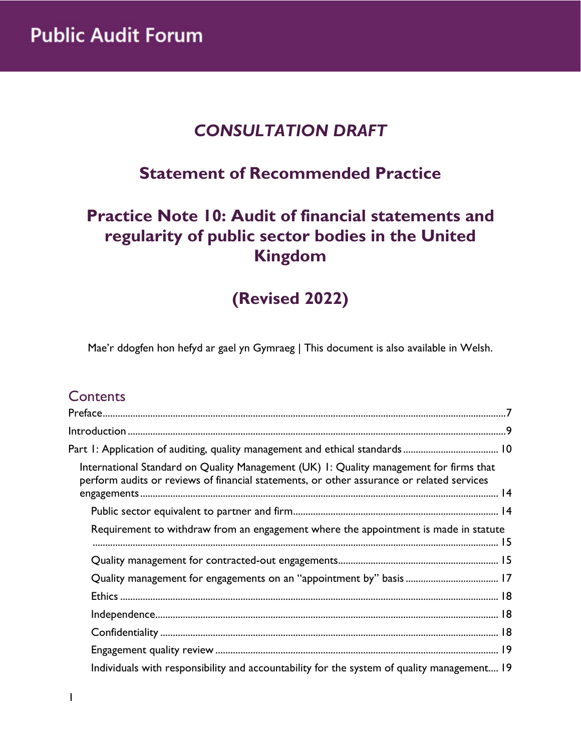## *CONSULTATION DRAFT*

## **Statement of Recommended Practice**

## **Practice Note 10: Audit of financial statements and regularity of public sector bodies in the United Kingdom**

## **(Revised 2022)**

Mae'r ddogfen hon hefyd ar gael yn Gymraeg | This document is also available in Welsh.

### **Contents**

| International Standard on Quality Management (UK) 1: Quality management for firms that<br>perform audits or reviews of financial statements, or other assurance or related services |  |
|-------------------------------------------------------------------------------------------------------------------------------------------------------------------------------------|--|
|                                                                                                                                                                                     |  |
| Requirement to withdraw from an engagement where the appointment is made in statute                                                                                                 |  |
|                                                                                                                                                                                     |  |
|                                                                                                                                                                                     |  |
|                                                                                                                                                                                     |  |
|                                                                                                                                                                                     |  |
|                                                                                                                                                                                     |  |
|                                                                                                                                                                                     |  |
| Individuals with responsibility and accountability for the system of quality management 19                                                                                          |  |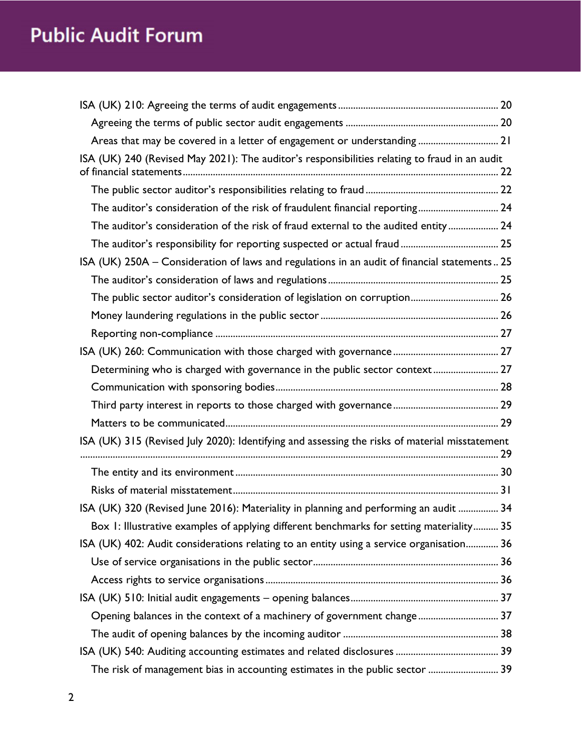| Areas that may be covered in a letter of engagement or understanding  21                       |  |
|------------------------------------------------------------------------------------------------|--|
| ISA (UK) 240 (Revised May 2021): The auditor's responsibilities relating to fraud in an audit  |  |
|                                                                                                |  |
| The auditor's consideration of the risk of fraudulent financial reporting 24                   |  |
| The auditor's consideration of the risk of fraud external to the audited entity 24             |  |
|                                                                                                |  |
| ISA (UK) 250A – Consideration of laws and regulations in an audit of financial statements 25   |  |
|                                                                                                |  |
| The public sector auditor's consideration of legislation on corruption 26                      |  |
|                                                                                                |  |
|                                                                                                |  |
|                                                                                                |  |
| Determining who is charged with governance in the public sector context 27                     |  |
|                                                                                                |  |
|                                                                                                |  |
|                                                                                                |  |
|                                                                                                |  |
| ISA (UK) 315 (Revised July 2020): Identifying and assessing the risks of material misstatement |  |
|                                                                                                |  |
|                                                                                                |  |
| ISA (UK) 320 (Revised June 2016): Materiality in planning and performing an audit  34          |  |
| Box 1: Illustrative examples of applying different benchmarks for setting materiality 35       |  |
| ISA (UK) 402: Audit considerations relating to an entity using a service organisation 36       |  |
|                                                                                                |  |
|                                                                                                |  |
|                                                                                                |  |
| Opening balances in the context of a machinery of government change 37                         |  |
|                                                                                                |  |
|                                                                                                |  |
| The risk of management bias in accounting estimates in the public sector  39                   |  |
|                                                                                                |  |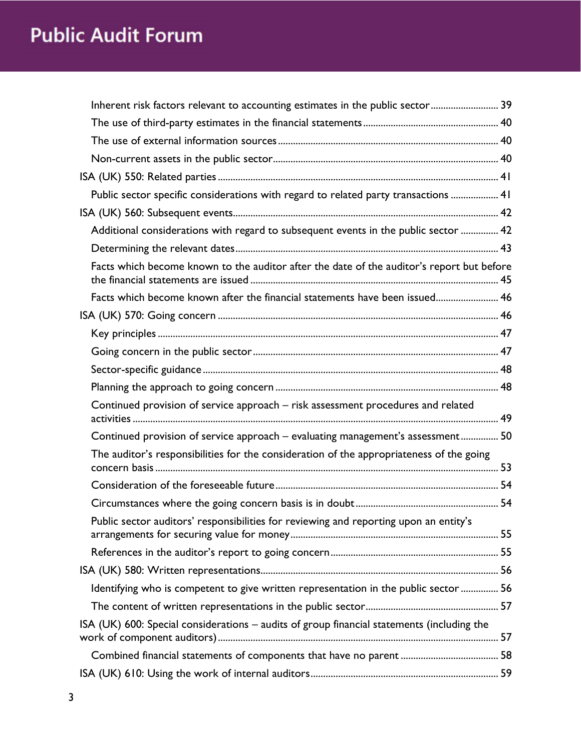| Inherent risk factors relevant to accounting estimates in the public sector 39             |  |
|--------------------------------------------------------------------------------------------|--|
|                                                                                            |  |
|                                                                                            |  |
|                                                                                            |  |
|                                                                                            |  |
| Public sector specific considerations with regard to related party transactions  41        |  |
|                                                                                            |  |
| Additional considerations with regard to subsequent events in the public sector  42        |  |
|                                                                                            |  |
| Facts which become known to the auditor after the date of the auditor's report but before  |  |
| Facts which become known after the financial statements have been issued 46                |  |
|                                                                                            |  |
|                                                                                            |  |
|                                                                                            |  |
|                                                                                            |  |
|                                                                                            |  |
| Continued provision of service approach - risk assessment procedures and related           |  |
|                                                                                            |  |
| Continued provision of service approach - evaluating management's assessment 50            |  |
| The auditor's responsibilities for the consideration of the appropriateness of the going   |  |
|                                                                                            |  |
|                                                                                            |  |
| Public sector auditors' responsibilities for reviewing and reporting upon an entity's      |  |
|                                                                                            |  |
|                                                                                            |  |
| Identifying who is competent to give written representation in the public sector  56       |  |
|                                                                                            |  |
| ISA (UK) 600: Special considerations - audits of group financial statements (including the |  |
|                                                                                            |  |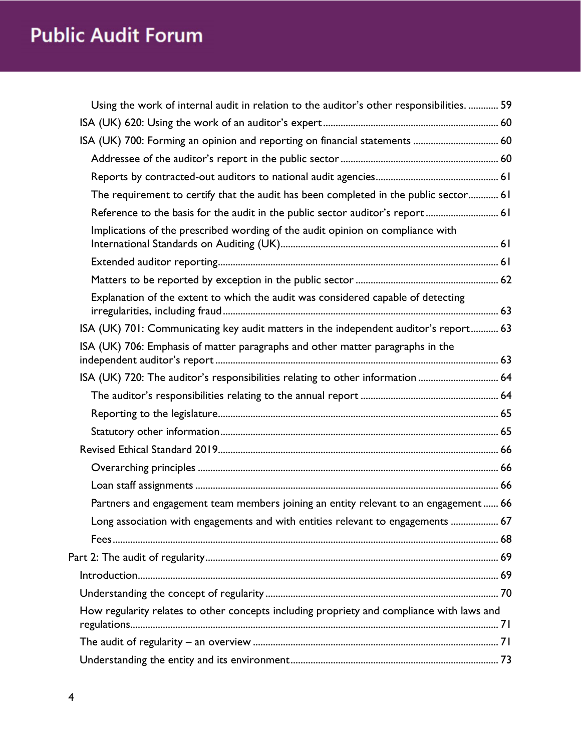| Using the work of internal audit in relation to the auditor's other responsibilities.  59 |  |
|-------------------------------------------------------------------------------------------|--|
|                                                                                           |  |
| ISA (UK) 700: Forming an opinion and reporting on financial statements  60                |  |
|                                                                                           |  |
|                                                                                           |  |
| The requirement to certify that the audit has been completed in the public sector 61      |  |
| Reference to the basis for the audit in the public sector auditor's report 61             |  |
| Implications of the prescribed wording of the audit opinion on compliance with            |  |
|                                                                                           |  |
|                                                                                           |  |
| Explanation of the extent to which the audit was considered capable of detecting          |  |
| ISA (UK) 701: Communicating key audit matters in the independent auditor's report 63      |  |
| ISA (UK) 706: Emphasis of matter paragraphs and other matter paragraphs in the            |  |
| ISA (UK) 720: The auditor's responsibilities relating to other information  64            |  |
|                                                                                           |  |
|                                                                                           |  |
|                                                                                           |  |
|                                                                                           |  |
|                                                                                           |  |
|                                                                                           |  |
| Partners and engagement team members joining an entity relevant to an engagement 66       |  |
| Long association with engagements and with entities relevant to engagements  67           |  |
|                                                                                           |  |
|                                                                                           |  |
|                                                                                           |  |
|                                                                                           |  |
| How regularity relates to other concepts including propriety and compliance with laws and |  |
|                                                                                           |  |
|                                                                                           |  |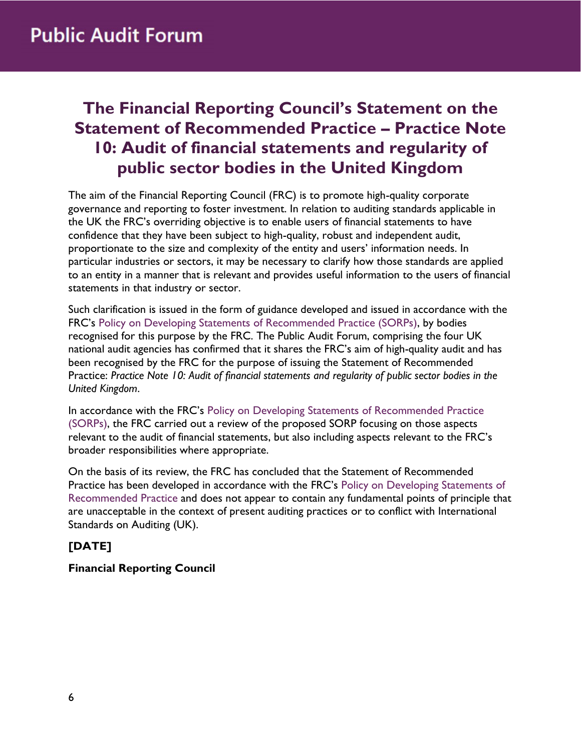## **The Financial Reporting Council's Statement on the Statement of Recommended Practice – Practice Note 10: Audit of financial statements and regularity of public sector bodies in the United Kingdom**

The aim of the Financial Reporting Council (FRC) is to promote high-quality corporate governance and reporting to foster investment. In relation to auditing standards applicable in the UK the FRC's overriding objective is to enable users of financial statements to have confidence that they have been subject to high-quality, robust and independent audit, proportionate to the size and complexity of the entity and users' information needs. In particular industries or sectors, it may be necessary to clarify how those standards are applied to an entity in a manner that is relevant and provides useful information to the users of financial statements in that industry or sector.

Such clarification is issued in the form of guidance developed and issued in accordance with the FRC's [Policy on Developing Statements of Recommended Practice \(SORPs\),](https://www.frc.org.uk/getattachment/b9d6b0a4-6c66-4618-bf54-04ce6949a899/Policy-on-Developing-SORPs-Jan-2021.pdf) by bodies recognised for this purpose by the FRC. The Public Audit Forum, comprising the four UK national audit agencies has confirmed that it shares the FRC's aim of high-quality audit and has been recognised by the FRC for the purpose of issuing the Statement of Recommended Practice: *Practice Note 10: Audit of financial statements and regularity of public sector bodies in the United Kingdom*.

In accordance with the FRC's [Policy on Developing Statements of Recommended Practice](https://www.frc.org.uk/getattachment/b9d6b0a4-6c66-4618-bf54-04ce6949a899/Policy-on-Developing-SORPs-Jan-2021.pdf)  [\(SORPs\),](https://www.frc.org.uk/getattachment/b9d6b0a4-6c66-4618-bf54-04ce6949a899/Policy-on-Developing-SORPs-Jan-2021.pdf) the FRC carried out a review of the proposed SORP focusing on those aspects relevant to the audit of financial statements, but also including aspects relevant to the FRC's broader responsibilities where appropriate.

On the basis of its review, the FRC has concluded that the Statement of Recommended Practice has been developed in accordance with the FRC's Policy on [Developing Statements of](https://www.frc.org.uk/getattachment/b9d6b0a4-6c66-4618-bf54-04ce6949a899/Policy-on-Developing-SORPs-Jan-2021.pdf)  [Recommended Practice](https://www.frc.org.uk/getattachment/b9d6b0a4-6c66-4618-bf54-04ce6949a899/Policy-on-Developing-SORPs-Jan-2021.pdf) and does not appear to contain any fundamental points of principle that are unacceptable in the context of present auditing practices or to conflict with International Standards on Auditing (UK).

### **[DATE]**

### **Financial Reporting Council**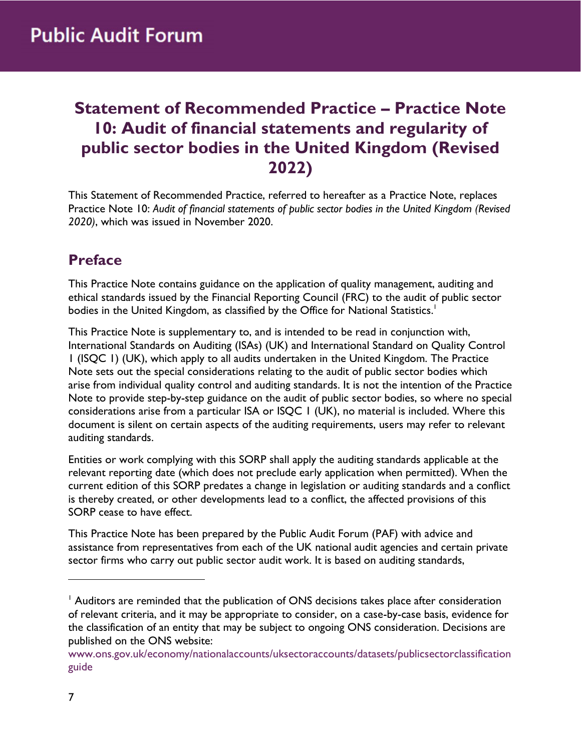## **Statement of Recommended Practice – Practice Note 10: Audit of financial statements and regularity of public sector bodies in the United Kingdom (Revised 2022)**

This Statement of Recommended Practice, referred to hereafter as a Practice Note, replaces Practice Note 10: *Audit of financial statements of public sector bodies in the United Kingdom (Revised 2020)*, which was issued in November 2020.

## <span id="page-6-0"></span>**Preface**

This Practice Note contains guidance on the application of quality management, auditing and ethical standards issued by the Financial Reporting Council (FRC) to the audit of public sector bodies in the United Kingdom, as classified by the Office for National Statistics.<sup>1</sup>

This Practice Note is supplementary to, and is intended to be read in conjunction with, International Standards on Auditing (ISAs) (UK) and International Standard on Quality Control 1 (ISQC 1) (UK), which apply to all audits undertaken in the United Kingdom. The Practice Note sets out the special considerations relating to the audit of public sector bodies which arise from individual quality control and auditing standards. It is not the intention of the Practice Note to provide step-by-step guidance on the audit of public sector bodies, so where no special considerations arise from a particular ISA or ISQC 1 (UK), no material is included. Where this document is silent on certain aspects of the auditing requirements, users may refer to relevant auditing standards.

Entities or work complying with this SORP shall apply the auditing standards applicable at the relevant reporting date (which does not preclude early application when permitted). When the current edition of this SORP predates a change in legislation or auditing standards and a conflict is thereby created, or other developments lead to a conflict, the affected provisions of this SORP cease to have effect.

This Practice Note has been prepared by the Public Audit Forum (PAF) with advice and assistance from representatives from each of the UK national audit agencies and certain private sector firms who carry out public sector audit work. It is based on auditing standards,

 $<sup>1</sup>$  Auditors are reminded that the publication of ONS decisions takes place after consideration</sup> of relevant criteria, and it may be appropriate to consider, on a case-by-case basis, evidence for the classification of an entity that may be subject to ongoing ONS consideration. Decisions are published on the ONS website:

[www.ons.gov.uk/economy/nationalaccounts/uksectoraccounts/datasets/publicsectorclassification](http://www.ons.gov.uk/economy/nationalaccounts/uksectoraccounts/datasets/publicsectorclassificationguide) [guide](http://www.ons.gov.uk/economy/nationalaccounts/uksectoraccounts/datasets/publicsectorclassificationguide)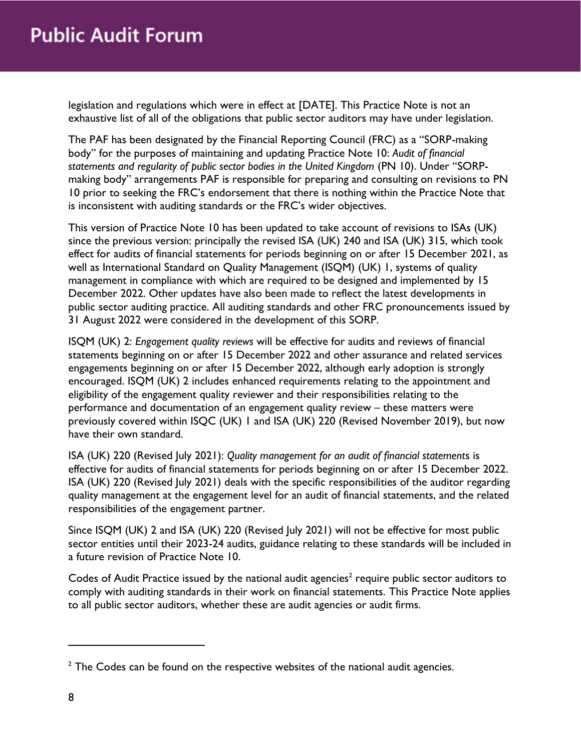legislation and regulations which were in effect at [DATE]. This Practice Note is not an exhaustive list of all of the obligations that public sector auditors may have under legislation.

The PAF has been designated by the Financial Reporting Council (FRC) as a "SORP-making body" for the purposes of maintaining and updating Practice Note 10: *Audit of financial statements and regularity of public sector bodies in the United Kingdom* (PN 10). Under "SORPmaking body" arrangements PAF is responsible for preparing and consulting on revisions to PN 10 prior to seeking the FRC's endorsement that there is nothing within the Practice Note that is inconsistent with auditing standards or the FRC's wider objectives.

This version of Practice Note 10 has been updated to take account of revisions to ISAs (UK) since the previous version: principally the revised ISA (UK) 240 and ISA (UK) 315, which took effect for audits of financial statements for periods beginning on or after 15 December 2021, as well as International Standard on Quality Management (ISQM) (UK) 1, systems of quality management in compliance with which are required to be designed and implemented by 15 December 2022. Other updates have also been made to reflect the latest developments in public sector auditing practice. All auditing standards and other FRC pronouncements issued by 31 August 2022 were considered in the development of this SORP.

ISQM (UK) 2: *Engagement quality reviews* will be effective for audits and reviews of financial statements beginning on or after 15 December 2022 and other assurance and related services engagements beginning on or after 15 December 2022, although early adoption is strongly encouraged. ISQM (UK) 2 includes enhanced requirements relating to the appointment and eligibility of the engagement quality reviewer and their responsibilities relating to the performance and documentation of an engagement quality review – these matters were previously covered within ISQC (UK) 1 and ISA (UK) 220 (Revised November 2019), but now have their own standard.

ISA (UK) 220 (Revised July 2021): *Quality management for an audit of financial statement*s is effective for audits of financial statements for periods beginning on or after 15 December 2022. ISA (UK) 220 (Revised July 2021) deals with the specific responsibilities of the auditor regarding quality management at the engagement level for an audit of financial statements, and the related responsibilities of the engagement partner.

Since ISQM (UK) 2 and ISA (UK) 220 (Revised July 2021) will not be effective for most public sector entities until their 2023-24 audits, guidance relating to these standards will be included in a future revision of Practice Note 10.

Codes of Audit Practice issued by the national audit agencies<sup>2</sup> require public sector auditors to comply with auditing standards in their work on financial statements. This Practice Note applies to all public sector auditors, whether these are audit agencies or audit firms.

 $2$  The Codes can be found on the respective websites of the national audit agencies.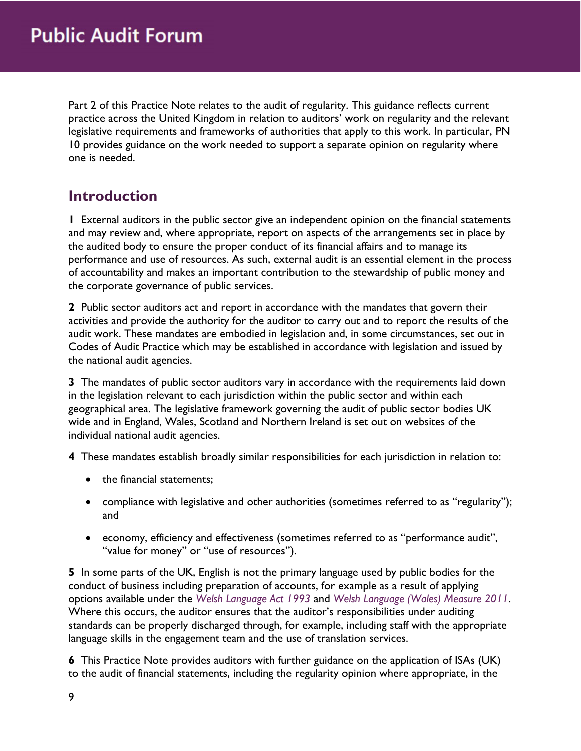Part 2 of this Practice Note relates to the audit of regularity. This guidance reflects current practice across the United Kingdom in relation to auditors' work on regularity and the relevant legislative requirements and frameworks of authorities that apply to this work. In particular, PN 10 provides guidance on the work needed to support a separate opinion on regularity where one is needed.

## <span id="page-8-0"></span>**Introduction**

**1** External auditors in the public sector give an independent opinion on the financial statements and may review and, where appropriate, report on aspects of the arrangements set in place by the audited body to ensure the proper conduct of its financial affairs and to manage its performance and use of resources. As such, external audit is an essential element in the process of accountability and makes an important contribution to the stewardship of public money and the corporate governance of public services.

**2** Public sector auditors act and report in accordance with the mandates that govern their activities and provide the authority for the auditor to carry out and to report the results of the audit work. These mandates are embodied in legislation and, in some circumstances, set out in Codes of Audit Practice which may be established in accordance with legislation and issued by the national audit agencies.

**3** The mandates of public sector auditors vary in accordance with the requirements laid down in the legislation relevant to each jurisdiction within the public sector and within each geographical area. The legislative framework governing the audit of public sector bodies UK wide and in England, Wales, Scotland and Northern Ireland is set out on websites of the individual national audit agencies.

**4** These mandates establish broadly similar responsibilities for each jurisdiction in relation to:

- the financial statements;
- compliance with legislative and other authorities (sometimes referred to as "regularity"); and
- economy, efficiency and effectiveness (sometimes referred to as "performance audit", "value for money" or "use of resources").

**5** In some parts of the UK, English is not the primary language used by public bodies for the conduct of business including preparation of accounts, for example as a result of applying options available under the *[Welsh Language Act 1993](https://www.legislation.gov.uk/ukpga/1993/38/introduction/2012-11-22)* and *[Welsh Language \(Wales\) Measure 2011](https://www.legislation.gov.uk/mwa/2011/1/contents)*. Where this occurs, the auditor ensures that the auditor's responsibilities under auditing standards can be properly discharged through, for example, including staff with the appropriate language skills in the engagement team and the use of translation services.

**6** This Practice Note provides auditors with further guidance on the application of ISAs (UK) to the audit of financial statements, including the regularity opinion where appropriate, in the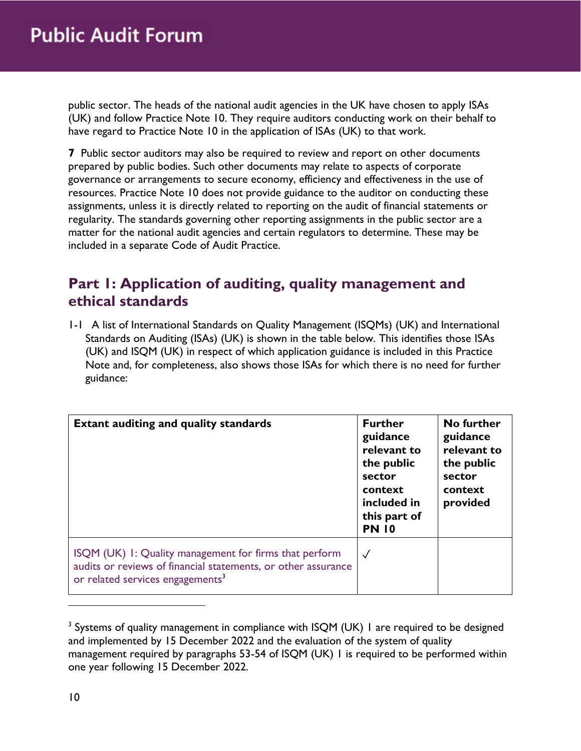public sector. The heads of the national audit agencies in the UK have chosen to apply ISAs (UK) and follow Practice Note 10. They require auditors conducting work on their behalf to have regard to Practice Note 10 in the application of ISAs (UK) to that work.

**7** Public sector auditors may also be required to review and report on other documents prepared by public bodies. Such other documents may relate to aspects of corporate governance or arrangements to secure economy, efficiency and effectiveness in the use of resources. Practice Note 10 does not provide guidance to the auditor on conducting these assignments, unless it is directly related to reporting on the audit of financial statements or regularity. The standards governing other reporting assignments in the public sector are a matter for the national audit agencies and certain regulators to determine. These may be included in a separate Code of Audit Practice.

### <span id="page-9-0"></span>**Part 1: Application of auditing, quality management and ethical standards**

1-1 A list of International Standards on Quality Management (ISQMs) (UK) and International Standards on Auditing (ISAs) (UK) is shown in the table below. This identifies those ISAs (UK) and ISQM (UK) in respect of which application guidance is included in this Practice Note and, for completeness, also shows those ISAs for which there is no need for further guidance:

| <b>Extant auditing and quality standards</b>                                                                                                                            | <b>Further</b><br>guidance<br>relevant to<br>the public<br>sector<br>context<br>included in<br>this part of<br><b>PN 10</b> | No further<br>guidance<br>relevant to<br>the public<br>sector<br>context<br>provided |
|-------------------------------------------------------------------------------------------------------------------------------------------------------------------------|-----------------------------------------------------------------------------------------------------------------------------|--------------------------------------------------------------------------------------|
| ISQM (UK) 1: Quality management for firms that perform<br>audits or reviews of financial statements, or other assurance<br>or related services engagements <sup>3</sup> | $\sqrt{}$                                                                                                                   |                                                                                      |

<sup>&</sup>lt;sup>3</sup> Systems of quality management in compliance with ISQM (UK) 1 are required to be designed and implemented by 15 December 2022 and the evaluation of the system of quality management required by paragraphs 53-54 of ISQM (UK) 1 is required to be performed within one year following 15 December 2022.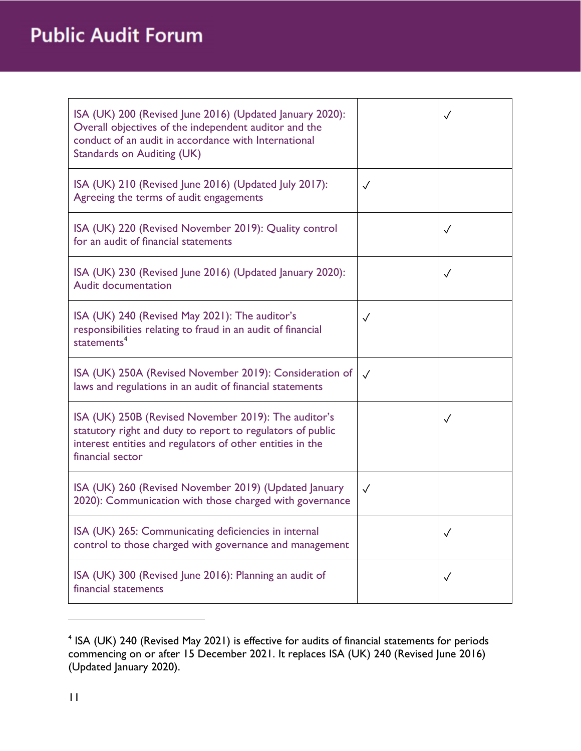| ISA (UK) 200 (Revised June 2016) (Updated January 2020):<br>Overall objectives of the independent auditor and the<br>conduct of an audit in accordance with International<br>Standards on Auditing (UK) |              | $\checkmark$ |
|---------------------------------------------------------------------------------------------------------------------------------------------------------------------------------------------------------|--------------|--------------|
| ISA (UK) 210 (Revised June 2016) (Updated July 2017):<br>Agreeing the terms of audit engagements                                                                                                        | $\checkmark$ |              |
| ISA (UK) 220 (Revised November 2019): Quality control<br>for an audit of financial statements                                                                                                           |              | $\checkmark$ |
| ISA (UK) 230 (Revised June 2016) (Updated January 2020):<br><b>Audit documentation</b>                                                                                                                  |              | $\checkmark$ |
| ISA (UK) 240 (Revised May 2021): The auditor's<br>responsibilities relating to fraud in an audit of financial<br>statements <sup>4</sup>                                                                | $\checkmark$ |              |
| ISA (UK) 250A (Revised November 2019): Consideration of<br>laws and regulations in an audit of financial statements                                                                                     | $\sqrt{}$    |              |
| ISA (UK) 250B (Revised November 2019): The auditor's<br>statutory right and duty to report to regulators of public<br>interest entities and regulators of other entities in the<br>financial sector     |              | $\checkmark$ |
| ISA (UK) 260 (Revised November 2019) (Updated January<br>2020): Communication with those charged with governance                                                                                        | $\checkmark$ |              |
| ISA (UK) 265: Communicating deficiencies in internal<br>control to those charged with governance and management                                                                                         |              | ✓            |
| ISA (UK) 300 (Revised June 2016): Planning an audit of<br>financial statements                                                                                                                          |              | $\checkmark$ |

<sup>&</sup>lt;sup>4</sup> ISA (UK) 240 (Revised May 2021) is effective for audits of financial statements for periods commencing on or after 15 December 2021. It replaces ISA (UK) 240 (Revised June 2016) (Updated January 2020).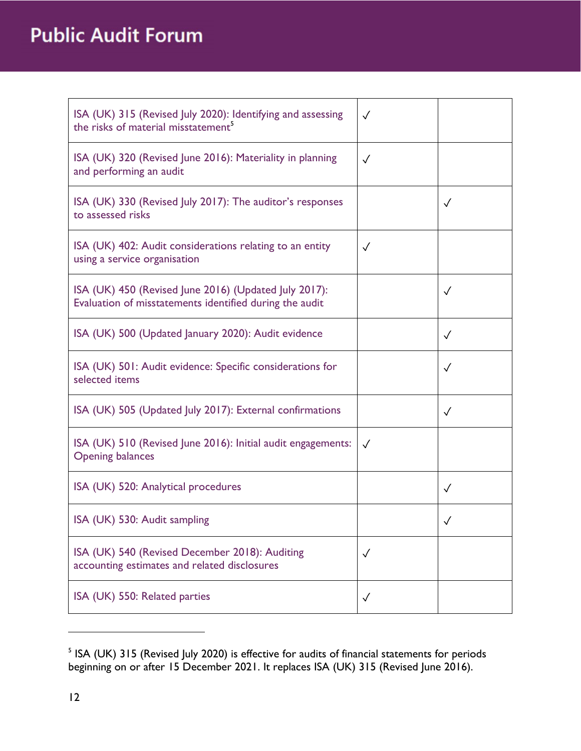| ISA (UK) 315 (Revised July 2020): Identifying and assessing<br>the risks of material misstatement <sup>5</sup>   | $\checkmark$ |              |
|------------------------------------------------------------------------------------------------------------------|--------------|--------------|
| ISA (UK) 320 (Revised June 2016): Materiality in planning<br>and performing an audit                             | $\checkmark$ |              |
| ISA (UK) 330 (Revised July 2017): The auditor's responses<br>to assessed risks                                   |              | $\checkmark$ |
| ISA (UK) 402: Audit considerations relating to an entity<br>using a service organisation                         | $\checkmark$ |              |
| ISA (UK) 450 (Revised June 2016) (Updated July 2017):<br>Evaluation of misstatements identified during the audit |              | $\checkmark$ |
| ISA (UK) 500 (Updated January 2020): Audit evidence                                                              |              | $\sqrt{}$    |
| ISA (UK) 501: Audit evidence: Specific considerations for<br>selected items                                      |              | $\checkmark$ |
| ISA (UK) 505 (Updated July 2017): External confirmations                                                         |              | $\checkmark$ |
| ISA (UK) 510 (Revised June 2016): Initial audit engagements:<br><b>Opening balances</b>                          | $\checkmark$ |              |
| ISA (UK) 520: Analytical procedures                                                                              |              | $\sqrt{}$    |
| ISA (UK) 530: Audit sampling                                                                                     |              |              |
| ISA (UK) 540 (Revised December 2018): Auditing<br>accounting estimates and related disclosures                   | $\checkmark$ |              |
| ISA (UK) 550: Related parties                                                                                    | $\checkmark$ |              |

 $<sup>5</sup>$  ISA (UK) 315 (Revised July 2020) is effective for audits of financial statements for periods</sup> beginning on or after 15 December 2021. It replaces ISA (UK) 315 (Revised June 2016).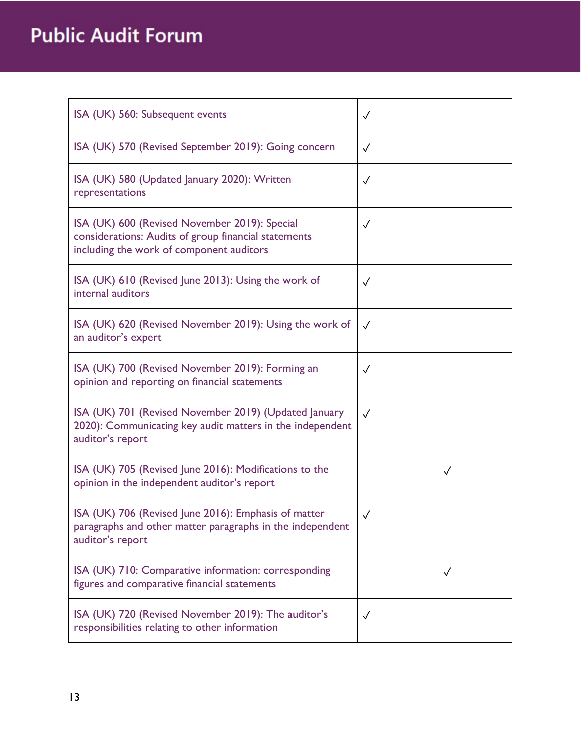| ISA (UK) 560: Subsequent events                                                                                                                   | $\checkmark$ |              |
|---------------------------------------------------------------------------------------------------------------------------------------------------|--------------|--------------|
| ISA (UK) 570 (Revised September 2019): Going concern                                                                                              | $\checkmark$ |              |
| ISA (UK) 580 (Updated January 2020): Written<br>representations                                                                                   | $\checkmark$ |              |
| ISA (UK) 600 (Revised November 2019): Special<br>considerations: Audits of group financial statements<br>including the work of component auditors | $\checkmark$ |              |
| ISA (UK) 610 (Revised June 2013): Using the work of<br>internal auditors                                                                          | $\checkmark$ |              |
| ISA (UK) 620 (Revised November 2019): Using the work of<br>an auditor's expert                                                                    | $\checkmark$ |              |
| ISA (UK) 700 (Revised November 2019): Forming an<br>opinion and reporting on financial statements                                                 | $\checkmark$ |              |
| ISA (UK) 701 (Revised November 2019) (Updated January<br>2020): Communicating key audit matters in the independent<br>auditor's report            | $\checkmark$ |              |
| ISA (UK) 705 (Revised June 2016): Modifications to the<br>opinion in the independent auditor's report                                             |              | $\checkmark$ |
| ISA (UK) 706 (Revised June 2016): Emphasis of matter<br>paragraphs and other matter paragraphs in the independent<br>auditor's report             | $\checkmark$ |              |
| ISA (UK) 710: Comparative information: corresponding<br>figures and comparative financial statements                                              |              | $\checkmark$ |
| ISA (UK) 720 (Revised November 2019): The auditor's<br>responsibilities relating to other information                                             | $\checkmark$ |              |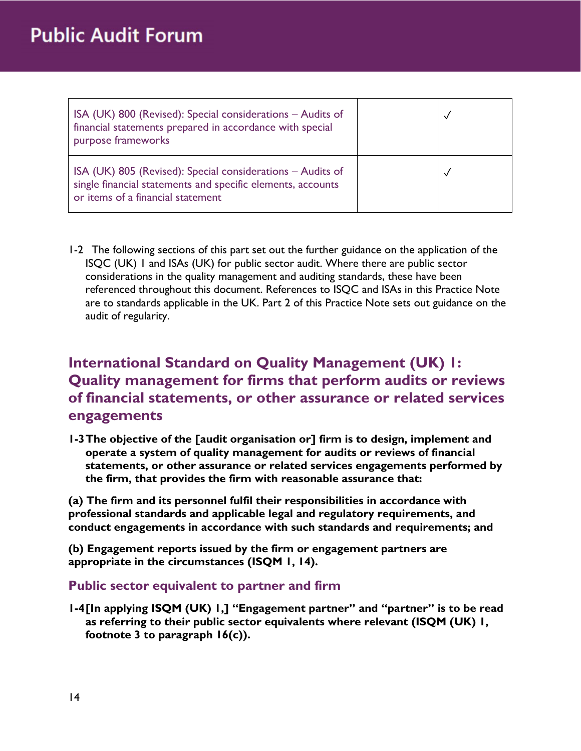| ISA (UK) 800 (Revised): Special considerations – Audits of<br>financial statements prepared in accordance with special<br>purpose frameworks                   |  |
|----------------------------------------------------------------------------------------------------------------------------------------------------------------|--|
| ISA (UK) 805 (Revised): Special considerations - Audits of<br>single financial statements and specific elements, accounts<br>or items of a financial statement |  |

1-2The following sections of this part set out the further guidance on the application of the ISQC (UK) 1 and ISAs (UK) for public sector audit. Where there are public sector considerations in the quality management and auditing standards, these have been referenced throughout this document. References to ISQC and ISAs in this Practice Note are to standards applicable in the UK. Part 2 of this Practice Note sets out guidance on the audit of regularity.

## <span id="page-13-0"></span>**International Standard on Quality Management (UK) 1: Quality management for firms that perform audits or reviews of financial statements, or other assurance or related services engagements**

**1-3The objective of the [audit organisation or] firm is to design, implement and operate a system of quality management for audits or reviews of financial statements, or other assurance or related services engagements performed by the firm, that provides the firm with reasonable assurance that:**

**(a) The firm and its personnel fulfil their responsibilities in accordance with professional standards and applicable legal and regulatory requirements, and conduct engagements in accordance with such standards and requirements; and**

**(b) Engagement reports issued by the firm or engagement partners are appropriate in the circumstances (ISQM 1, 14).**

### <span id="page-13-1"></span>**Public sector equivalent to partner and firm**

**1-4[In applying ISQM (UK) 1,] "Engagement partner" and "partner" is to be read as referring to their public sector equivalents where relevant (ISQM (UK) 1, footnote 3 to paragraph 16(c)).**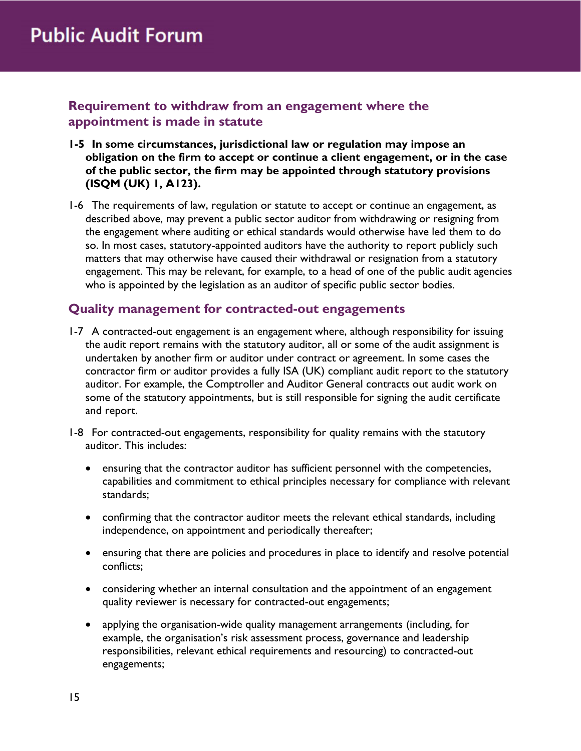### <span id="page-14-0"></span>**Requirement to withdraw from an engagement where the appointment is made in statute**

- **1-5 In some circumstances, jurisdictional law or regulation may impose an obligation on the firm to accept or continue a client engagement, or in the case of the public sector, the firm may be appointed through statutory provisions (ISQM (UK) 1, A123).**
- 1-6The requirements of law, regulation or statute to accept or continue an engagement, as described above, may prevent a public sector auditor from withdrawing or resigning from the engagement where auditing or ethical standards would otherwise have led them to do so. In most cases, statutory-appointed auditors have the authority to report publicly such matters that may otherwise have caused their withdrawal or resignation from a statutory engagement. This may be relevant, for example, to a head of one of the public audit agencies who is appointed by the legislation as an auditor of specific public sector bodies.

### <span id="page-14-1"></span>**Quality management for contracted-out engagements**

- 1-7A contracted-out engagement is an engagement where, although responsibility for issuing the audit report remains with the statutory auditor, all or some of the audit assignment is undertaken by another firm or auditor under contract or agreement. In some cases the contractor firm or auditor provides a fully ISA (UK) compliant audit report to the statutory auditor. For example, the Comptroller and Auditor General contracts out audit work on some of the statutory appointments, but is still responsible for signing the audit certificate and report.
- 1-8For contracted-out engagements, responsibility for quality remains with the statutory auditor. This includes:
	- ensuring that the contractor auditor has sufficient personnel with the competencies, capabilities and commitment to ethical principles necessary for compliance with relevant standards;
	- confirming that the contractor auditor meets the relevant ethical standards, including independence, on appointment and periodically thereafter;
	- ensuring that there are policies and procedures in place to identify and resolve potential conflicts;
	- considering whether an internal consultation and the appointment of an engagement quality reviewer is necessary for contracted-out engagements;
	- applying the organisation-wide quality management arrangements (including, for example, the organisation's risk assessment process, governance and leadership responsibilities, relevant ethical requirements and resourcing) to contracted-out engagements;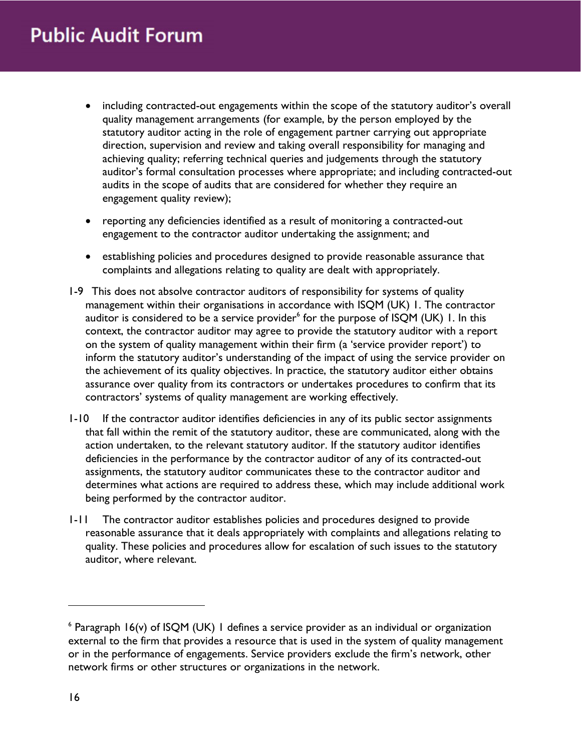- including contracted-out engagements within the scope of the statutory auditor's overall quality management arrangements (for example, by the person employed by the statutory auditor acting in the role of engagement partner carrying out appropriate direction, supervision and review and taking overall responsibility for managing and achieving quality; referring technical queries and judgements through the statutory auditor's formal consultation processes where appropriate; and including contracted-out audits in the scope of audits that are considered for whether they require an engagement quality review);
- reporting any deficiencies identified as a result of monitoring a contracted-out engagement to the contractor auditor undertaking the assignment; and
- establishing policies and procedures designed to provide reasonable assurance that complaints and allegations relating to quality are dealt with appropriately.
- 1-9This does not absolve contractor auditors of responsibility for systems of quality management within their organisations in accordance with ISQM (UK) 1. The contractor auditor is considered to be a service provider $^6$  for the purpose of ISQM (UK) 1. In this context, the contractor auditor may agree to provide the statutory auditor with a report on the system of quality management within their firm (a 'service provider report') to inform the statutory auditor's understanding of the impact of using the service provider on the achievement of its quality objectives. In practice, the statutory auditor either obtains assurance over quality from its contractors or undertakes procedures to confirm that its contractors' systems of quality management are working effectively.
- 1-10 If the contractor auditor identifies deficiencies in any of its public sector assignments that fall within the remit of the statutory auditor, these are communicated, along with the action undertaken, to the relevant statutory auditor. If the statutory auditor identifies deficiencies in the performance by the contractor auditor of any of its contracted-out assignments, the statutory auditor communicates these to the contractor auditor and determines what actions are required to address these, which may include additional work being performed by the contractor auditor.
- 1-11 The contractor auditor establishes policies and procedures designed to provide reasonable assurance that it deals appropriately with complaints and allegations relating to quality. These policies and procedures allow for escalation of such issues to the statutory auditor, where relevant.

 $6$  Paragraph 16(v) of ISQM (UK) 1 defines a service provider as an individual or organization external to the firm that provides a resource that is used in the system of quality management or in the performance of engagements. Service providers exclude the firm's network, other network firms or other structures or organizations in the network.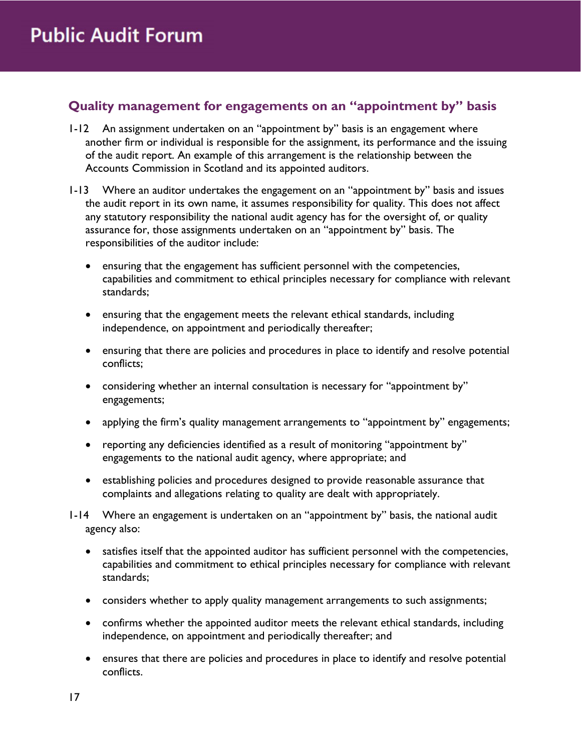### <span id="page-16-0"></span>**Quality management for engagements on an "appointment by" basis**

- 1-12 An assignment undertaken on an "appointment by" basis is an engagement where another firm or individual is responsible for the assignment, its performance and the issuing of the audit report. An example of this arrangement is the relationship between the Accounts Commission in Scotland and its appointed auditors.
- 1-13 Where an auditor undertakes the engagement on an "appointment by" basis and issues the audit report in its own name, it assumes responsibility for quality. This does not affect any statutory responsibility the national audit agency has for the oversight of, or quality assurance for, those assignments undertaken on an "appointment by" basis. The responsibilities of the auditor include:
	- ensuring that the engagement has sufficient personnel with the competencies, capabilities and commitment to ethical principles necessary for compliance with relevant standards;
	- ensuring that the engagement meets the relevant ethical standards, including independence, on appointment and periodically thereafter;
	- ensuring that there are policies and procedures in place to identify and resolve potential conflicts;
	- considering whether an internal consultation is necessary for "appointment by" engagements;
	- applying the firm's quality management arrangements to "appointment by" engagements;
	- reporting any deficiencies identified as a result of monitoring "appointment by" engagements to the national audit agency, where appropriate; and
	- establishing policies and procedures designed to provide reasonable assurance that complaints and allegations relating to quality are dealt with appropriately.
- 1-14 Where an engagement is undertaken on an "appointment by" basis, the national audit agency also:
	- satisfies itself that the appointed auditor has sufficient personnel with the competencies, capabilities and commitment to ethical principles necessary for compliance with relevant standards;
	- considers whether to apply quality management arrangements to such assignments;
	- confirms whether the appointed auditor meets the relevant ethical standards, including independence, on appointment and periodically thereafter; and
	- ensures that there are policies and procedures in place to identify and resolve potential conflicts.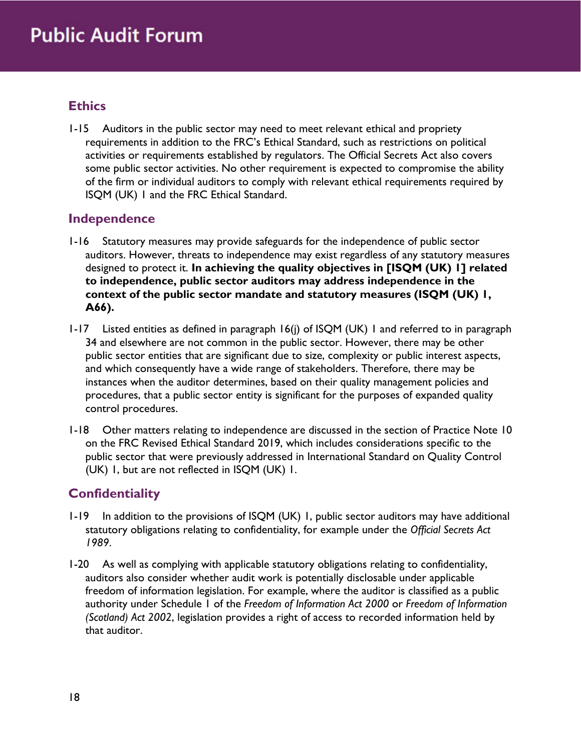### <span id="page-17-0"></span>**Ethics**

1-15 Auditors in the public sector may need to meet relevant ethical and propriety requirements in addition to the FRC's Ethical Standard, such as restrictions on political activities or requirements established by regulators. The Official Secrets Act also covers some public sector activities. No other requirement is expected to compromise the ability of the firm or individual auditors to comply with relevant ethical requirements required by ISQM (UK) 1 and the FRC Ethical Standard.

### <span id="page-17-1"></span>**Independence**

- 1-16 Statutory measures may provide safeguards for the independence of public sector auditors. However, threats to independence may exist regardless of any statutory measures designed to protect it. **In achieving the quality objectives in [ISQM (UK) 1] related to independence, public sector auditors may address independence in the context of the public sector mandate and statutory measures (ISQM (UK) 1, A66).**
- 1-17 Listed entities as defined in paragraph 16(j) of ISQM (UK) 1 and referred to in paragraph 34 and elsewhere are not common in the public sector. However, there may be other public sector entities that are significant due to size, complexity or public interest aspects, and which consequently have a wide range of stakeholders. Therefore, there may be instances when the auditor determines, based on their quality management policies and procedures, that a public sector entity is significant for the purposes of expanded quality control procedures.
- 1-18 Other matters relating to independence are discussed in the section of Practice Note 10 on the FRC Revised Ethical Standard 2019, which includes considerations specific to the public sector that were previously addressed in International Standard on Quality Control (UK) 1, but are not reflected in ISQM (UK) 1.

### <span id="page-17-2"></span>**Confidentiality**

- 1-19 In addition to the provisions of ISQM (UK) 1, public sector auditors may have additional statutory obligations relating to confidentiality, for example under the *Official Secrets Act 1989*.
- 1-20 As well as complying with applicable statutory obligations relating to confidentiality, auditors also consider whether audit work is potentially disclosable under applicable freedom of information legislation. For example, where the auditor is classified as a public authority under Schedule 1 of the *Freedom of Information Act 2000* or *Freedom of Information (Scotland) Act 2002*, legislation provides a right of access to recorded information held by that auditor.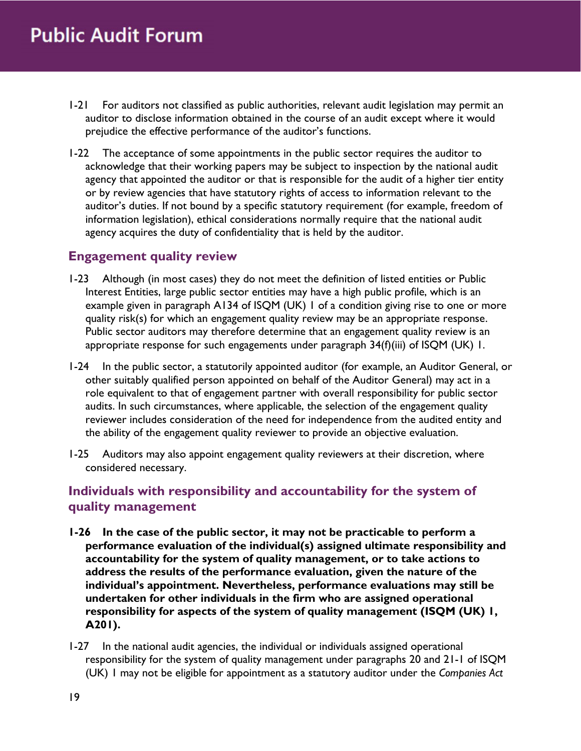- 1-21 For auditors not classified as public authorities, relevant audit legislation may permit an auditor to disclose information obtained in the course of an audit except where it would prejudice the effective performance of the auditor's functions.
- 1-22 The acceptance of some appointments in the public sector requires the auditor to acknowledge that their working papers may be subject to inspection by the national audit agency that appointed the auditor or that is responsible for the audit of a higher tier entity or by review agencies that have statutory rights of access to information relevant to the auditor's duties. If not bound by a specific statutory requirement (for example, freedom of information legislation), ethical considerations normally require that the national audit agency acquires the duty of confidentiality that is held by the auditor.

#### <span id="page-18-0"></span>**Engagement quality review**

- 1-23 Although (in most cases) they do not meet the definition of listed entities or Public Interest Entities, large public sector entities may have a high public profile, which is an example given in paragraph A134 of ISQM (UK) 1 of a condition giving rise to one or more quality risk(s) for which an engagement quality review may be an appropriate response. Public sector auditors may therefore determine that an engagement quality review is an appropriate response for such engagements under paragraph 34(f)(iii) of ISQM (UK) 1.
- 1-24 In the public sector, a statutorily appointed auditor (for example, an Auditor General, or other suitably qualified person appointed on behalf of the Auditor General) may act in a role equivalent to that of engagement partner with overall responsibility for public sector audits. In such circumstances, where applicable, the selection of the engagement quality reviewer includes consideration of the need for independence from the audited entity and the ability of the engagement quality reviewer to provide an objective evaluation.
- 1-25 Auditors may also appoint engagement quality reviewers at their discretion, where considered necessary.

### <span id="page-18-1"></span>**Individuals with responsibility and accountability for the system of quality management**

- **1-26 In the case of the public sector, it may not be practicable to perform a performance evaluation of the individual(s) assigned ultimate responsibility and accountability for the system of quality management, or to take actions to address the results of the performance evaluation, given the nature of the individual's appointment. Nevertheless, performance evaluations may still be undertaken for other individuals in the firm who are assigned operational responsibility for aspects of the system of quality management (ISQM (UK) 1, A201).**
- 1-27 In the national audit agencies, the individual or individuals assigned operational responsibility for the system of quality management under paragraphs 20 and 21-1 of ISQM (UK) 1 may not be eligible for appointment as a statutory auditor under the *Companies Act*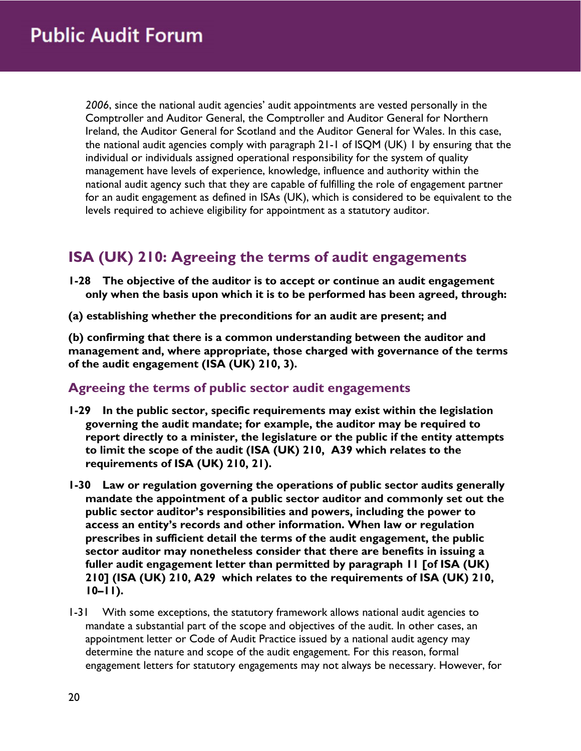*2006*, since the national audit agencies' audit appointments are vested personally in the Comptroller and Auditor General, the Comptroller and Auditor General for Northern Ireland, the Auditor General for Scotland and the Auditor General for Wales. In this case, the national audit agencies comply with paragraph 21-1 of ISQM (UK) 1 by ensuring that the individual or individuals assigned operational responsibility for the system of quality management have levels of experience, knowledge, influence and authority within the national audit agency such that they are capable of fulfilling the role of engagement partner for an audit engagement as defined in ISAs (UK), which is considered to be equivalent to the levels required to achieve eligibility for appointment as a statutory auditor.

## <span id="page-19-0"></span>**ISA (UK) 210: Agreeing the terms of audit engagements**

- **1-28 The objective of the auditor is to accept or continue an audit engagement only when the basis upon which it is to be performed has been agreed, through:**
- **(a) establishing whether the preconditions for an audit are present; and**

**(b) confirming that there is a common understanding between the auditor and management and, where appropriate, those charged with governance of the terms of the audit engagement (ISA (UK) 210, 3).**

### <span id="page-19-1"></span>**Agreeing the terms of public sector audit engagements**

- **1-29 In the public sector, specific requirements may exist within the legislation governing the audit mandate; for example, the auditor may be required to report directly to a minister, the legislature or the public if the entity attempts to limit the scope of the audit (ISA (UK) [210,](https://library.croneri.co.uk/isauk210r1&p=#a37.) A39 which relates to the requirements of ISA (UK) [210, 21\)](https://library.croneri.co.uk/isauk210r1&p=#21.).**
- **1-30 Law or regulation governing the operations of public sector audits generally mandate the appointment of a public sector auditor and commonly set out the public sector auditor's responsibilities and powers, including the power to access an entity's records and other information. When law or regulation prescribes in sufficient detail the terms of the audit engagement, the public sector auditor may nonetheless consider that there are benefits in issuing a fuller audit engagement letter than permitted by paragraph 11 [of ISA (UK) 210] (ISA (UK) 210, A29 which relates to the requirements of ISA (UK) 210, 10–11).**
- 1-31 With some exceptions, the statutory framework allows national audit agencies to mandate a substantial part of the scope and objectives of the audit. In other cases, an appointment letter or Code of Audit Practice issued by a national audit agency may determine the nature and scope of the audit engagement. For this reason, formal engagement letters for statutory engagements may not always be necessary. However, for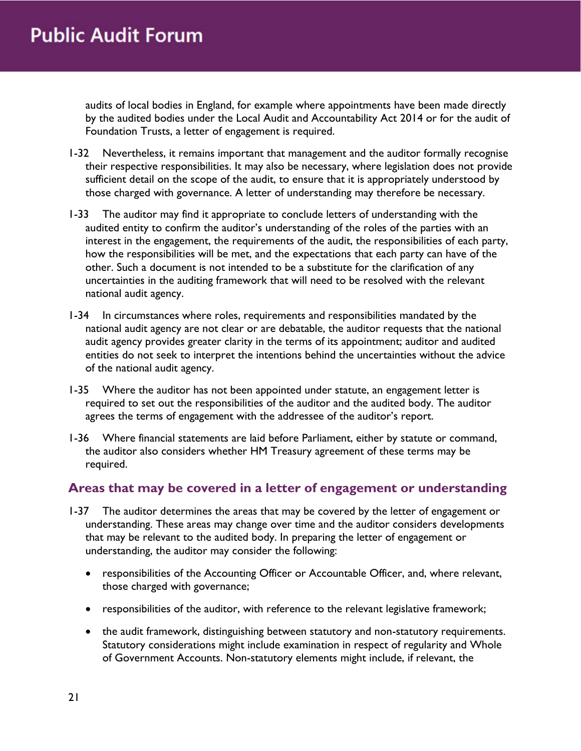audits of local bodies in England, for example where appointments have been made directly by the audited bodies under the Local Audit and Accountability Act 2014 or for the audit of Foundation Trusts, a letter of engagement is required.

- 1-32 Nevertheless, it remains important that management and the auditor formally recognise their respective responsibilities. It may also be necessary, where legislation does not provide sufficient detail on the scope of the audit, to ensure that it is appropriately understood by those charged with governance. A letter of understanding may therefore be necessary.
- 1-33 The auditor may find it appropriate to conclude letters of understanding with the audited entity to confirm the auditor's understanding of the roles of the parties with an interest in the engagement, the requirements of the audit, the responsibilities of each party, how the responsibilities will be met, and the expectations that each party can have of the other. Such a document is not intended to be a substitute for the clarification of any uncertainties in the auditing framework that will need to be resolved with the relevant national audit agency.
- 1-34 In circumstances where roles, requirements and responsibilities mandated by the national audit agency are not clear or are debatable, the auditor requests that the national audit agency provides greater clarity in the terms of its appointment; auditor and audited entities do not seek to interpret the intentions behind the uncertainties without the advice of the national audit agency.
- 1-35 Where the auditor has not been appointed under statute, an engagement letter is required to set out the responsibilities of the auditor and the audited body. The auditor agrees the terms of engagement with the addressee of the auditor's report.
- 1-36 Where financial statements are laid before Parliament, either by statute or command, the auditor also considers whether HM Treasury agreement of these terms may be required.

### <span id="page-20-0"></span>**Areas that may be covered in a letter of engagement or understanding**

- 1-37 The auditor determines the areas that may be covered by the letter of engagement or understanding. These areas may change over time and the auditor considers developments that may be relevant to the audited body. In preparing the letter of engagement or understanding, the auditor may consider the following:
	- responsibilities of the Accounting Officer or Accountable Officer, and, where relevant, those charged with governance;
	- responsibilities of the auditor, with reference to the relevant legislative framework;
	- the audit framework, distinguishing between statutory and non-statutory requirements. Statutory considerations might include examination in respect of regularity and Whole of Government Accounts. Non-statutory elements might include, if relevant, the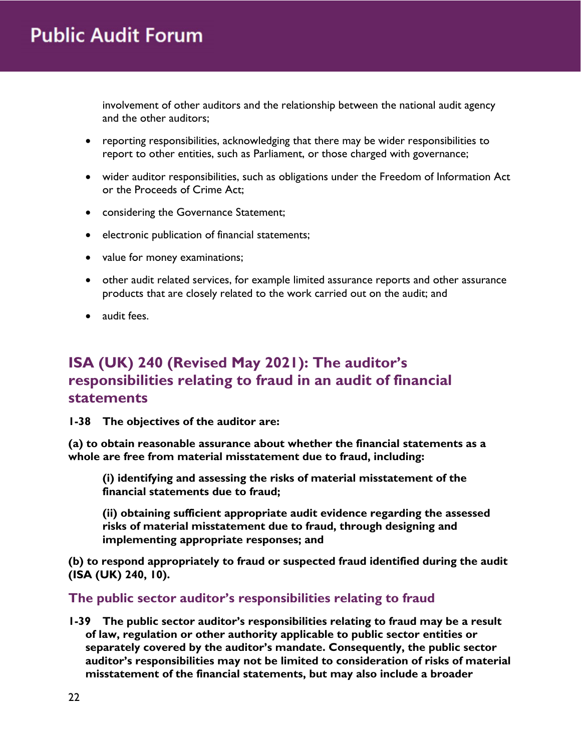involvement of other auditors and the relationship between the national audit agency and the other auditors;

- reporting responsibilities, acknowledging that there may be wider responsibilities to report to other entities, such as Parliament, or those charged with governance;
- wider auditor responsibilities, such as obligations under the Freedom of Information Act or the Proceeds of Crime Act;
- considering the Governance Statement;
- electronic publication of financial statements;
- value for money examinations;
- other audit related services, for example limited assurance reports and other assurance products that are closely related to the work carried out on the audit; and
- audit fees.

## <span id="page-21-0"></span>**ISA (UK) 240 (Revised May 2021): The auditor's responsibilities relating to fraud in an audit of financial statements**

**1-38 The objectives of the auditor are:**

**(a) to obtain reasonable assurance about whether the financial statements as a whole are free from material misstatement due to fraud, including:**

**(i) identifying and assessing the risks of material misstatement of the financial statements due to fraud;**

**(ii) obtaining sufficient appropriate audit evidence regarding the assessed risks of material misstatement due to fraud, through designing and implementing appropriate responses; and**

**(b) to respond appropriately to fraud or suspected fraud identified during the audit (ISA (UK) 240, 10).**

### <span id="page-21-1"></span>**The public sector auditor's responsibilities relating to fraud**

**1-39 The public sector auditor's responsibilities relating to fraud may be a result of law, regulation or other authority applicable to public sector entities or separately covered by the auditor's mandate. Consequently, the public sector auditor's responsibilities may not be limited to consideration of risks of material misstatement of the financial statements, but may also include a broader**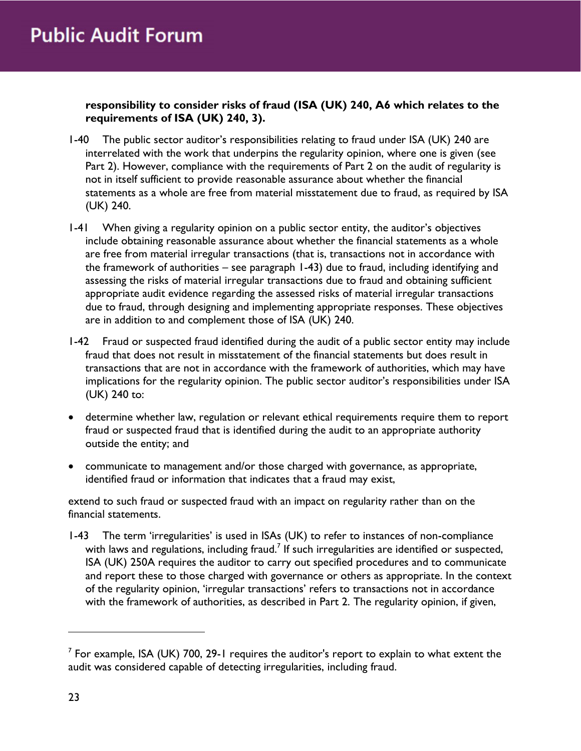#### **responsibility to consider risks of fraud (ISA (UK) 240, A6 which relates to the requirements of ISA (UK) 240, 3).**

- 1-40 The public sector auditor's responsibilities relating to fraud under ISA (UK) 240 are interrelated with the work that underpins the regularity opinion, where one is given (see Part 2). However, compliance with the requirements of Part 2 on the audit of regularity is not in itself sufficient to provide reasonable assurance about whether the financial statements as a whole are free from material misstatement due to fraud, as required by ISA (UK) 240.
- 1-41 When giving a regularity opinion on a public sector entity, the auditor's objectives include obtaining reasonable assurance about whether the financial statements as a whole are free from material irregular transactions (that is, transactions not in accordance with the framework of authorities – see paragraph 1-43) due to fraud, including identifying and assessing the risks of material irregular transactions due to fraud and obtaining sufficient appropriate audit evidence regarding the assessed risks of material irregular transactions due to fraud, through designing and implementing appropriate responses. These objectives are in addition to and complement those of ISA (UK) 240.
- 1-42 Fraud or suspected fraud identified during the audit of a public sector entity may include fraud that does not result in misstatement of the financial statements but does result in transactions that are not in accordance with the framework of authorities, which may have implications for the regularity opinion. The public sector auditor's responsibilities under ISA (UK) 240 to:
- determine whether law, regulation or relevant ethical requirements require them to report fraud or suspected fraud that is identified during the audit to an appropriate authority outside the entity; and
- communicate to management and/or those charged with governance, as appropriate, identified fraud or information that indicates that a fraud may exist,

extend to such fraud or suspected fraud with an impact on regularity rather than on the financial statements.

1-43 The term 'irregularities' is used in ISAs (UK) to refer to instances of non-compliance with laws and regulations, including fraud.<sup>7</sup> If such irregularities are identified or suspected, ISA (UK) 250A requires the auditor to carry out specified procedures and to communicate and report these to those charged with governance or others as appropriate. In the context of the regularity opinion, 'irregular transactions' refers to transactions not in accordance with the framework of authorities, as described in Part 2. The regularity opinion, if given,

 $7$  For example, ISA (UK) 700, 29-1 requires the auditor's report to explain to what extent the audit was considered capable of detecting irregularities, including fraud.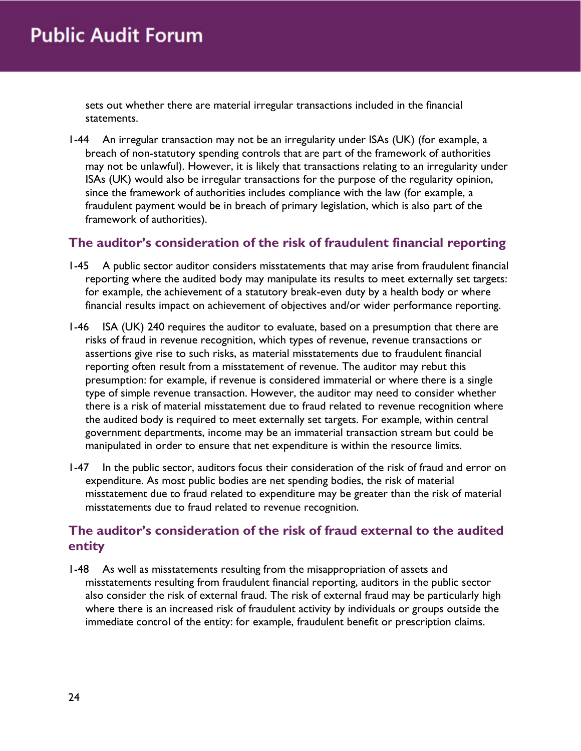sets out whether there are material irregular transactions included in the financial statements.

1-44 An irregular transaction may not be an irregularity under ISAs (UK) (for example, a breach of non-statutory spending controls that are part of the framework of authorities may not be unlawful). However, it is likely that transactions relating to an irregularity under ISAs (UK) would also be irregular transactions for the purpose of the regularity opinion, since the framework of authorities includes compliance with the law (for example, a fraudulent payment would be in breach of primary legislation, which is also part of the framework of authorities).

### <span id="page-23-0"></span>**The auditor's consideration of the risk of fraudulent financial reporting**

- 1-45 A public sector auditor considers misstatements that may arise from fraudulent financial reporting where the audited body may manipulate its results to meet externally set targets: for example, the achievement of a statutory break-even duty by a health body or where financial results impact on achievement of objectives and/or wider performance reporting.
- 1-46 ISA (UK) 240 requires the auditor to evaluate, based on a presumption that there are risks of fraud in revenue recognition, which types of revenue, revenue transactions or assertions give rise to such risks, as material misstatements due to fraudulent financial reporting often result from a misstatement of revenue. The auditor may rebut this presumption: for example, if revenue is considered immaterial or where there is a single type of simple revenue transaction. However, the auditor may need to consider whether there is a risk of material misstatement due to fraud related to revenue recognition where the audited body is required to meet externally set targets. For example, within central government departments, income may be an immaterial transaction stream but could be manipulated in order to ensure that net expenditure is within the resource limits.
- 1-47 In the public sector, auditors focus their consideration of the risk of fraud and error on expenditure. As most public bodies are net spending bodies, the risk of material misstatement due to fraud related to expenditure may be greater than the risk of material misstatements due to fraud related to revenue recognition.

### <span id="page-23-1"></span>**The auditor's consideration of the risk of fraud external to the audited entity**

1-48 As well as misstatements resulting from the misappropriation of assets and misstatements resulting from fraudulent financial reporting, auditors in the public sector also consider the risk of external fraud. The risk of external fraud may be particularly high where there is an increased risk of fraudulent activity by individuals or groups outside the immediate control of the entity: for example, fraudulent benefit or prescription claims.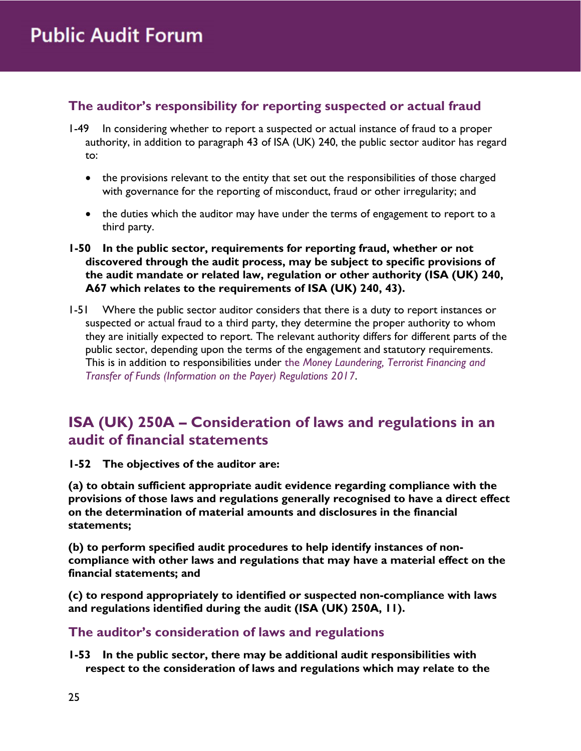### <span id="page-24-0"></span>**The auditor's responsibility for reporting suspected or actual fraud**

- 1-49 In considering whether to report a suspected or actual instance of fraud to a proper authority, in addition to paragraph 43 of ISA (UK) 240, the public sector auditor has regard to:
	- the provisions relevant to the entity that set out the responsibilities of those charged with governance for the reporting of misconduct, fraud or other irregularity; and
	- the duties which the auditor may have under the terms of engagement to report to a third party.
- **1-50 In the public sector, requirements for reporting fraud, whether or not discovered through the audit process, may be subject to specific provisions of the audit mandate or related law, regulation or other authority (ISA (UK) 240, A67 which relates to the requirements of ISA (UK) 240, 43).**
- 1-51 Where the public sector auditor considers that there is a duty to report instances or suspected or actual fraud to a third party, they determine the proper authority to whom they are initially expected to report. The relevant authority differs for different parts of the public sector, depending upon the terms of the engagement and statutory requirements. This is in addition to responsibilities under [the](https://library.croneri.co.uk/cch_uk/btl/20072157-it) *Money Laundering, Terrorist Financing and Transfer of Funds (Information on the Payer) Regulations 2017*.

## <span id="page-24-1"></span>**ISA (UK) 250A – Consideration of laws and regulations in an audit of financial statements**

### **1-52 The objectives of the auditor are:**

**(a) to obtain sufficient appropriate audit evidence regarding compliance with the provisions of those laws and regulations generally recognised to have a direct effect on the determination of material amounts and disclosures in the financial statements;**

**(b) to perform specified audit procedures to help identify instances of noncompliance with other laws and regulations that may have a material effect on the financial statements; and**

**(c) to respond appropriately to identified or suspected non-compliance with laws and regulations identified during the audit (ISA (UK) 250A, 11).**

### <span id="page-24-2"></span>**The auditor's consideration of laws and regulations**

**1-53 In the public sector, there may be additional audit responsibilities with respect to the consideration of laws and regulations which may relate to the**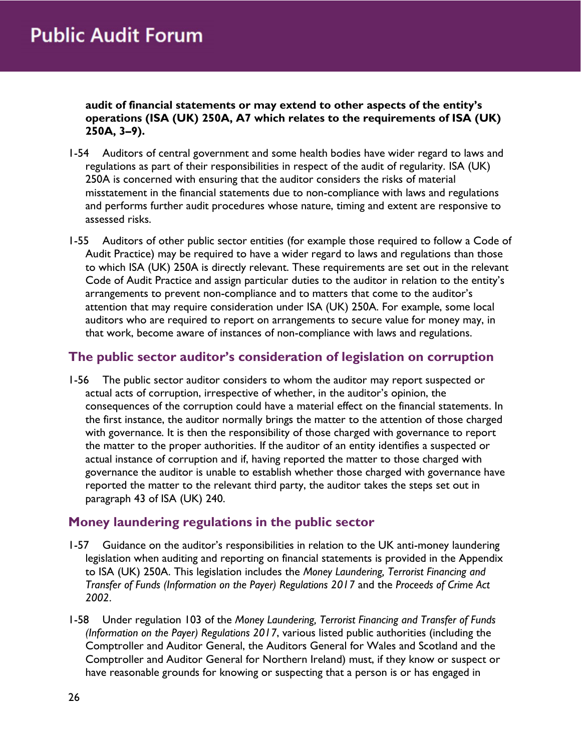#### **audit of financial statements or may extend to other aspects of the entity's operations (ISA (UK) 250A, A7 which relates to the requirements of ISA (UK) 250A, 3–9).**

- 1-54 Auditors of central government and some health bodies have wider regard to laws and regulations as part of their responsibilities in respect of the audit of regularity. ISA (UK) 250A is concerned with ensuring that the auditor considers the risks of material misstatement in the financial statements due to non-compliance with laws and regulations and performs further audit procedures whose nature, timing and extent are responsive to assessed risks.
- 1-55 Auditors of other public sector entities (for example those required to follow a Code of Audit Practice) may be required to have a wider regard to laws and regulations than those to which ISA (UK) 250A is directly relevant. These requirements are set out in the relevant Code of Audit Practice and assign particular duties to the auditor in relation to the entity's arrangements to prevent non-compliance and to matters that come to the auditor's attention that may require consideration under ISA (UK) 250A. For example, some local auditors who are required to report on arrangements to secure value for money may, in that work, become aware of instances of non-compliance with laws and regulations.

### <span id="page-25-0"></span>**The public sector auditor's consideration of legislation on corruption**

1-56 The public sector auditor considers to whom the auditor may report suspected or actual acts of corruption, irrespective of whether, in the auditor's opinion, the consequences of the corruption could have a material effect on the financial statements. In the first instance, the auditor normally brings the matter to the attention of those charged with governance. It is then the responsibility of those charged with governance to report the matter to the proper authorities. If the auditor of an entity identifies a suspected or actual instance of corruption and if, having reported the matter to those charged with governance the auditor is unable to establish whether those charged with governance have reported the matter to the relevant third party, the auditor takes the steps set out in paragraph 43 of ISA (UK) 240.

### <span id="page-25-1"></span>**Money laundering regulations in the public sector**

- 1-57 Guidance on the auditor's responsibilities in relation to the UK anti-money laundering legislation when auditing and reporting on financial statements is provided in the Appendix to ISA (UK) 250A. This legislation includes the *Money Laundering, Terrorist Financing and Transfer of Funds (Information on the Payer) Regulations 2017* and the *Proceeds of Crime Act 2002*.
- 1-58 Under regulation 103 of the *Money Laundering, Terrorist Financing and Transfer of Funds (Information on the Payer) Regulations 2017*, various listed public authorities (including the Comptroller and Auditor General, the Auditors General for Wales and Scotland and the Comptroller and Auditor General for Northern Ireland) must, if they know or suspect or have reasonable grounds for knowing or suspecting that a person is or has engaged in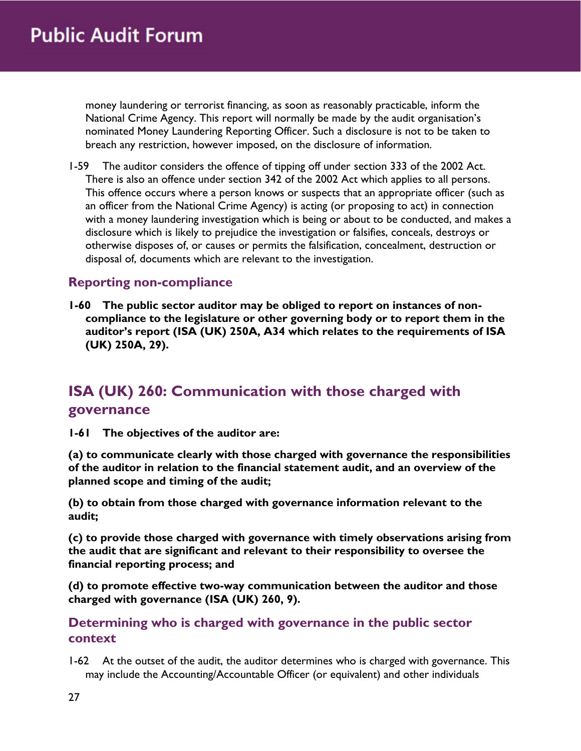money laundering or terrorist financing, as soon as reasonably practicable, inform the National Crime Agency. This report will normally be made by the audit organisation's nominated Money Laundering Reporting Officer. Such a disclosure is not to be taken to breach any restriction, however imposed, on the disclosure of information.

1-59 The auditor considers the offence of tipping off under section 333 of the 2002 Act. There is also an offence under section 342 of the 2002 Act which applies to all persons. This offence occurs where a person knows or suspects that an appropriate officer (such as an officer from the National Crime Agency) is acting (or proposing to act) in connection with a money laundering investigation which is being or about to be conducted, and makes a disclosure which is likely to prejudice the investigation or falsifies, conceals, destroys or otherwise disposes of, or causes or permits the falsification, concealment, destruction or disposal of, documents which are relevant to the investigation.

### <span id="page-26-0"></span>**Reporting non-compliance**

**1-60 The public sector auditor may be obliged to report on instances of noncompliance to the legislature or other governing body or to report them in the auditor's report (ISA (UK) 250A, A34 which relates to the requirements of ISA (UK) 250A, 29).**

## <span id="page-26-1"></span>**ISA (UK) 260: Communication with those charged with governance**

**1-61 The objectives of the auditor are:**

**(a) to communicate clearly with those charged with governance the responsibilities of the auditor in relation to the financial statement audit, and an overview of the planned scope and timing of the audit;**

**(b) to obtain from those charged with governance information relevant to the audit;**

**(c) to provide those charged with governance with timely observations arising from the audit that are significant and relevant to their responsibility to oversee the financial reporting process; and**

**(d) to promote effective two-way communication between the auditor and those charged with governance (ISA (UK) 260, 9).**

### <span id="page-26-2"></span>**Determining who is charged with governance in the public sector context**

1-62 At the outset of the audit, the auditor determines who is charged with governance. This may include the Accounting/Accountable Officer (or equivalent) and other individuals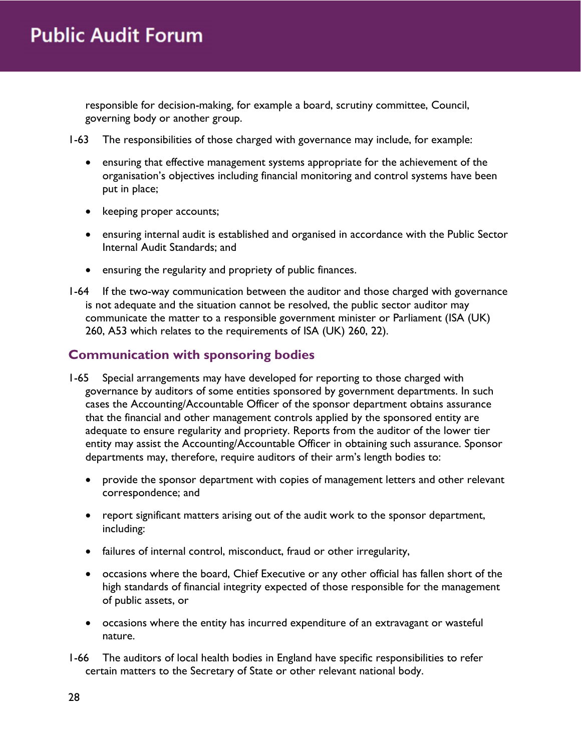responsible for decision-making, for example a board, scrutiny committee, Council, governing body or another group.

1-63 The responsibilities of those charged with governance may include, for example:

- ensuring that effective management systems appropriate for the achievement of the organisation's objectives including financial monitoring and control systems have been put in place;
- keeping proper accounts;
- ensuring internal audit is established and organised in accordance with the Public Sector Internal Audit Standards; and
- ensuring the regularity and propriety of public finances.
- 1-64 If the two-way communication between the auditor and those charged with governance is not adequate and the situation cannot be resolved, the public sector auditor may communicate the matter to a responsible government minister or Parliament (ISA (UK) 260, A53 which relates to the requirements of ISA (UK) 260, 22).

### <span id="page-27-0"></span>**Communication with sponsoring bodies**

- 1-65 Special arrangements may have developed for reporting to those charged with governance by auditors of some entities sponsored by government departments. In such cases the Accounting/Accountable Officer of the sponsor department obtains assurance that the financial and other management controls applied by the sponsored entity are adequate to ensure regularity and propriety. Reports from the auditor of the lower tier entity may assist the Accounting/Accountable Officer in obtaining such assurance. Sponsor departments may, therefore, require auditors of their arm's length bodies to:
	- provide the sponsor department with copies of management letters and other relevant correspondence; and
	- report significant matters arising out of the audit work to the sponsor department, including:
	- failures of internal control, misconduct, fraud or other irregularity,
	- occasions where the board, Chief Executive or any other official has fallen short of the high standards of financial integrity expected of those responsible for the management of public assets, or
	- occasions where the entity has incurred expenditure of an extravagant or wasteful nature.
- 1-66 The auditors of local health bodies in England have specific responsibilities to refer certain matters to the Secretary of State or other relevant national body.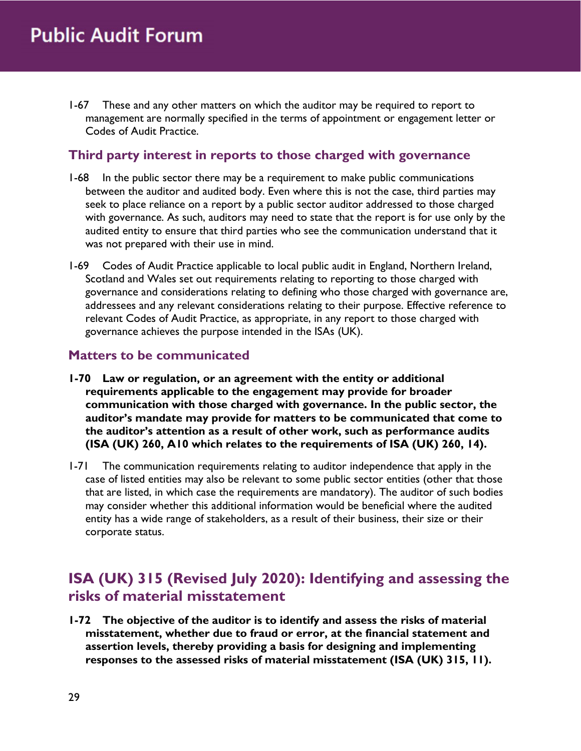1-67 These and any other matters on which the auditor may be required to report to management are normally specified in the terms of appointment or engagement letter or Codes of Audit Practice.

### <span id="page-28-0"></span>**Third party interest in reports to those charged with governance**

- 1-68 In the public sector there may be a requirement to make public communications between the auditor and audited body. Even where this is not the case, third parties may seek to place reliance on a report by a public sector auditor addressed to those charged with governance. As such, auditors may need to state that the report is for use only by the audited entity to ensure that third parties who see the communication understand that it was not prepared with their use in mind.
- 1-69 Codes of Audit Practice applicable to local public audit in England, Northern Ireland, Scotland and Wales set out requirements relating to reporting to those charged with governance and considerations relating to defining who those charged with governance are, addressees and any relevant considerations relating to their purpose. Effective reference to relevant Codes of Audit Practice, as appropriate, in any report to those charged with governance achieves the purpose intended in the ISAs (UK).

### <span id="page-28-1"></span>**Matters to be communicated**

- **1-70 Law or regulation, or an agreement with the entity or additional requirements applicable to the engagement may provide for broader communication with those charged with governance. In the public sector, the auditor's mandate may provide for matters to be communicated that come to the auditor's attention as a result of other work, such as performance audits (ISA (UK) 260, A10 which relates to the requirements of ISA (UK) 260, 14).**
- 1-71 The communication requirements relating to auditor independence that apply in the case of listed entities may also be relevant to some public sector entities (other that those that are listed, in which case the requirements are mandatory). The auditor of such bodies may consider whether this additional information would be beneficial where the audited entity has a wide range of stakeholders, as a result of their business, their size or their corporate status.

## <span id="page-28-2"></span>**ISA (UK) 315 (Revised July 2020): Identifying and assessing the risks of material misstatement**

**1-72 The objective of the auditor is to identify and assess the risks of material misstatement, whether due to fraud or error, at the financial statement and assertion levels, thereby providing a basis for designing and implementing responses to the assessed risks of material misstatement (ISA (UK) 315, 11).**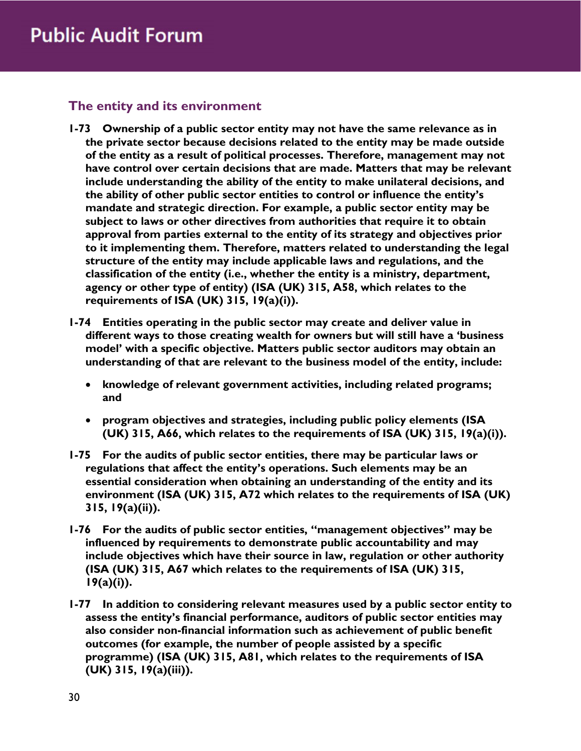### <span id="page-29-0"></span>**The entity and its environment**

- **1-73 Ownership of a public sector entity may not have the same relevance as in the private sector because decisions related to the entity may be made outside of the entity as a result of political processes. Therefore, management may not have control over certain decisions that are made. Matters that may be relevant include understanding the ability of the entity to make unilateral decisions, and the ability of other public sector entities to control or influence the entity's mandate and strategic direction. For example, a public sector entity may be subject to laws or other directives from authorities that require it to obtain approval from parties external to the entity of its strategy and objectives prior to it implementing them. Therefore, matters related to understanding the legal structure of the entity may include applicable laws and regulations, and the classification of the entity (i.e., whether the entity is a ministry, department, agency or other type of entity) (ISA (UK) 315, A58, which relates to the requirements of ISA (UK) 315, 19(a)(i)).**
- **1-74 Entities operating in the public sector may create and deliver value in different ways to those creating wealth for owners but will still have a 'business model' with a specific objective. Matters public sector auditors may obtain an understanding of that are relevant to the business model of the entity, include:**
	- **knowledge of relevant government activities, including related programs; and**
	- **program objectives and strategies, including public policy elements (ISA (UK) 315, A66, which relates to the requirements of ISA (UK) 315, 19(a)(i)).**
- **1-75 For the audits of public sector entities, there may be particular laws or regulations that affect the entity's operations. Such elements may be an essential consideration when obtaining an understanding of the entity and its environment (ISA (UK) 315, A72 which relates to the requirements of ISA (UK) 315, 19(a)(ii)).**
- **1-76 For the audits of public sector entities, "management objectives" may be influenced by requirements to demonstrate public accountability and may include objectives which have their source in law, regulation or other authority (ISA (UK) 315, A67 which relates to the requirements of ISA (UK) 315, 19(a)(i)).**
- **1-77 In addition to considering relevant measures used by a public sector entity to assess the entity's financial performance, auditors of public sector entities may also consider non-financial information such as achievement of public benefit outcomes (for example, the number of people assisted by a specific programme) (ISA (UK) 315, A81, which relates to the requirements of ISA (UK) 315, 19(a)(iii)).**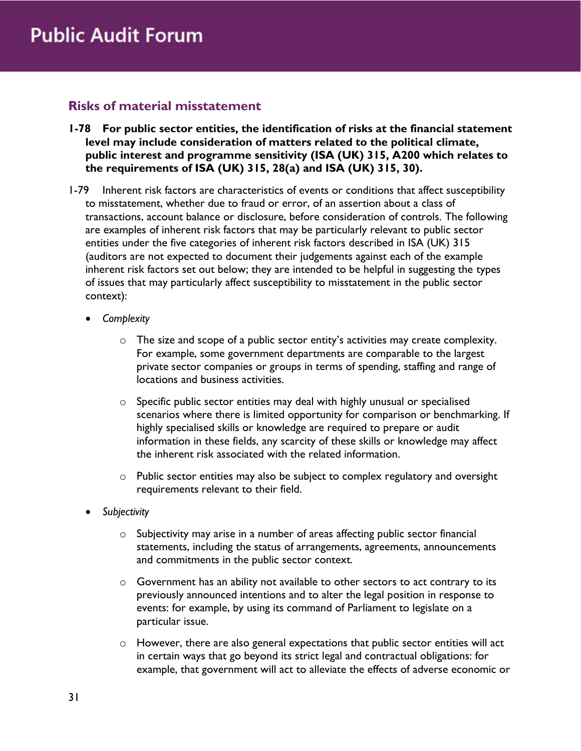### <span id="page-30-0"></span>**Risks of material misstatement**

- **1-78 For public sector entities, the identification of risks at the financial statement level may include consideration of matters related to the political climate, public interest and programme sensitivity (ISA (UK) 315, A200 which relates to the requirements of ISA (UK) 315, 28(a) and ISA (UK) 315, 30).**
- 1-79 Inherent risk factors are characteristics of events or conditions that affect susceptibility to misstatement, whether due to fraud or error, of an assertion about a class of transactions, account balance or disclosure, before consideration of controls. The following are examples of inherent risk factors that may be particularly relevant to public sector entities under the five categories of inherent risk factors described in ISA (UK) 315 (auditors are not expected to document their judgements against each of the example inherent risk factors set out below; they are intended to be helpful in suggesting the types of issues that may particularly affect susceptibility to misstatement in the public sector context):
	- *Complexity*
		- $\circ$  The size and scope of a public sector entity's activities may create complexity. For example, some government departments are comparable to the largest private sector companies or groups in terms of spending, staffing and range of locations and business activities.
		- $\circ$  Specific public sector entities may deal with highly unusual or specialised scenarios where there is limited opportunity for comparison or benchmarking. If highly specialised skills or knowledge are required to prepare or audit information in these fields, any scarcity of these skills or knowledge may affect the inherent risk associated with the related information.
		- $\circ$  Public sector entities may also be subject to complex regulatory and oversight requirements relevant to their field.
	- *Subjectivity*
		- $\circ$  Subjectivity may arise in a number of areas affecting public sector financial statements, including the status of arrangements, agreements, announcements and commitments in the public sector context.
		- $\circ$  Government has an ability not available to other sectors to act contrary to its previously announced intentions and to alter the legal position in response to events: for example, by using its command of Parliament to legislate on a particular issue.
		- $\circ$  However, there are also general expectations that public sector entities will act in certain ways that go beyond its strict legal and contractual obligations: for example, that government will act to alleviate the effects of adverse economic or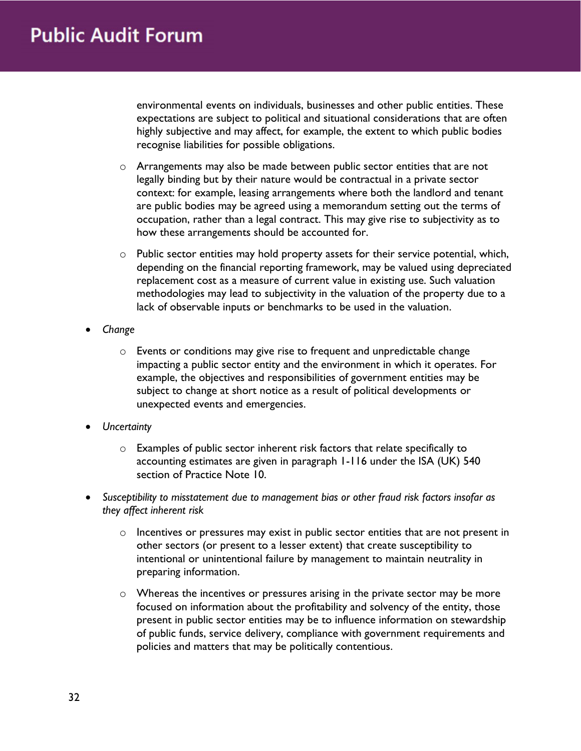environmental events on individuals, businesses and other public entities. These expectations are subject to political and situational considerations that are often highly subjective and may affect, for example, the extent to which public bodies recognise liabilities for possible obligations.

- o Arrangements may also be made between public sector entities that are not legally binding but by their nature would be contractual in a private sector context: for example, leasing arrangements where both the landlord and tenant are public bodies may be agreed using a memorandum setting out the terms of occupation, rather than a legal contract. This may give rise to subjectivity as to how these arrangements should be accounted for.
- $\circ$  Public sector entities may hold property assets for their service potential, which, depending on the financial reporting framework, may be valued using depreciated replacement cost as a measure of current value in existing use. Such valuation methodologies may lead to subjectivity in the valuation of the property due to a lack of observable inputs or benchmarks to be used in the valuation.
- *Change*
	- o Events or conditions may give rise to frequent and unpredictable change impacting a public sector entity and the environment in which it operates. For example, the objectives and responsibilities of government entities may be subject to change at short notice as a result of political developments or unexpected events and emergencies.
- *Uncertainty*
	- o Examples of public sector inherent risk factors that relate specifically to accounting estimates are given in paragraph 1-116 under the ISA (UK) 540 section of Practice Note 10.
- *Susceptibility to misstatement due to management bias or other fraud risk factors insofar as they affect inherent risk*
	- $\circ$  Incentives or pressures may exist in public sector entities that are not present in other sectors (or present to a lesser extent) that create susceptibility to intentional or unintentional failure by management to maintain neutrality in preparing information.
	- o Whereas the incentives or pressures arising in the private sector may be more focused on information about the profitability and solvency of the entity, those present in public sector entities may be to influence information on stewardship of public funds, service delivery, compliance with government requirements and policies and matters that may be politically contentious.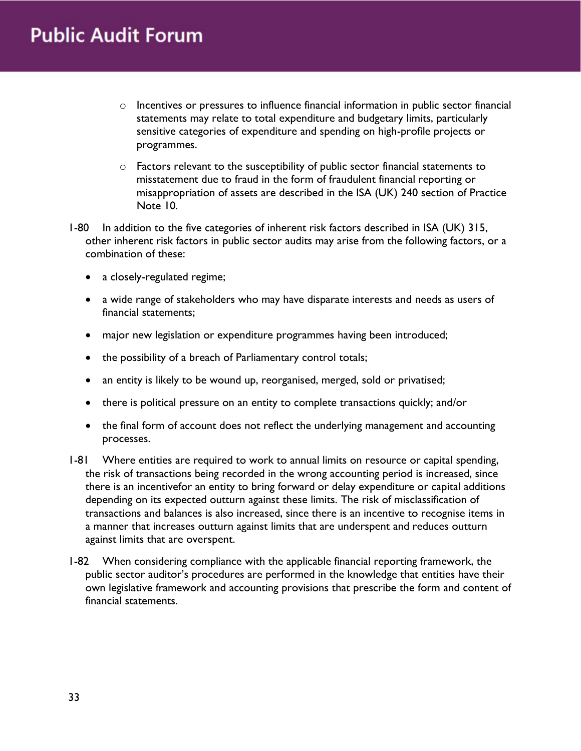- $\circ$  Incentives or pressures to influence financial information in public sector financial statements may relate to total expenditure and budgetary limits, particularly sensitive categories of expenditure and spending on high-profile projects or programmes.
- o Factors relevant to the susceptibility of public sector financial statements to misstatement due to fraud in the form of fraudulent financial reporting or misappropriation of assets are described in the ISA (UK) 240 section of Practice Note 10.
- 1-80 In addition to the five categories of inherent risk factors described in ISA (UK) 315, other inherent risk factors in public sector audits may arise from the following factors, or a combination of these:
	- a closely-regulated regime;
	- a wide range of stakeholders who may have disparate interests and needs as users of financial statements;
	- major new legislation or expenditure programmes having been introduced;
	- the possibility of a breach of Parliamentary control totals;
	- an entity is likely to be wound up, reorganised, merged, sold or privatised;
	- there is political pressure on an entity to complete transactions quickly; and/or
	- the final form of account does not reflect the underlying management and accounting processes.
- 1-81 Where entities are required to work to annual limits on resource or capital spending, the risk of transactions being recorded in the wrong accounting period is increased, since there is an incentivefor an entity to bring forward or delay expenditure or capital additions depending on its expected outturn against these limits. The risk of misclassification of transactions and balances is also increased, since there is an incentive to recognise items in a manner that increases outturn against limits that are underspent and reduces outturn against limits that are overspent.
- 1-82 When considering compliance with the applicable financial reporting framework, the public sector auditor's procedures are performed in the knowledge that entities have their own legislative framework and accounting provisions that prescribe the form and content of financial statements.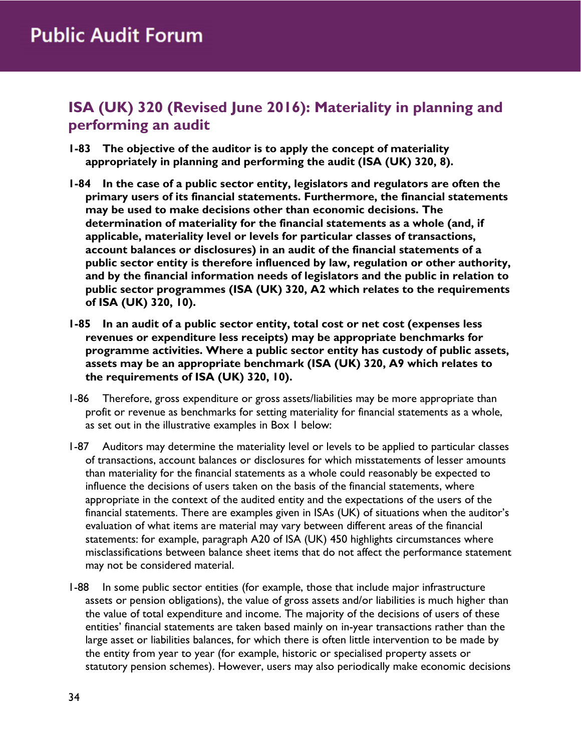## <span id="page-33-0"></span>**ISA (UK) 320 (Revised June 2016): Materiality in planning and performing an audit**

- **1-83 The objective of the auditor is to apply the concept of materiality appropriately in planning and performing the audit (ISA (UK) 320, 8).**
- **1-84 In the case of a public sector entity, legislators and regulators are often the primary users of its financial statements. Furthermore, the financial statements may be used to make decisions other than economic decisions. The determination of materiality for the financial statements as a whole (and, if applicable, materiality level or levels for particular classes of transactions, account balances or disclosures) in an audit of the financial statements of a public sector entity is therefore influenced by law, regulation or other authority, and by the financial information needs of legislators and the public in relation to public sector programmes (ISA (UK) 320, A2 which relates to the requirements of ISA (UK) 320, 10).**
- **1-85 In an audit of a public sector entity, total cost or net cost (expenses less revenues or expenditure less receipts) may be appropriate benchmarks for programme activities. Where a public sector entity has custody of public assets, assets may be an appropriate benchmark (ISA (UK) 320, A9 which relates to the requirements of ISA (UK) 320, 10).**
- 1-86 Therefore, gross expenditure or gross assets/liabilities may be more appropriate than profit or revenue as benchmarks for setting materiality for financial statements as a whole, as set out in the illustrative examples in Box 1 below:
- 1-87 Auditors may determine the materiality level or levels to be applied to particular classes of transactions, account balances or disclosures for which misstatements of lesser amounts than materiality for the financial statements as a whole could reasonably be expected to influence the decisions of users taken on the basis of the financial statements, where appropriate in the context of the audited entity and the expectations of the users of the financial statements. There are examples given in ISAs (UK) of situations when the auditor's evaluation of what items are material may vary between different areas of the financial statements: for example, paragraph A20 of ISA (UK) 450 highlights circumstances where misclassifications between balance sheet items that do not affect the performance statement may not be considered material.
- 1-88 In some public sector entities (for example, those that include major infrastructure assets or pension obligations), the value of gross assets and/or liabilities is much higher than the value of total expenditure and income. The majority of the decisions of users of these entities' financial statements are taken based mainly on in-year transactions rather than the large asset or liabilities balances, for which there is often little intervention to be made by the entity from year to year (for example, historic or specialised property assets or statutory pension schemes). However, users may also periodically make economic decisions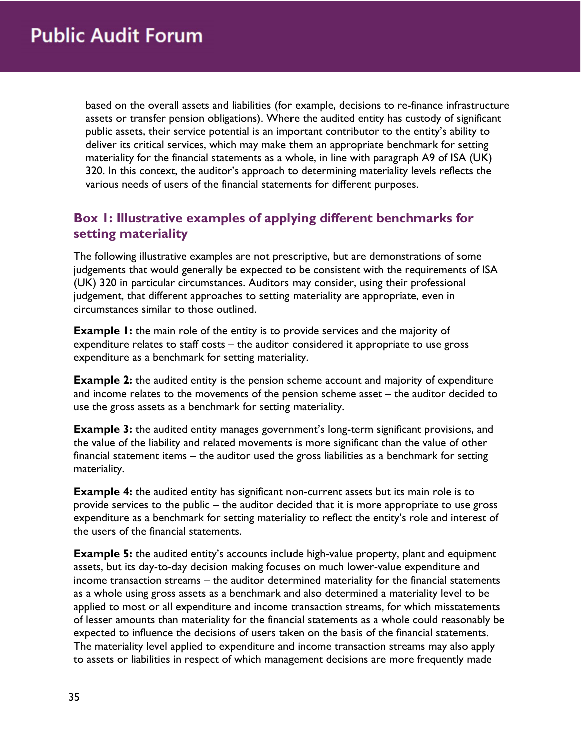based on the overall assets and liabilities (for example, decisions to re-finance infrastructure assets or transfer pension obligations). Where the audited entity has custody of significant public assets, their service potential is an important contributor to the entity's ability to deliver its critical services, which may make them an appropriate benchmark for setting materiality for the financial statements as a whole, in line with paragraph A9 of ISA (UK) 320. In this context, the auditor's approach to determining materiality levels reflects the various needs of users of the financial statements for different purposes.

### <span id="page-34-0"></span>**Box 1: Illustrative examples of applying different benchmarks for setting materiality**

The following illustrative examples are not prescriptive, but are demonstrations of some judgements that would generally be expected to be consistent with the requirements of ISA (UK) 320 in particular circumstances. Auditors may consider, using their professional judgement, that different approaches to setting materiality are appropriate, even in circumstances similar to those outlined.

**Example 1:** the main role of the entity is to provide services and the majority of expenditure relates to staff costs – the auditor considered it appropriate to use gross expenditure as a benchmark for setting materiality.

**Example 2:** the audited entity is the pension scheme account and majority of expenditure and income relates to the movements of the pension scheme asset – the auditor decided to use the gross assets as a benchmark for setting materiality.

**Example 3:** the audited entity manages government's long-term significant provisions, and the value of the liability and related movements is more significant than the value of other financial statement items – the auditor used the gross liabilities as a benchmark for setting materiality.

**Example 4:** the audited entity has significant non-current assets but its main role is to provide services to the public – the auditor decided that it is more appropriate to use gross expenditure as a benchmark for setting materiality to reflect the entity's role and interest of the users of the financial statements.

**Example 5:** the audited entity's accounts include high-value property, plant and equipment assets, but its day-to-day decision making focuses on much lower-value expenditure and income transaction streams – the auditor determined materiality for the financial statements as a whole using gross assets as a benchmark and also determined a materiality level to be applied to most or all expenditure and income transaction streams, for which misstatements of lesser amounts than materiality for the financial statements as a whole could reasonably be expected to influence the decisions of users taken on the basis of the financial statements. The materiality level applied to expenditure and income transaction streams may also apply to assets or liabilities in respect of which management decisions are more frequently made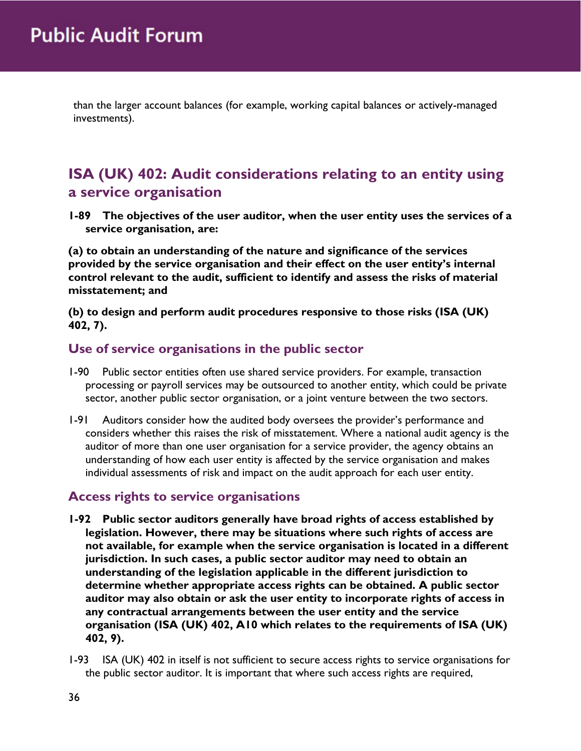than the larger account balances (for example, working capital balances or actively-managed investments).

## <span id="page-35-0"></span>**ISA (UK) 402: Audit considerations relating to an entity using a service organisation**

**1-89 The objectives of the user auditor, when the user entity uses the services of a service organisation, are:**

**(a) to obtain an understanding of the nature and significance of the services provided by the service organisation and their effect on the user entity's internal control relevant to the audit, sufficient to identify and assess the risks of material misstatement; and**

**(b) to design and perform audit procedures responsive to those risks (ISA (UK) 402, 7).**

### <span id="page-35-1"></span>**Use of service organisations in the public sector**

- 1-90 Public sector entities often use shared service providers. For example, transaction processing or payroll services may be outsourced to another entity, which could be private sector, another public sector organisation, or a joint venture between the two sectors.
- 1-91 Auditors consider how the audited body oversees the provider's performance and considers whether this raises the risk of misstatement. Where a national audit agency is the auditor of more than one user organisation for a service provider, the agency obtains an understanding of how each user entity is affected by the service organisation and makes individual assessments of risk and impact on the audit approach for each user entity.

### <span id="page-35-2"></span>**Access rights to service organisations**

- **1-92 Public sector auditors generally have broad rights of access established by legislation. However, there may be situations where such rights of access are not available, for example when the service organisation is located in a different jurisdiction. In such cases, a public sector auditor may need to obtain an understanding of the legislation applicable in the different jurisdiction to determine whether appropriate access rights can be obtained. A public sector auditor may also obtain or ask the user entity to incorporate rights of access in any contractual arrangements between the user entity and the service organisation (ISA (UK) 402, A10 which relates to the requirements of ISA (UK) 402, 9).**
- 1-93 ISA (UK) 402 in itself is not sufficient to secure access rights to service organisations for the public sector auditor. It is important that where such access rights are required,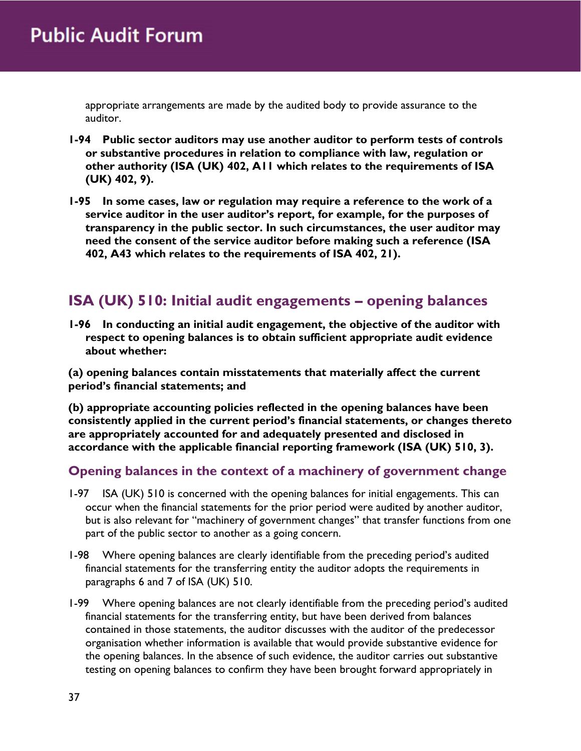appropriate arrangements are made by the audited body to provide assurance to the auditor.

- **1-94 Public sector auditors may use another auditor to perform tests of controls or substantive procedures in relation to compliance with law, regulation or other authority (ISA (UK) 402, A11 which relates to the requirements of ISA (UK) 402, 9).**
- **1-95 In some cases, law or regulation may require a reference to the work of a service auditor in the user auditor's report, for example, for the purposes of transparency in the public sector. In such circumstances, the user auditor may need the consent of the service auditor before making such a reference (ISA 402, A43 which relates to the requirements of ISA 402, 21).**

### **ISA (UK) 510: Initial audit engagements – opening balances**

**1-96 In conducting an initial audit engagement, the objective of the auditor with respect to opening balances is to obtain sufficient appropriate audit evidence about whether:**

**(a) opening balances contain misstatements that materially affect the current period's financial statements; and**

**(b) appropriate accounting policies reflected in the opening balances have been consistently applied in the current period's financial statements, or changes thereto are appropriately accounted for and adequately presented and disclosed in accordance with the applicable financial reporting framework (ISA (UK) 510, 3).**

#### **Opening balances in the context of a machinery of government change**

- 1-97 ISA (UK) 510 is concerned with the opening balances for initial engagements. This can occur when the financial statements for the prior period were audited by another auditor, but is also relevant for "machinery of government changes" that transfer functions from one part of the public sector to another as a going concern.
- 1-98 Where opening balances are clearly identifiable from the preceding period's audited financial statements for the transferring entity the auditor adopts the requirements in paragraphs 6 and 7 of ISA (UK) 510.
- 1-99 Where opening balances are not clearly identifiable from the preceding period's audited financial statements for the transferring entity, but have been derived from balances contained in those statements, the auditor discusses with the auditor of the predecessor organisation whether information is available that would provide substantive evidence for the opening balances. In the absence of such evidence, the auditor carries out substantive testing on opening balances to confirm they have been brought forward appropriately in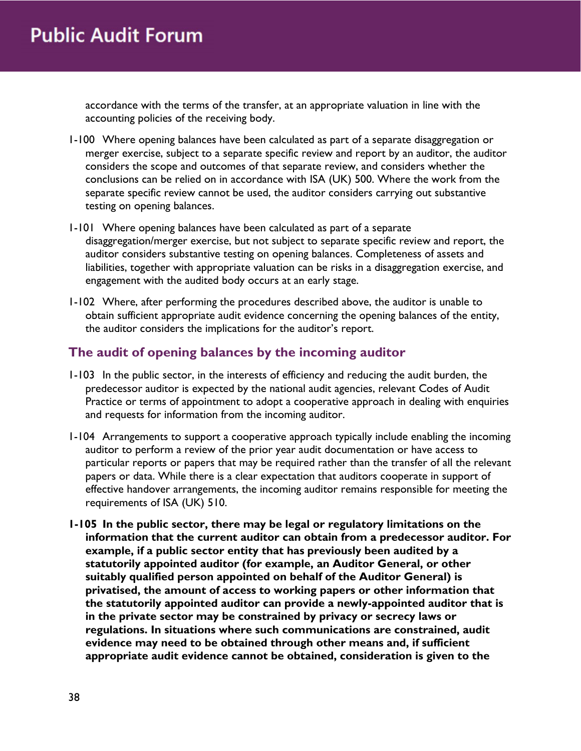accordance with the terms of the transfer, at an appropriate valuation in line with the accounting policies of the receiving body.

- 1-100 Where opening balances have been calculated as part of a separate disaggregation or merger exercise, subject to a separate specific review and report by an auditor, the auditor considers the scope and outcomes of that separate review, and considers whether the conclusions can be relied on in accordance with ISA (UK) 500. Where the work from the separate specific review cannot be used, the auditor considers carrying out substantive testing on opening balances.
- 1-101 Where opening balances have been calculated as part of a separate disaggregation/merger exercise, but not subject to separate specific review and report, the auditor considers substantive testing on opening balances. Completeness of assets and liabilities, together with appropriate valuation can be risks in a disaggregation exercise, and engagement with the audited body occurs at an early stage.
- 1-102 Where, after performing the procedures described above, the auditor is unable to obtain sufficient appropriate audit evidence concerning the opening balances of the entity, the auditor considers the implications for the auditor's report.

### **The audit of opening balances by the incoming auditor**

- 1-103 In the public sector, in the interests of efficiency and reducing the audit burden, the predecessor auditor is expected by the national audit agencies, relevant Codes of Audit Practice or terms of appointment to adopt a cooperative approach in dealing with enquiries and requests for information from the incoming auditor.
- 1-104 Arrangements to support a cooperative approach typically include enabling the incoming auditor to perform a review of the prior year audit documentation or have access to particular reports or papers that may be required rather than the transfer of all the relevant papers or data. While there is a clear expectation that auditors cooperate in support of effective handover arrangements, the incoming auditor remains responsible for meeting the requirements of ISA (UK) 510.
- **1-105 In the public sector, there may be legal or regulatory limitations on the information that the current auditor can obtain from a predecessor auditor. For example, if a public sector entity that has previously been audited by a statutorily appointed auditor (for example, an Auditor General, or other suitably qualified person appointed on behalf of the Auditor General) is privatised, the amount of access to working papers or other information that the statutorily appointed auditor can provide a newly-appointed auditor that is in the private sector may be constrained by privacy or secrecy laws or regulations. In situations where such communications are constrained, audit evidence may need to be obtained through other means and, if sufficient appropriate audit evidence cannot be obtained, consideration is given to the**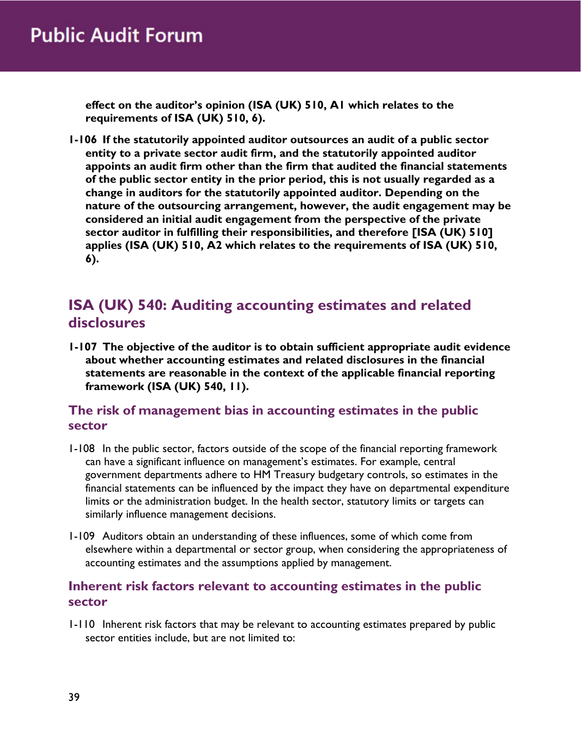**effect on the auditor's opinion (ISA (UK) 510, A1 which relates to the requirements of ISA (UK) 510, 6).**

**1-106 If the statutorily appointed auditor outsources an audit of a public sector entity to a private sector audit firm, and the statutorily appointed auditor appoints an audit firm other than the firm that audited the financial statements of the public sector entity in the prior period, this is not usually regarded as a change in auditors for the statutorily appointed auditor. Depending on the nature of the outsourcing arrangement, however, the audit engagement may be considered an initial audit engagement from the perspective of the private sector auditor in fulfilling their responsibilities, and therefore [ISA (UK) 510] applies (ISA (UK) 510, A2 which relates to the requirements of ISA (UK) 510, 6).**

### **ISA (UK) 540: Auditing accounting estimates and related disclosures**

**1-107 The objective of the auditor is to obtain sufficient appropriate audit evidence about whether accounting estimates and related disclosures in the financial statements are reasonable in the context of the applicable financial reporting framework (ISA (UK) 540, 11).**

### **The risk of management bias in accounting estimates in the public sector**

- 1-108 In the public sector, factors outside of the scope of the financial reporting framework can have a significant influence on management's estimates. For example, central government departments adhere to HM Treasury budgetary controls, so estimates in the financial statements can be influenced by the impact they have on departmental expenditure limits or the administration budget. In the health sector, statutory limits or targets can similarly influence management decisions.
- 1-109 Auditors obtain an understanding of these influences, some of which come from elsewhere within a departmental or sector group, when considering the appropriateness of accounting estimates and the assumptions applied by management.

### **Inherent risk factors relevant to accounting estimates in the public sector**

1-110 Inherent risk factors that may be relevant to accounting estimates prepared by public sector entities include, but are not limited to: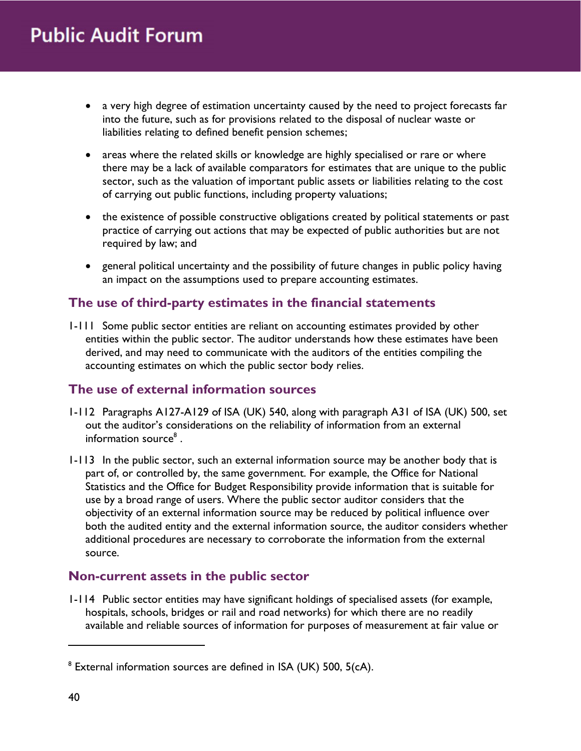# **Public Audit Forum**

- a very high degree of estimation uncertainty caused by the need to project forecasts far into the future, such as for provisions related to the disposal of nuclear waste or liabilities relating to defined benefit pension schemes;
- areas where the related skills or knowledge are highly specialised or rare or where there may be a lack of available comparators for estimates that are unique to the public sector, such as the valuation of important public assets or liabilities relating to the cost of carrying out public functions, including property valuations;
- the existence of possible constructive obligations created by political statements or past practice of carrying out actions that may be expected of public authorities but are not required by law; and
- general political uncertainty and the possibility of future changes in public policy having an impact on the assumptions used to prepare accounting estimates.

#### **The use of third-party estimates in the financial statements**

1-111 Some public sector entities are reliant on accounting estimates provided by other entities within the public sector. The auditor understands how these estimates have been derived, and may need to communicate with the auditors of the entities compiling the accounting estimates on which the public sector body relies.

### **The use of external information sources**

- 1-112 Paragraphs A127-A129 of ISA (UK) 540, along with paragraph A31 of ISA (UK) 500, set out the auditor's considerations on the reliability of information from an external information source<sup>8</sup>.
- 1-113 In the public sector, such an external information source may be another body that is part of, or controlled by, the same government. For example, the Office for National Statistics and the Office for Budget Responsibility provide information that is suitable for use by a broad range of users. Where the public sector auditor considers that the objectivity of an external information source may be reduced by political influence over both the audited entity and the external information source, the auditor considers whether additional procedures are necessary to corroborate the information from the external source.

#### **Non-current assets in the public sector**

1-114 Public sector entities may have significant holdings of specialised assets (for example, hospitals, schools, bridges or rail and road networks) for which there are no readily available and reliable sources of information for purposes of measurement at fair value or

 $8$  External information sources are defined in ISA (UK) 500, 5(cA).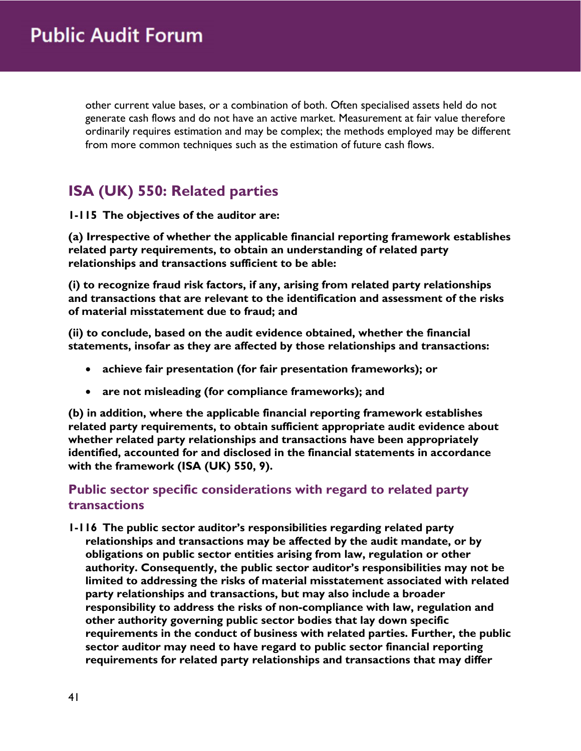other current value bases, or a combination of both. Often specialised assets held do not generate cash flows and do not have an active market. Measurement at fair value therefore ordinarily requires estimation and may be complex; the methods employed may be different from more common techniques such as the estimation of future cash flows.

# **ISA (UK) 550: Related parties**

#### **1-115 The objectives of the auditor are:**

**(a) Irrespective of whether the applicable financial reporting framework establishes related party requirements, to obtain an understanding of related party relationships and transactions sufficient to be able:**

**(i) to recognize fraud risk factors, if any, arising from related party relationships and transactions that are relevant to the identification and assessment of the risks of material misstatement due to fraud; and**

**(ii) to conclude, based on the audit evidence obtained, whether the financial statements, insofar as they are affected by those relationships and transactions:**

- **achieve fair presentation (for fair presentation frameworks); or**
- **are not misleading (for compliance frameworks); and**

**(b) in addition, where the applicable financial reporting framework establishes related party requirements, to obtain sufficient appropriate audit evidence about whether related party relationships and transactions have been appropriately identified, accounted for and disclosed in the financial statements in accordance with the framework (ISA (UK) 550, 9).**

### **Public sector specific considerations with regard to related party transactions**

**1-116 The public sector auditor's responsibilities regarding related party relationships and transactions may be affected by the audit mandate, or by obligations on public sector entities arising from law, regulation or other authority. Consequently, the public sector auditor's responsibilities may not be limited to addressing the risks of material misstatement associated with related party relationships and transactions, but may also include a broader responsibility to address the risks of non-compliance with law, regulation and other authority governing public sector bodies that lay down specific requirements in the conduct of business with related parties. Further, the public sector auditor may need to have regard to public sector financial reporting requirements for related party relationships and transactions that may differ**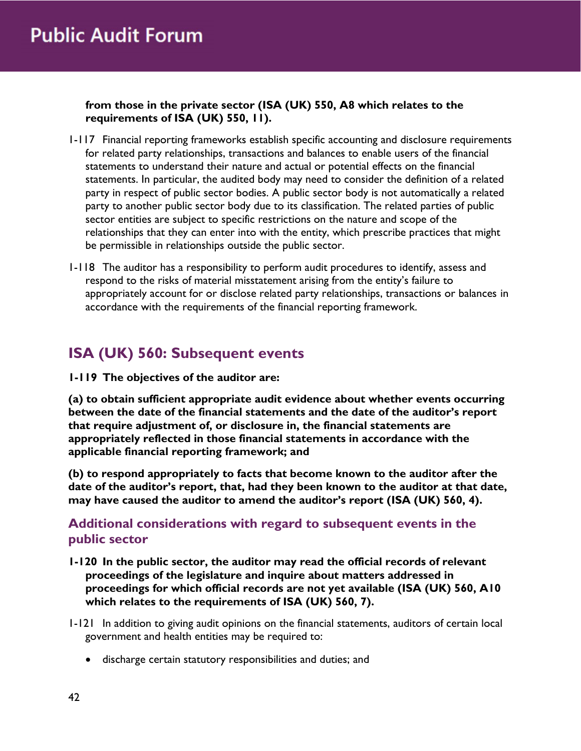#### **from those in the private sector (ISA (UK) 550, A8 which relates to the requirements of ISA (UK) 550, 11).**

- 1-117 Financial reporting frameworks establish specific accounting and disclosure requirements for related party relationships, transactions and balances to enable users of the financial statements to understand their nature and actual or potential effects on the financial statements. In particular, the audited body may need to consider the definition of a related party in respect of public sector bodies. A public sector body is not automatically a related party to another public sector body due to its classification. The related parties of public sector entities are subject to specific restrictions on the nature and scope of the relationships that they can enter into with the entity, which prescribe practices that might be permissible in relationships outside the public sector.
- 1-118 The auditor has a responsibility to perform audit procedures to identify, assess and respond to the risks of material misstatement arising from the entity's failure to appropriately account for or disclose related party relationships, transactions or balances in accordance with the requirements of the financial reporting framework.

## **ISA (UK) 560: Subsequent events**

**1-119 The objectives of the auditor are:**

**(a) to obtain sufficient appropriate audit evidence about whether events occurring between the date of the financial statements and the date of the auditor's report that require adjustment of, or disclosure in, the financial statements are appropriately reflected in those financial statements in accordance with the applicable financial reporting framework; and**

**(b) to respond appropriately to facts that become known to the auditor after the date of the auditor's report, that, had they been known to the auditor at that date, may have caused the auditor to amend the auditor's report (ISA (UK) 560, 4).**

### **Additional considerations with regard to subsequent events in the public sector**

- **1-120 In the public sector, the auditor may read the official records of relevant proceedings of the legislature and inquire about matters addressed in proceedings for which official records are not yet available (ISA (UK) 560, A10 which relates to the requirements of ISA (UK) 560, 7).**
- 1-121 In addition to giving audit opinions on the financial statements, auditors of certain local government and health entities may be required to:
	- discharge certain statutory responsibilities and duties; and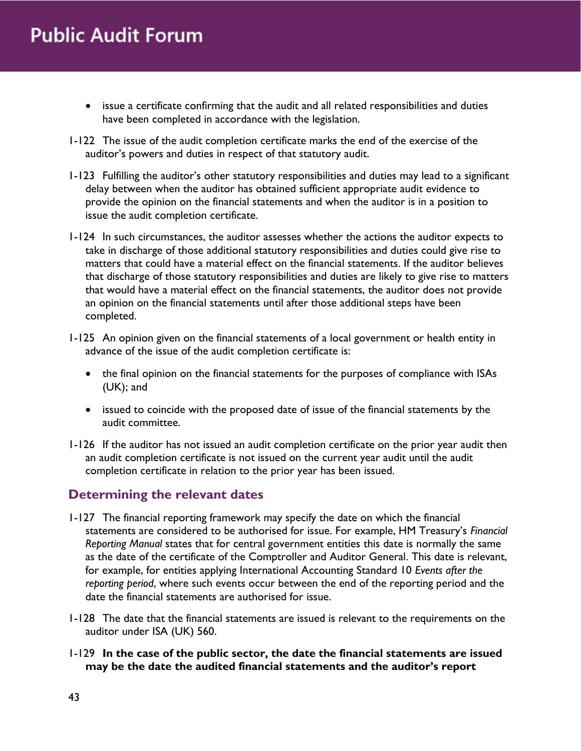# **Public Audit Forum**

- issue a certificate confirming that the audit and all related responsibilities and duties have been completed in accordance with the legislation.
- 1-122 The issue of the audit completion certificate marks the end of the exercise of the auditor's powers and duties in respect of that statutory audit.
- 1-123 Fulfilling the auditor's other statutory responsibilities and duties may lead to a significant delay between when the auditor has obtained sufficient appropriate audit evidence to provide the opinion on the financial statements and when the auditor is in a position to issue the audit completion certificate.
- 1-124 In such circumstances, the auditor assesses whether the actions the auditor expects to take in discharge of those additional statutory responsibilities and duties could give rise to matters that could have a material effect on the financial statements. If the auditor believes that discharge of those statutory responsibilities and duties are likely to give rise to matters that would have a material effect on the financial statements, the auditor does not provide an opinion on the financial statements until after those additional steps have been completed.
- 1-125 An opinion given on the financial statements of a local government or health entity in advance of the issue of the audit completion certificate is:
	- the final opinion on the financial statements for the purposes of compliance with ISAs (UK); and
	- issued to coincide with the proposed date of issue of the financial statements by the audit committee.
- 1-126 If the auditor has not issued an audit completion certificate on the prior year audit then an audit completion certificate is not issued on the current year audit until the audit completion certificate in relation to the prior year has been issued.

### **Determining the relevant dates**

- 1-127 The financial reporting framework may specify the date on which the financial statements are considered to be authorised for issue. For example, HM Treasury's *Financial Reporting Manual* states that for central government entities this date is normally the same as the date of the certificate of the Comptroller and Auditor General. This date is relevant, for example, for entities applying International Accounting Standard 10 *Events after the reporting period*, where such events occur between the end of the reporting period and the date the financial statements are authorised for issue.
- 1-128 The date that the financial statements are issued is relevant to the requirements on the auditor under ISA (UK) 560.
- 1-129 **In the case of the public sector, the date the financial statements are issued may be the date the audited financial statements and the auditor's report**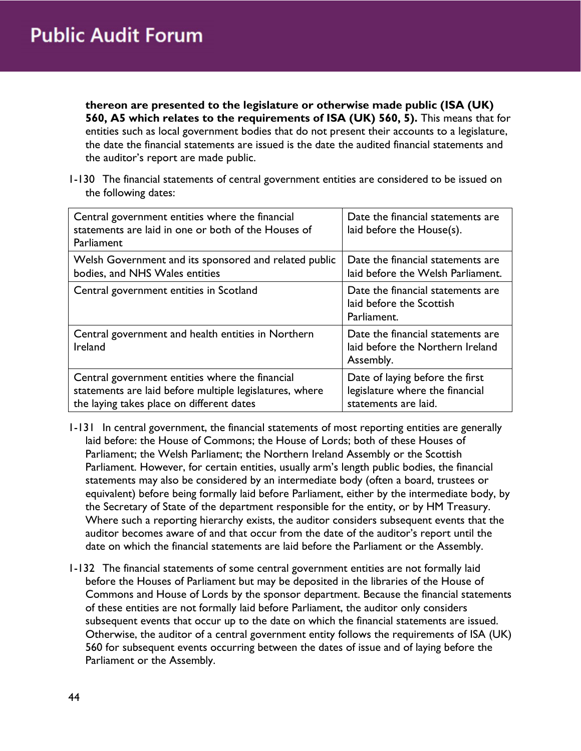# **Public Audit Forum**

**thereon are presented to the legislature or otherwise made public (ISA (UK) 560, A5 which relates to the requirements of ISA (UK) 560, 5).** This means that for entities such as local government bodies that do not present their accounts to a legislature, the date the financial statements are issued is the date the audited financial statements and the auditor's report are made public.

1-130 The financial statements of central government entities are considered to be issued on the following dates:

| Central government entities where the financial<br>statements are laid in one or both of the Houses of<br>Parliament                                    | Date the financial statements are<br>laid before the House(s).                             |
|---------------------------------------------------------------------------------------------------------------------------------------------------------|--------------------------------------------------------------------------------------------|
| Welsh Government and its sponsored and related public<br>bodies, and NHS Wales entities                                                                 | Date the financial statements are<br>laid before the Welsh Parliament.                     |
| Central government entities in Scotland                                                                                                                 | Date the financial statements are<br>laid before the Scottish<br>Parliament.               |
| Central government and health entities in Northern<br>Ireland                                                                                           | Date the financial statements are<br>laid before the Northern Ireland<br>Assembly.         |
| Central government entities where the financial<br>statements are laid before multiple legislatures, where<br>the laying takes place on different dates | Date of laying before the first<br>legislature where the financial<br>statements are laid. |

- 1-131 In central government, the financial statements of most reporting entities are generally laid before: the House of Commons; the House of Lords; both of these Houses of Parliament; the Welsh Parliament; the Northern Ireland Assembly or the Scottish Parliament. However, for certain entities, usually arm's length public bodies, the financial statements may also be considered by an intermediate body (often a board, trustees or equivalent) before being formally laid before Parliament, either by the intermediate body, by the Secretary of State of the department responsible for the entity, or by HM Treasury. Where such a reporting hierarchy exists, the auditor considers subsequent events that the auditor becomes aware of and that occur from the date of the auditor's report until the date on which the financial statements are laid before the Parliament or the Assembly.
- 1-132 The financial statements of some central government entities are not formally laid before the Houses of Parliament but may be deposited in the libraries of the House of Commons and House of Lords by the sponsor department. Because the financial statements of these entities are not formally laid before Parliament, the auditor only considers subsequent events that occur up to the date on which the financial statements are issued. Otherwise, the auditor of a central government entity follows the requirements of ISA (UK) 560 for subsequent events occurring between the dates of issue and of laying before the Parliament or the Assembly.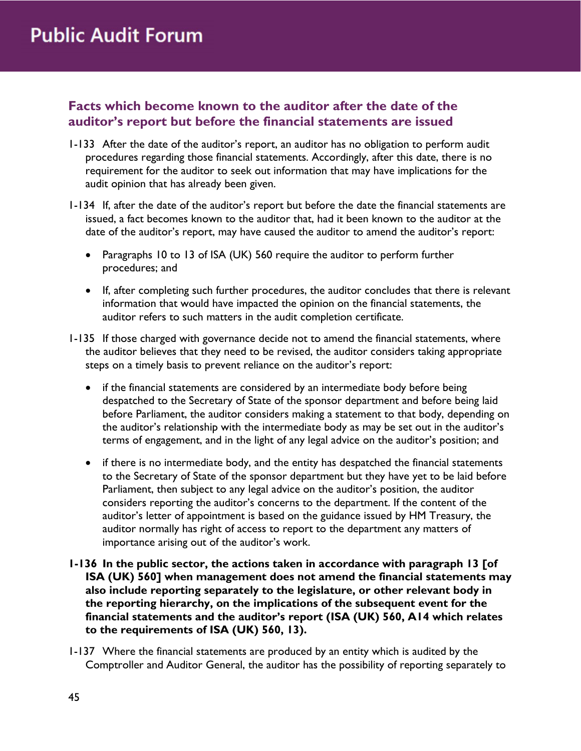### **Facts which become known to the auditor after the date of the auditor's report but before the financial statements are issued**

- 1-133 After the date of the auditor's report, an auditor has no obligation to perform audit procedures regarding those financial statements. Accordingly, after this date, there is no requirement for the auditor to seek out information that may have implications for the audit opinion that has already been given.
- 1-134 If, after the date of the auditor's report but before the date the financial statements are issued, a fact becomes known to the auditor that, had it been known to the auditor at the date of the auditor's report, may have caused the auditor to amend the auditor's report:
	- Paragraphs 10 to 13 of ISA (UK) 560 require the auditor to perform further procedures; and
	- If, after completing such further procedures, the auditor concludes that there is relevant information that would have impacted the opinion on the financial statements, the auditor refers to such matters in the audit completion certificate.
- 1-135 If those charged with governance decide not to amend the financial statements, where the auditor believes that they need to be revised, the auditor considers taking appropriate steps on a timely basis to prevent reliance on the auditor's report:
	- if the financial statements are considered by an intermediate body before being despatched to the Secretary of State of the sponsor department and before being laid before Parliament, the auditor considers making a statement to that body, depending on the auditor's relationship with the intermediate body as may be set out in the auditor's terms of engagement, and in the light of any legal advice on the auditor's position; and
	- if there is no intermediate body, and the entity has despatched the financial statements to the Secretary of State of the sponsor department but they have yet to be laid before Parliament, then subject to any legal advice on the auditor's position, the auditor considers reporting the auditor's concerns to the department. If the content of the auditor's letter of appointment is based on the guidance issued by HM Treasury, the auditor normally has right of access to report to the department any matters of importance arising out of the auditor's work.
- **1-136 In the public sector, the actions taken in accordance with paragraph 13 [of ISA (UK) 560] when management does not amend the financial statements may also include reporting separately to the legislature, or other relevant body in the reporting hierarchy, on the implications of the subsequent event for the financial statements and the auditor's report (ISA (UK) 560, A14 which relates to the requirements of ISA (UK) 560, 13).**
- 1-137 Where the financial statements are produced by an entity which is audited by the Comptroller and Auditor General, the auditor has the possibility of reporting separately to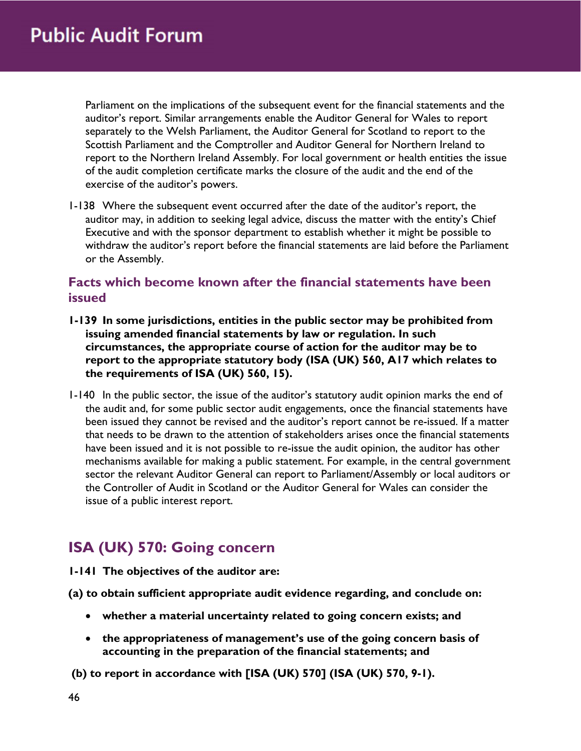Parliament on the implications of the subsequent event for the financial statements and the auditor's report. Similar arrangements enable the Auditor General for Wales to report separately to the Welsh Parliament, the Auditor General for Scotland to report to the Scottish Parliament and the Comptroller and Auditor General for Northern Ireland to report to the Northern Ireland Assembly. For local government or health entities the issue of the audit completion certificate marks the closure of the audit and the end of the exercise of the auditor's powers.

1-138 Where the subsequent event occurred after the date of the auditor's report, the auditor may, in addition to seeking legal advice, discuss the matter with the entity's Chief Executive and with the sponsor department to establish whether it might be possible to withdraw the auditor's report before the financial statements are laid before the Parliament or the Assembly.

### **Facts which become known after the financial statements have been issued**

- **1-139 In some jurisdictions, entities in the public sector may be prohibited from issuing amended financial statements by law or regulation. In such circumstances, the appropriate course of action for the auditor may be to report to the appropriate statutory body (ISA (UK) 560, A17 which relates to the requirements of ISA (UK) 560, 15).**
- 1-140 In the public sector, the issue of the auditor's statutory audit opinion marks the end of the audit and, for some public sector audit engagements, once the financial statements have been issued they cannot be revised and the auditor's report cannot be re-issued. If a matter that needs to be drawn to the attention of stakeholders arises once the financial statements have been issued and it is not possible to re-issue the audit opinion, the auditor has other mechanisms available for making a public statement. For example, in the central government sector the relevant Auditor General can report to Parliament/Assembly or local auditors or the Controller of Audit in Scotland or the Auditor General for Wales can consider the issue of a public interest report.

# **ISA (UK) 570: Going concern**

- **1-141 The objectives of the auditor are:**
- **(a) to obtain sufficient appropriate audit evidence regarding, and conclude on:**
	- **whether a material uncertainty related to going concern exists; and**
	- **the appropriateness of management's use of the going concern basis of accounting in the preparation of the financial statements; and**
- **(b) to report in accordance with [ISA (UK) 570] (ISA (UK) 570, 9-1).**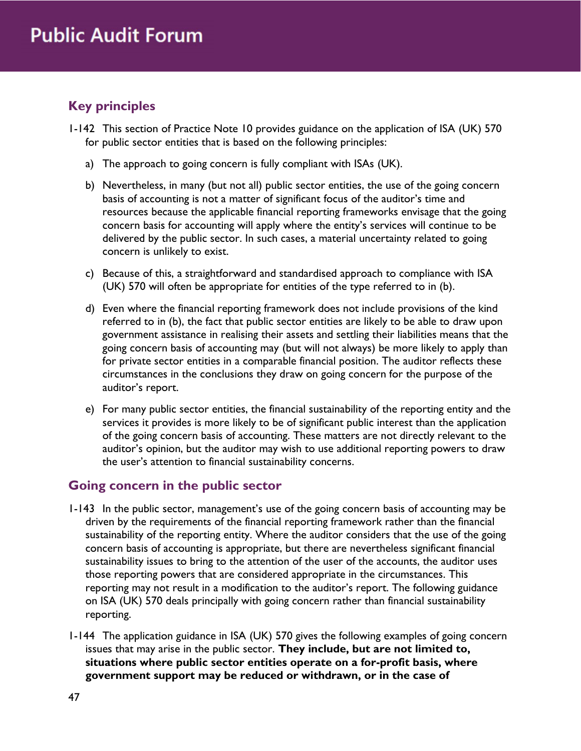### **Key principles**

- 1-142 This section of Practice Note 10 provides guidance on the application of ISA (UK) 570 for public sector entities that is based on the following principles:
	- a) The approach to going concern is fully compliant with ISAs (UK).
	- b) Nevertheless, in many (but not all) public sector entities, the use of the going concern basis of accounting is not a matter of significant focus of the auditor's time and resources because the applicable financial reporting frameworks envisage that the going concern basis for accounting will apply where the entity's services will continue to be delivered by the public sector. In such cases, a material uncertainty related to going concern is unlikely to exist.
	- c) Because of this, a straightforward and standardised approach to compliance with ISA (UK) 570 will often be appropriate for entities of the type referred to in (b).
	- d) Even where the financial reporting framework does not include provisions of the kind referred to in (b), the fact that public sector entities are likely to be able to draw upon government assistance in realising their assets and settling their liabilities means that the going concern basis of accounting may (but will not always) be more likely to apply than for private sector entities in a comparable financial position. The auditor reflects these circumstances in the conclusions they draw on going concern for the purpose of the auditor's report.
	- e) For many public sector entities, the financial sustainability of the reporting entity and the services it provides is more likely to be of significant public interest than the application of the going concern basis of accounting. These matters are not directly relevant to the auditor's opinion, but the auditor may wish to use additional reporting powers to draw the user's attention to financial sustainability concerns.

### **Going concern in the public sector**

- 1-143 In the public sector, management's use of the going concern basis of accounting may be driven by the requirements of the financial reporting framework rather than the financial sustainability of the reporting entity. Where the auditor considers that the use of the going concern basis of accounting is appropriate, but there are nevertheless significant financial sustainability issues to bring to the attention of the user of the accounts, the auditor uses those reporting powers that are considered appropriate in the circumstances. This reporting may not result in a modification to the auditor's report. The following guidance on ISA (UK) 570 deals principally with going concern rather than financial sustainability reporting.
- 1-144 The application guidance in ISA (UK) 570 gives the following examples of going concern issues that may arise in the public sector. **They include, but are not limited to, situations where public sector entities operate on a for-profit basis, where government support may be reduced or withdrawn, or in the case of**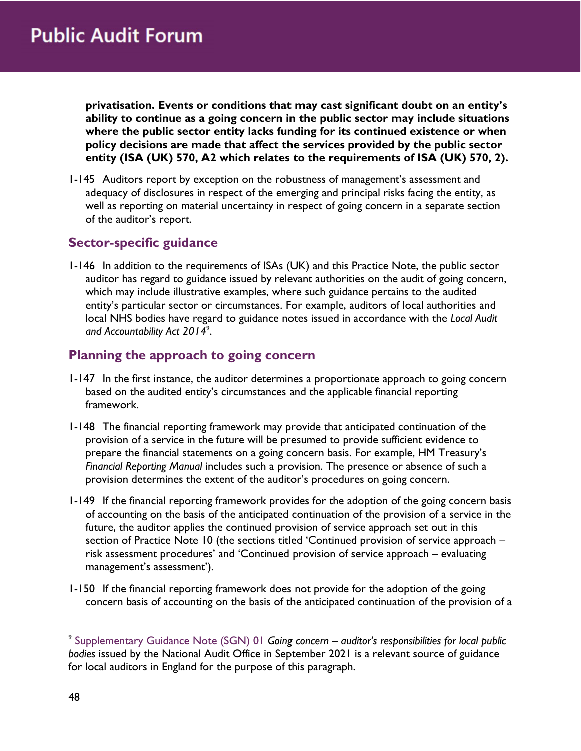**privatisation. Events or conditions that may cast significant doubt on an entity's ability to continue as a going concern in the public sector may include situations where the public sector entity lacks funding for its continued existence or when policy decisions are made that affect the services provided by the public sector entity (ISA (UK) 570, A2 which relates to the requirements of ISA (UK) 570, 2).**

1-145 Auditors report by exception on the robustness of management's assessment and adequacy of disclosures in respect of the emerging and principal risks facing the entity, as well as reporting on material uncertainty in respect of going concern in a separate section of the auditor's report.

### **Sector-specific guidance**

1-146 In addition to the requirements of ISAs (UK) and this Practice Note, the public sector auditor has regard to guidance issued by relevant authorities on the audit of going concern, which may include illustrative examples, where such guidance pertains to the audited entity's particular sector or circumstances. For example, auditors of local authorities and local NHS bodies have regard to guidance notes issued in accordance with the *Local Audit and Accountability Act 2014*<sup>9</sup> .

### **Planning the approach to going concern**

- 1-147 In the first instance, the auditor determines a proportionate approach to going concern based on the audited entity's circumstances and the applicable financial reporting framework.
- 1-148 The financial reporting framework may provide that anticipated continuation of the provision of a service in the future will be presumed to provide sufficient evidence to prepare the financial statements on a going concern basis. For example, HM Treasury's *Financial Reporting Manual* includes such a provision. The presence or absence of such a provision determines the extent of the auditor's procedures on going concern.
- 1-149 If the financial reporting framework provides for the adoption of the going concern basis of accounting on the basis of the anticipated continuation of the provision of a service in the future, the auditor applies the continued provision of service approach set out in this section of Practice Note 10 (the sections titled 'Continued provision of service approach – risk assessment procedures' and 'Continued provision of service approach – evaluating management's assessment').
- 1-150 If the financial reporting framework does not provide for the adoption of the going concern basis of accounting on the basis of the anticipated continuation of the provision of a

<sup>9</sup> [Supplementary Guidance Note \(SGN\) 01](https://www.nao.org.uk/code-audit-practice/wp-content/uploads/sites/29/2021/04/SGN-01-Going-Concern-Final-16-April-2021.pdf) *Going concern – auditor's responsibilities for local public bodies* issued by the National Audit Office in September 2021 is a relevant source of guidance for local auditors in England for the purpose of this paragraph.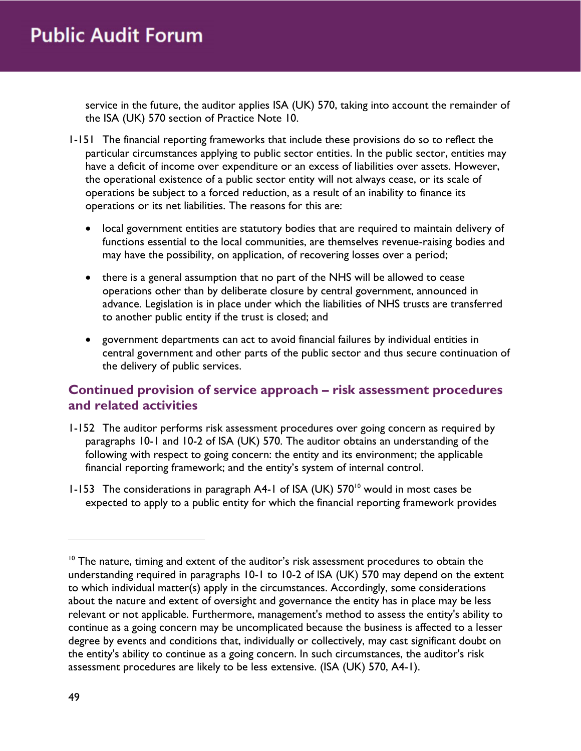service in the future, the auditor applies ISA (UK) 570, taking into account the remainder of the ISA (UK) 570 section of Practice Note 10.

- 1-151 The financial reporting frameworks that include these provisions do so to reflect the particular circumstances applying to public sector entities. In the public sector, entities may have a deficit of income over expenditure or an excess of liabilities over assets. However, the operational existence of a public sector entity will not always cease, or its scale of operations be subject to a forced reduction, as a result of an inability to finance its operations or its net liabilities. The reasons for this are:
	- local government entities are statutory bodies that are required to maintain delivery of functions essential to the local communities, are themselves revenue-raising bodies and may have the possibility, on application, of recovering losses over a period;
	- there is a general assumption that no part of the NHS will be allowed to cease operations other than by deliberate closure by central government, announced in advance. Legislation is in place under which the liabilities of NHS trusts are transferred to another public entity if the trust is closed; and
	- government departments can act to avoid financial failures by individual entities in central government and other parts of the public sector and thus secure continuation of the delivery of public services.

### **Continued provision of service approach – risk assessment procedures and related activities**

- 1-152 The auditor performs risk assessment procedures over going concern as required by paragraphs 10-1 and 10-2 of ISA (UK) 570. The auditor obtains an understanding of the following with respect to going concern: the entity and its environment; the applicable financial reporting framework; and the entity's system of internal control.
- 1-153 The considerations in paragraph A4-1 of ISA (UK)  $570^{10}$  would in most cases be expected to apply to a public entity for which the financial reporting framework provides

 $10$  The nature, timing and extent of the auditor's risk assessment procedures to obtain the understanding required in paragraphs 10-1 to 10-2 of ISA (UK) 570 may depend on the extent to which individual matter(s) apply in the circumstances. Accordingly, some considerations about the nature and extent of oversight and governance the entity has in place may be less relevant or not applicable. Furthermore, management's method to assess the entity's ability to continue as a going concern may be uncomplicated because the business is affected to a lesser degree by events and conditions that, individually or collectively, may cast significant doubt on the entity's ability to continue as a going concern. In such circumstances, the auditor's risk assessment procedures are likely to be less extensive. (ISA (UK) 570, A4-1).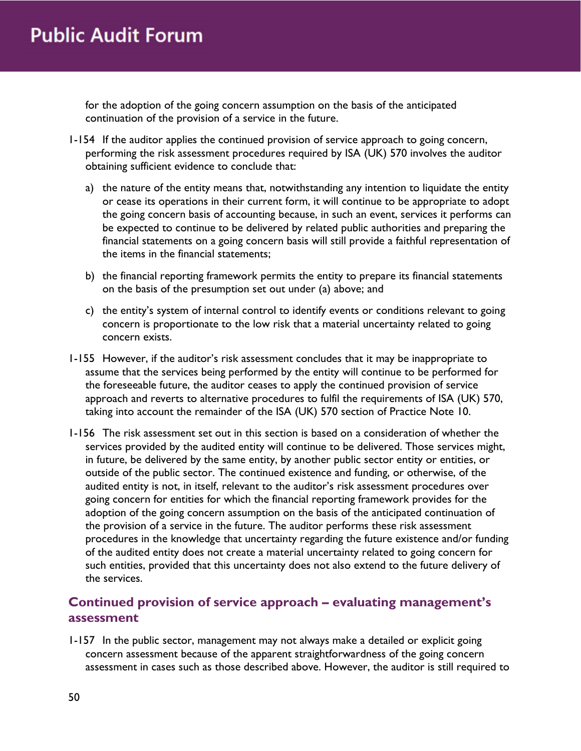for the adoption of the going concern assumption on the basis of the anticipated continuation of the provision of a service in the future.

- 1-154 If the auditor applies the continued provision of service approach to going concern, performing the risk assessment procedures required by ISA (UK) 570 involves the auditor obtaining sufficient evidence to conclude that:
	- a) the nature of the entity means that, notwithstanding any intention to liquidate the entity or cease its operations in their current form, it will continue to be appropriate to adopt the going concern basis of accounting because, in such an event, services it performs can be expected to continue to be delivered by related public authorities and preparing the financial statements on a going concern basis will still provide a faithful representation of the items in the financial statements;
	- b) the financial reporting framework permits the entity to prepare its financial statements on the basis of the presumption set out under (a) above; and
	- c) the entity's system of internal control to identify events or conditions relevant to going concern is proportionate to the low risk that a material uncertainty related to going concern exists.
- 1-155 However, if the auditor's risk assessment concludes that it may be inappropriate to assume that the services being performed by the entity will continue to be performed for the foreseeable future, the auditor ceases to apply the continued provision of service approach and reverts to alternative procedures to fulfil the requirements of ISA (UK) 570, taking into account the remainder of the ISA (UK) 570 section of Practice Note 10.
- 1-156 The risk assessment set out in this section is based on a consideration of whether the services provided by the audited entity will continue to be delivered. Those services might, in future, be delivered by the same entity, by another public sector entity or entities, or outside of the public sector. The continued existence and funding, or otherwise, of the audited entity is not, in itself, relevant to the auditor's risk assessment procedures over going concern for entities for which the financial reporting framework provides for the adoption of the going concern assumption on the basis of the anticipated continuation of the provision of a service in the future. The auditor performs these risk assessment procedures in the knowledge that uncertainty regarding the future existence and/or funding of the audited entity does not create a material uncertainty related to going concern for such entities, provided that this uncertainty does not also extend to the future delivery of the services.

### **Continued provision of service approach – evaluating management's assessment**

1-157 In the public sector, management may not always make a detailed or explicit going concern assessment because of the apparent straightforwardness of the going concern assessment in cases such as those described above. However, the auditor is still required to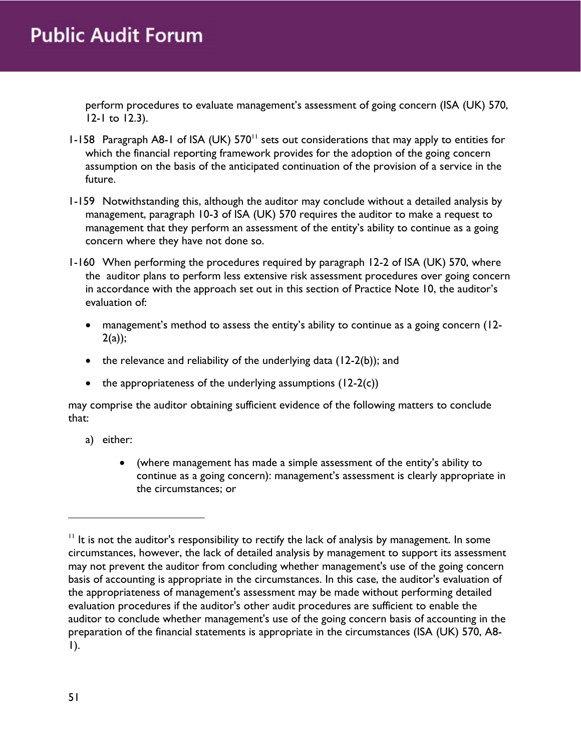perform procedures to evaluate management's assessment of going concern (ISA (UK) 570, 12-1 to 12.3).

- 1-158 Paragraph A8-1 of ISA (UK)  $570^{11}$  sets out considerations that may apply to entities for which the financial reporting framework provides for the adoption of the going concern assumption on the basis of the anticipated continuation of the provision of a service in the future.
- 1-159 Notwithstanding this, although the auditor may conclude without a detailed analysis by management, paragraph 10-3 of ISA (UK) 570 requires the auditor to make a request to management that they perform an assessment of the entity's ability to continue as a going concern where they have not done so.
- 1-160 When performing the procedures required by paragraph 12-2 of ISA (UK) 570, where the auditor plans to perform less extensive risk assessment procedures over going concern in accordance with the approach set out in this section of Practice Note 10, the auditor's evaluation of:
	- management's method to assess the entity's ability to continue as a going concern (12-  $2(a)$ ;
	- the relevance and reliability of the underlying data  $(12-2(b))$ ; and
	- the appropriateness of the underlying assumptions  $(12-2(c))$

may comprise the auditor obtaining sufficient evidence of the following matters to conclude that:

- a) either:
	- (where management has made a simple assessment of the entity's ability to continue as a going concern): management's assessment is clearly appropriate in the circumstances; or

 $11$  It is not the auditor's responsibility to rectify the lack of analysis by management. In some circumstances, however, the lack of detailed analysis by management to support its assessment may not prevent the auditor from concluding whether management's use of the going concern basis of accounting is appropriate in the circumstances. In this case, the auditor's evaluation of the appropriateness of management's assessment may be made without performing detailed evaluation procedures if the auditor's other audit procedures are sufficient to enable the auditor to conclude whether management's use of the going concern basis of accounting in the preparation of the financial statements is appropriate in the circumstances (ISA (UK) 570, A8- 1).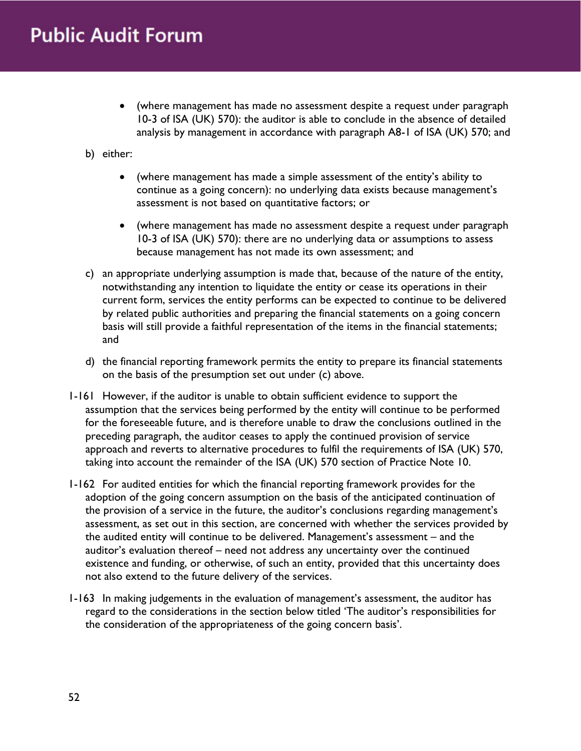- (where management has made no assessment despite a request under paragraph 10-3 of ISA (UK) 570): the auditor is able to conclude in the absence of detailed analysis by management in accordance with paragraph A8-1 of ISA (UK) 570; and
- b) either:
	- (where management has made a simple assessment of the entity's ability to continue as a going concern): no underlying data exists because management's assessment is not based on quantitative factors; or
	- (where management has made no assessment despite a request under paragraph 10-3 of ISA (UK) 570): there are no underlying data or assumptions to assess because management has not made its own assessment; and
- c) an appropriate underlying assumption is made that, because of the nature of the entity, notwithstanding any intention to liquidate the entity or cease its operations in their current form, services the entity performs can be expected to continue to be delivered by related public authorities and preparing the financial statements on a going concern basis will still provide a faithful representation of the items in the financial statements; and
- d) the financial reporting framework permits the entity to prepare its financial statements on the basis of the presumption set out under (c) above.
- 1-161 However, if the auditor is unable to obtain sufficient evidence to support the assumption that the services being performed by the entity will continue to be performed for the foreseeable future, and is therefore unable to draw the conclusions outlined in the preceding paragraph, the auditor ceases to apply the continued provision of service approach and reverts to alternative procedures to fulfil the requirements of ISA (UK) 570, taking into account the remainder of the ISA (UK) 570 section of Practice Note 10.
- 1-162 For audited entities for which the financial reporting framework provides for the adoption of the going concern assumption on the basis of the anticipated continuation of the provision of a service in the future, the auditor's conclusions regarding management's assessment, as set out in this section, are concerned with whether the services provided by the audited entity will continue to be delivered. Management's assessment – and the auditor's evaluation thereof – need not address any uncertainty over the continued existence and funding, or otherwise, of such an entity, provided that this uncertainty does not also extend to the future delivery of the services.
- 1-163 In making judgements in the evaluation of management's assessment, the auditor has regard to the considerations in the section below titled 'The auditor's responsibilities for the consideration of the appropriateness of the going concern basis'.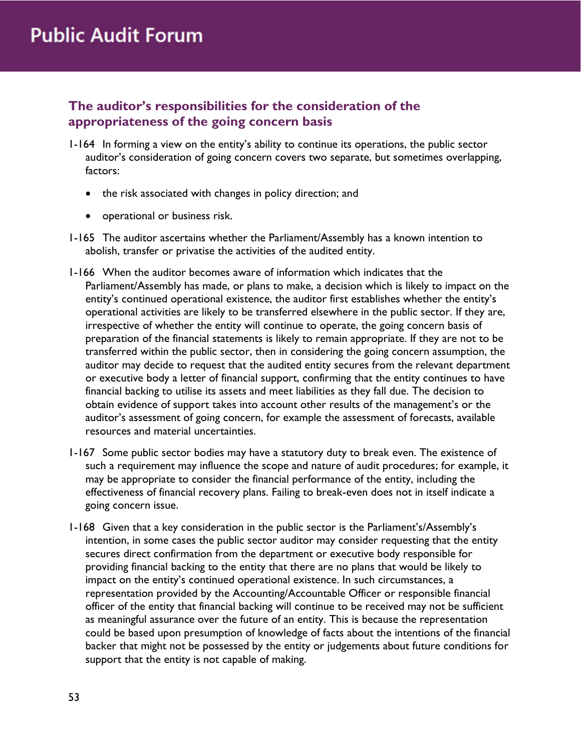### **The auditor's responsibilities for the consideration of the appropriateness of the going concern basis**

- 1-164 In forming a view on the entity's ability to continue its operations, the public sector auditor's consideration of going concern covers two separate, but sometimes overlapping, factors:
	- the risk associated with changes in policy direction; and
	- operational or business risk.
- 1-165 The auditor ascertains whether the Parliament/Assembly has a known intention to abolish, transfer or privatise the activities of the audited entity.
- 1-166 When the auditor becomes aware of information which indicates that the Parliament/Assembly has made, or plans to make, a decision which is likely to impact on the entity's continued operational existence, the auditor first establishes whether the entity's operational activities are likely to be transferred elsewhere in the public sector. If they are, irrespective of whether the entity will continue to operate, the going concern basis of preparation of the financial statements is likely to remain appropriate. If they are not to be transferred within the public sector, then in considering the going concern assumption, the auditor may decide to request that the audited entity secures from the relevant department or executive body a letter of financial support, confirming that the entity continues to have financial backing to utilise its assets and meet liabilities as they fall due. The decision to obtain evidence of support takes into account other results of the management's or the auditor's assessment of going concern, for example the assessment of forecasts, available resources and material uncertainties.
- 1-167 Some public sector bodies may have a statutory duty to break even. The existence of such a requirement may influence the scope and nature of audit procedures; for example, it may be appropriate to consider the financial performance of the entity, including the effectiveness of financial recovery plans. Failing to break-even does not in itself indicate a going concern issue.
- 1-168 Given that a key consideration in the public sector is the Parliament's/Assembly's intention, in some cases the public sector auditor may consider requesting that the entity secures direct confirmation from the department or executive body responsible for providing financial backing to the entity that there are no plans that would be likely to impact on the entity's continued operational existence. In such circumstances, a representation provided by the Accounting/Accountable Officer or responsible financial officer of the entity that financial backing will continue to be received may not be sufficient as meaningful assurance over the future of an entity. This is because the representation could be based upon presumption of knowledge of facts about the intentions of the financial backer that might not be possessed by the entity or judgements about future conditions for support that the entity is not capable of making.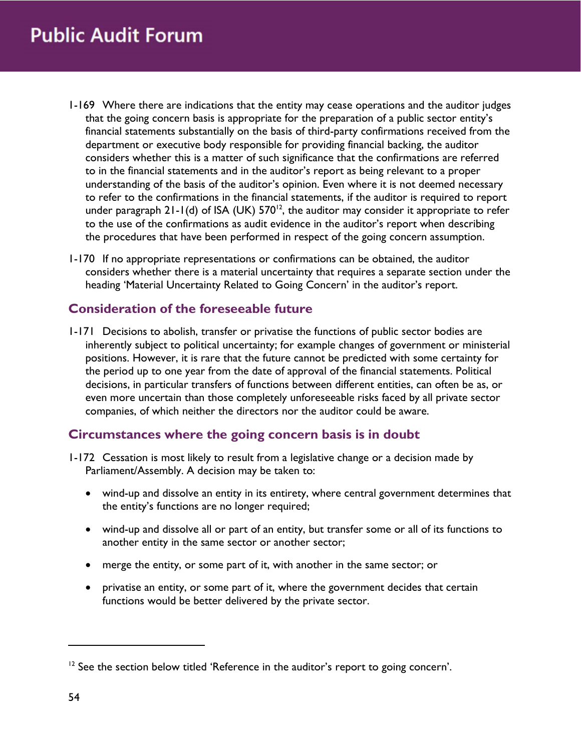- 1-169 Where there are indications that the entity may cease operations and the auditor judges that the going concern basis is appropriate for the preparation of a public sector entity's financial statements substantially on the basis of third-party confirmations received from the department or executive body responsible for providing financial backing, the auditor considers whether this is a matter of such significance that the confirmations are referred to in the financial statements and in the auditor's report as being relevant to a proper understanding of the basis of the auditor's opinion. Even where it is not deemed necessary to refer to the confirmations in the financial statements, if the auditor is required to report under paragraph 21-1(d) of ISA (UK)  $570^{12}$ , the auditor may consider it appropriate to refer to the use of the confirmations as audit evidence in the auditor's report when describing the procedures that have been performed in respect of the going concern assumption.
- 1-170 If no appropriate representations or confirmations can be obtained, the auditor considers whether there is a material uncertainty that requires a separate section under the heading 'Material Uncertainty Related to Going Concern' in the auditor's report.

### **Consideration of the foreseeable future**

1-171 Decisions to abolish, transfer or privatise the functions of public sector bodies are inherently subject to political uncertainty; for example changes of government or ministerial positions. However, it is rare that the future cannot be predicted with some certainty for the period up to one year from the date of approval of the financial statements. Political decisions, in particular transfers of functions between different entities, can often be as, or even more uncertain than those completely unforeseeable risks faced by all private sector companies, of which neither the directors nor the auditor could be aware.

### **Circumstances where the going concern basis is in doubt**

- 1-172 Cessation is most likely to result from a legislative change or a decision made by Parliament/Assembly. A decision may be taken to:
	- wind-up and dissolve an entity in its entirety, where central government determines that the entity's functions are no longer required;
	- wind-up and dissolve all or part of an entity, but transfer some or all of its functions to another entity in the same sector or another sector;
	- merge the entity, or some part of it, with another in the same sector; or
	- privatise an entity, or some part of it, where the government decides that certain functions would be better delivered by the private sector.

 $12$  See the section below titled 'Reference in the auditor's report to going concern'.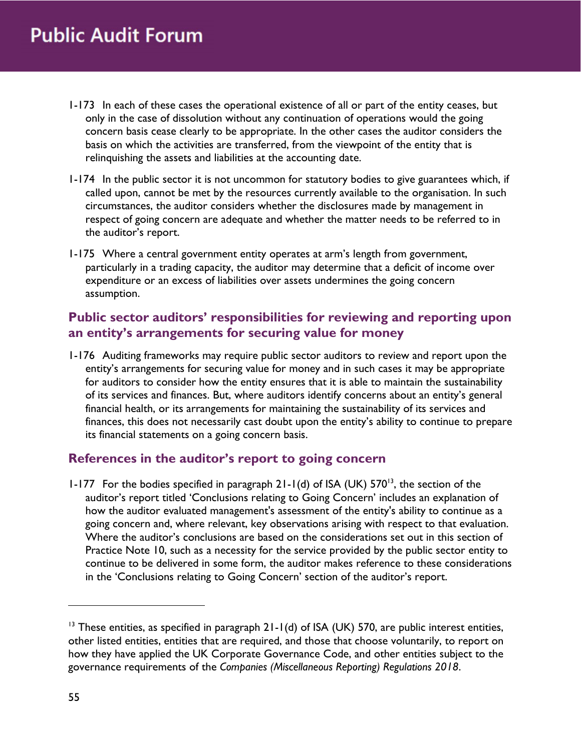- 1-173 In each of these cases the operational existence of all or part of the entity ceases, but only in the case of dissolution without any continuation of operations would the going concern basis cease clearly to be appropriate. In the other cases the auditor considers the basis on which the activities are transferred, from the viewpoint of the entity that is relinquishing the assets and liabilities at the accounting date.
- 1-174 In the public sector it is not uncommon for statutory bodies to give guarantees which, if called upon, cannot be met by the resources currently available to the organisation. In such circumstances, the auditor considers whether the disclosures made by management in respect of going concern are adequate and whether the matter needs to be referred to in the auditor's report.
- 1-175 Where a central government entity operates at arm's length from government, particularly in a trading capacity, the auditor may determine that a deficit of income over expenditure or an excess of liabilities over assets undermines the going concern assumption.

### **Public sector auditors' responsibilities for reviewing and reporting upon an entity's arrangements for securing value for money**

1-176 Auditing frameworks may require public sector auditors to review and report upon the entity's arrangements for securing value for money and in such cases it may be appropriate for auditors to consider how the entity ensures that it is able to maintain the sustainability of its services and finances. But, where auditors identify concerns about an entity's general financial health, or its arrangements for maintaining the sustainability of its services and finances, this does not necessarily cast doubt upon the entity's ability to continue to prepare its financial statements on a going concern basis.

### **References in the auditor's report to going concern**

1-177 For the bodies specified in paragraph  $21-I(d)$  of ISA (UK) 570<sup>13</sup>, the section of the auditor's report titled 'Conclusions relating to Going Concern' includes an explanation of how the auditor evaluated management's assessment of the entity's ability to continue as a going concern and, where relevant, key observations arising with respect to that evaluation. Where the auditor's conclusions are based on the considerations set out in this section of Practice Note 10, such as a necessity for the service provided by the public sector entity to continue to be delivered in some form, the auditor makes reference to these considerations in the 'Conclusions relating to Going Concern' section of the auditor's report.

<sup>&</sup>lt;sup>13</sup> These entities, as specified in paragraph  $21-I(d)$  of ISA (UK) 570, are public interest entities, other listed entities, entities that are required, and those that choose voluntarily, to report on how they have applied the UK Corporate Governance Code, and other entities subject to the governance requirements of the *Companies (Miscellaneous Reporting) Regulations 2018*.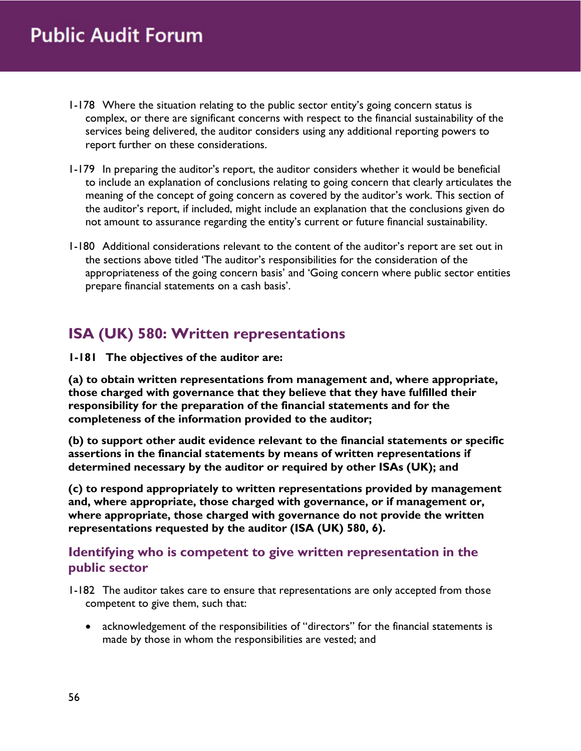- 1-178 Where the situation relating to the public sector entity's going concern status is complex, or there are significant concerns with respect to the financial sustainability of the services being delivered, the auditor considers using any additional reporting powers to report further on these considerations.
- 1-179 In preparing the auditor's report, the auditor considers whether it would be beneficial to include an explanation of conclusions relating to going concern that clearly articulates the meaning of the concept of going concern as covered by the auditor's work. This section of the auditor's report, if included, might include an explanation that the conclusions given do not amount to assurance regarding the entity's current or future financial sustainability.
- 1-180 Additional considerations relevant to the content of the auditor's report are set out in the sections above titled 'The auditor's responsibilities for the consideration of the appropriateness of the going concern basis' and 'Going concern where public sector entities prepare financial statements on a cash basis'.

# **ISA (UK) 580: Written representations**

**1-181 The objectives of the auditor are:**

**(a) to obtain written representations from management and, where appropriate, those charged with governance that they believe that they have fulfilled their responsibility for the preparation of the financial statements and for the completeness of the information provided to the auditor;**

**(b) to support other audit evidence relevant to the financial statements or specific assertions in the financial statements by means of written representations if determined necessary by the auditor or required by other ISAs (UK); and**

**(c) to respond appropriately to written representations provided by management and, where appropriate, those charged with governance, or if management or, where appropriate, those charged with governance do not provide the written representations requested by the auditor (ISA (UK) 580, 6).**

### **Identifying who is competent to give written representation in the public sector**

- 1-182 The auditor takes care to ensure that representations are only accepted from those competent to give them, such that:
	- acknowledgement of the responsibilities of "directors" for the financial statements is made by those in whom the responsibilities are vested; and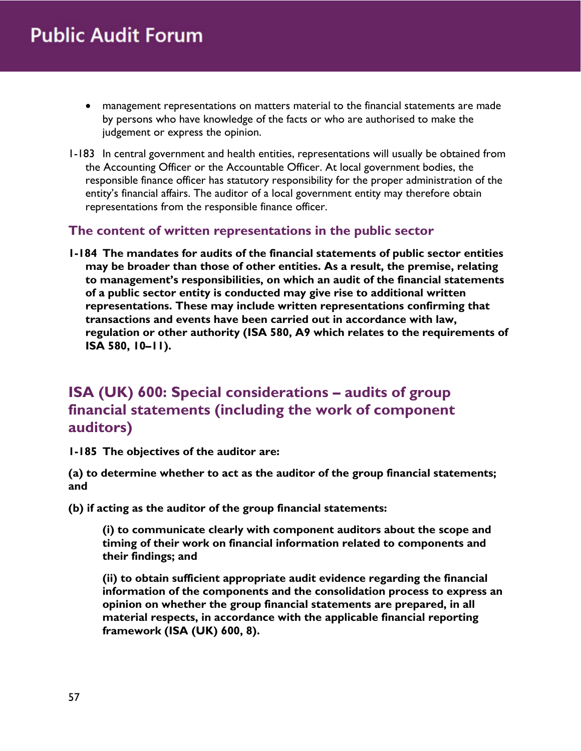- management representations on matters material to the financial statements are made by persons who have knowledge of the facts or who are authorised to make the judgement or express the opinion.
- 1-183 In central government and health entities, representations will usually be obtained from the Accounting Officer or the Accountable Officer. At local government bodies, the responsible finance officer has statutory responsibility for the proper administration of the entity's financial affairs. The auditor of a local government entity may therefore obtain representations from the responsible finance officer.

#### **The content of written representations in the public sector**

**1-184 The mandates for audits of the financial statements of public sector entities may be broader than those of other entities. As a result, the premise, relating to management's responsibilities, on which an audit of the financial statements of a public sector entity is conducted may give rise to additional written representations. These may include written representations confirming that transactions and events have been carried out in accordance with law, regulation or other authority (ISA 580, A9 which relates to the requirements of ISA 580, 10–11).**

### **ISA (UK) 600: Special considerations – audits of group financial statements (including the work of component auditors)**

**1-185 The objectives of the auditor are:**

**(a) to determine whether to act as the auditor of the group financial statements; and**

**(b) if acting as the auditor of the group financial statements:**

**(i) to communicate clearly with component auditors about the scope and timing of their work on financial information related to components and their findings; and**

**(ii) to obtain sufficient appropriate audit evidence regarding the financial information of the components and the consolidation process to express an opinion on whether the group financial statements are prepared, in all material respects, in accordance with the applicable financial reporting framework (ISA (UK) 600, 8).**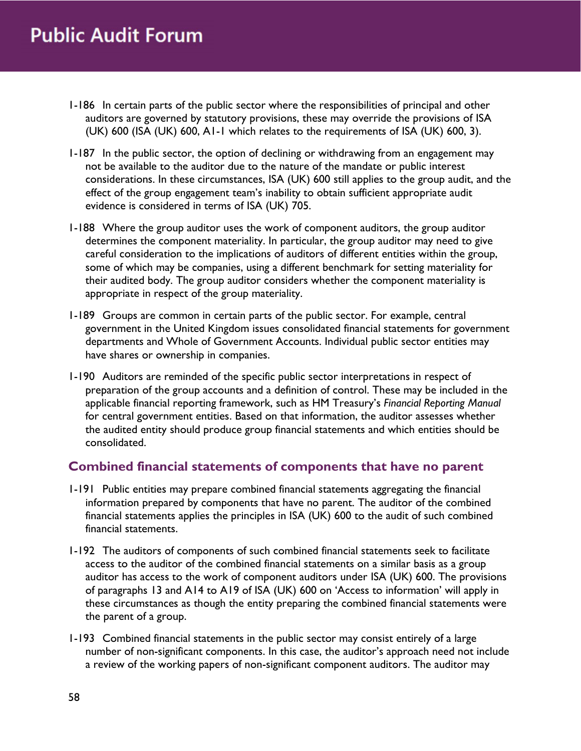- 1-186 In certain parts of the public sector where the responsibilities of principal and other auditors are governed by statutory provisions, these may override the provisions of ISA (UK) 600 (ISA (UK) 600, A1-1 which relates to the requirements of ISA (UK) 600, 3).
- 1-187 In the public sector, the option of declining or withdrawing from an engagement may not be available to the auditor due to the nature of the mandate or public interest considerations. In these circumstances, ISA (UK) 600 still applies to the group audit, and the effect of the group engagement team's inability to obtain sufficient appropriate audit evidence is considered in terms of ISA (UK) 705.
- 1-188 Where the group auditor uses the work of component auditors, the group auditor determines the component materiality. In particular, the group auditor may need to give careful consideration to the implications of auditors of different entities within the group, some of which may be companies, using a different benchmark for setting materiality for their audited body. The group auditor considers whether the component materiality is appropriate in respect of the group materiality.
- 1-189 Groups are common in certain parts of the public sector. For example, central government in the United Kingdom issues consolidated financial statements for government departments and Whole of Government Accounts. Individual public sector entities may have shares or ownership in companies.
- 1-190 Auditors are reminded of the specific public sector interpretations in respect of preparation of the group accounts and a definition of control. These may be included in the applicable financial reporting framework, such as HM Treasury's *Financial Reporting Manual* for central government entities. Based on that information, the auditor assesses whether the audited entity should produce group financial statements and which entities should be consolidated.

### **Combined financial statements of components that have no parent**

- 1-191 Public entities may prepare combined financial statements aggregating the financial information prepared by components that have no parent. The auditor of the combined financial statements applies the principles in ISA (UK) 600 to the audit of such combined financial statements.
- 1-192 The auditors of components of such combined financial statements seek to facilitate access to the auditor of the combined financial statements on a similar basis as a group auditor has access to the work of component auditors under ISA (UK) 600. The provisions of paragraphs 13 and A14 to A19 of ISA (UK) 600 on 'Access to information' will apply in these circumstances as though the entity preparing the combined financial statements were the parent of a group.
- 1-193 Combined financial statements in the public sector may consist entirely of a large number of non-significant components. In this case, the auditor's approach need not include a review of the working papers of non-significant component auditors. The auditor may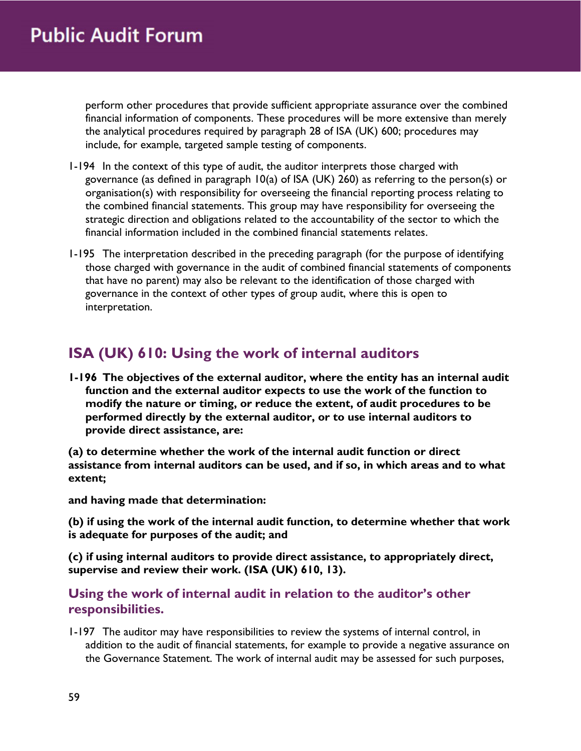perform other procedures that provide sufficient appropriate assurance over the combined financial information of components. These procedures will be more extensive than merely the analytical procedures required by paragraph 28 of ISA (UK) 600; procedures may include, for example, targeted sample testing of components.

- 1-194 In the context of this type of audit, the auditor interprets those charged with governance (as defined in paragraph 10(a) of ISA (UK) 260) as referring to the person(s) or organisation(s) with responsibility for overseeing the financial reporting process relating to the combined financial statements. This group may have responsibility for overseeing the strategic direction and obligations related to the accountability of the sector to which the financial information included in the combined financial statements relates.
- 1-195 The interpretation described in the preceding paragraph (for the purpose of identifying those charged with governance in the audit of combined financial statements of components that have no parent) may also be relevant to the identification of those charged with governance in the context of other types of group audit, where this is open to interpretation.

## **ISA (UK) 610: Using the work of internal auditors**

**1-196 The objectives of the external auditor, where the entity has an internal audit function and the external auditor expects to use the work of the function to modify the nature or timing, or reduce the extent, of audit procedures to be performed directly by the external auditor, or to use internal auditors to provide direct assistance, are:**

**(a) to determine whether the work of the internal audit function or direct assistance from internal auditors can be used, and if so, in which areas and to what extent;**

**and having made that determination:**

**(b) if using the work of the internal audit function, to determine whether that work is adequate for purposes of the audit; and**

**(c) if using internal auditors to provide direct assistance, to appropriately direct, supervise and review their work. (ISA (UK) 610, 13).**

**Using the work of internal audit in relation to the auditor's other responsibilities.**

1-197 The auditor may have responsibilities to review the systems of internal control, in addition to the audit of financial statements, for example to provide a negative assurance on the Governance Statement. The work of internal audit may be assessed for such purposes,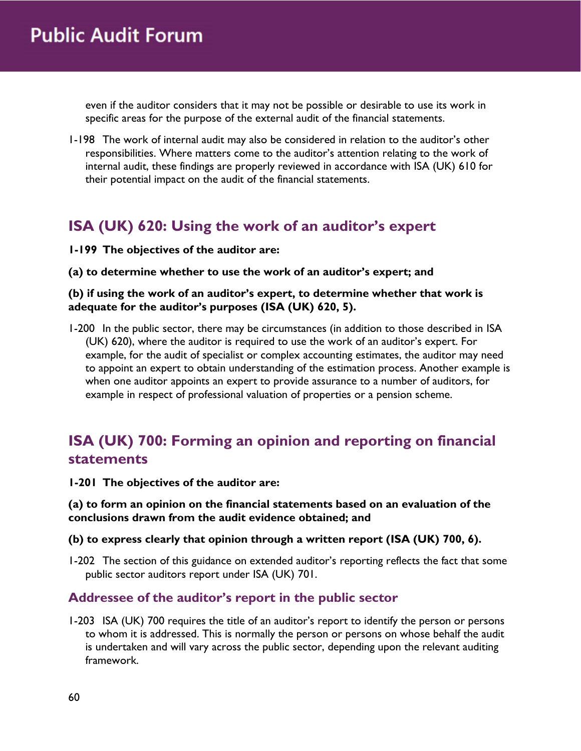even if the auditor considers that it may not be possible or desirable to use its work in specific areas for the purpose of the external audit of the financial statements.

1-198 The work of internal audit may also be considered in relation to the auditor's other responsibilities. Where matters come to the auditor's attention relating to the work of internal audit, these findings are properly reviewed in accordance with ISA (UK) 610 for their potential impact on the audit of the financial statements.

## **ISA (UK) 620: Using the work of an auditor's expert**

- **1-199 The objectives of the auditor are:**
- **(a) to determine whether to use the work of an auditor's expert; and**

#### **(b) if using the work of an auditor's expert, to determine whether that work is adequate for the auditor's purposes (ISA (UK) 620, 5).**

1-200 In the public sector, there may be circumstances (in addition to those described in ISA (UK) 620), where the auditor is required to use the work of an auditor's expert. For example, for the audit of specialist or complex accounting estimates, the auditor may need to appoint an expert to obtain understanding of the estimation process. Another example is when one auditor appoints an expert to provide assurance to a number of auditors, for example in respect of professional valuation of properties or a pension scheme.

## **ISA (UK) 700: Forming an opinion and reporting on financial statements**

**1-201 The objectives of the auditor are:**

#### **(a) to form an opinion on the financial statements based on an evaluation of the conclusions drawn from the audit evidence obtained; and**

#### **(b) to express clearly that opinion through a written report (ISA (UK) 700, 6).**

1-202 The section of this guidance on extended auditor's reporting reflects the fact that some public sector auditors report under ISA (UK) 701.

#### **Addressee of the auditor's report in the public sector**

1-203 ISA (UK) 700 requires the title of an auditor's report to identify the person or persons to whom it is addressed. This is normally the person or persons on whose behalf the audit is undertaken and will vary across the public sector, depending upon the relevant auditing framework.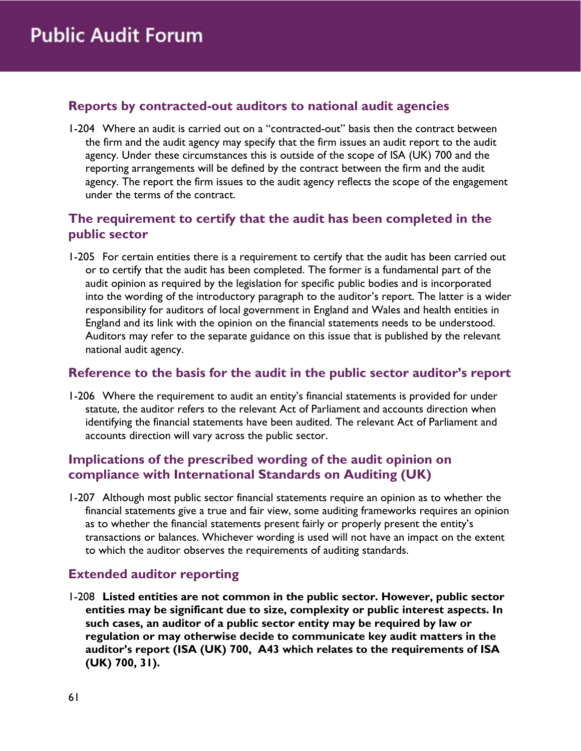### **Reports by contracted-out auditors to national audit agencies**

1-204 Where an audit is carried out on a "contracted-out" basis then the contract between the firm and the audit agency may specify that the firm issues an audit report to the audit agency. Under these circumstances this is outside of the scope of ISA (UK) 700 and the reporting arrangements will be defined by the contract between the firm and the audit agency. The report the firm issues to the audit agency reflects the scope of the engagement under the terms of the contract.

### **The requirement to certify that the audit has been completed in the public sector**

1-205 For certain entities there is a requirement to certify that the audit has been carried out or to certify that the audit has been completed. The former is a fundamental part of the audit opinion as required by the legislation for specific public bodies and is incorporated into the wording of the introductory paragraph to the auditor's report. The latter is a wider responsibility for auditors of local government in England and Wales and health entities in England and its link with the opinion on the financial statements needs to be understood. Auditors may refer to the separate guidance on this issue that is published by the relevant national audit agency.

### **Reference to the basis for the audit in the public sector auditor's report**

1-206 Where the requirement to audit an entity's financial statements is provided for under statute, the auditor refers to the relevant Act of Parliament and accounts direction when identifying the financial statements have been audited. The relevant Act of Parliament and accounts direction will vary across the public sector.

### **Implications of the prescribed wording of the audit opinion on compliance with International Standards on Auditing (UK)**

1-207 Although most public sector financial statements require an opinion as to whether the financial statements give a true and fair view, some auditing frameworks requires an opinion as to whether the financial statements present fairly or properly present the entity's transactions or balances. Whichever wording is used will not have an impact on the extent to which the auditor observes the requirements of auditing standards.

### **Extended auditor reporting**

1-208 **Listed entities are not common in the public sector. However, public sector entities may be significant due to size, complexity or public interest aspects. In such cases, an auditor of a public sector entity may be required by law or regulation or may otherwise decide to communicate key audit matters in the auditor's report (ISA (UK) 700, A43 which relates to the requirements of ISA (UK) 700, 31).**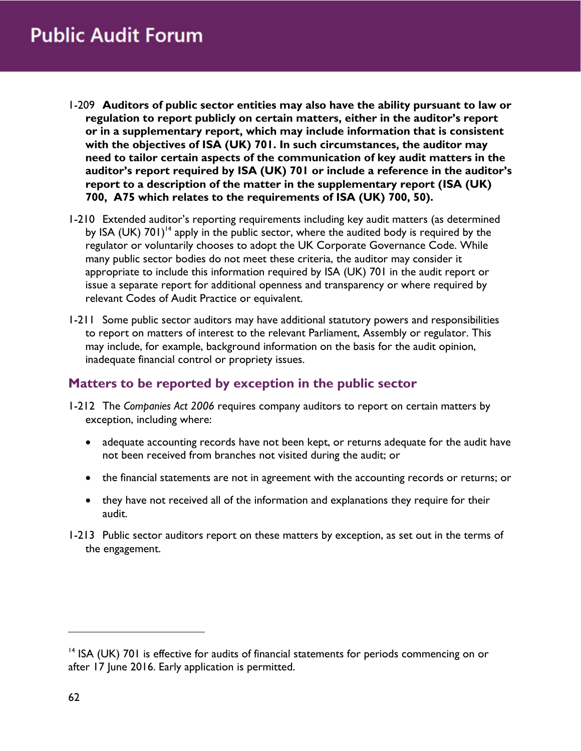# **Public Audit Forum**

- 1-209 **Auditors of public sector entities may also have the ability pursuant to law or regulation to report publicly on certain matters, either in the auditor's report or in a supplementary report, which may include information that is consistent with the objectives of ISA (UK) 701. In such circumstances, the auditor may need to tailor certain aspects of the communication of key audit matters in the auditor's report required by ISA (UK) 701 or include a reference in the auditor's report to a description of the matter in the supplementary report (ISA [\(UK\)](https://library.croneri.co.uk/isauk700r5&p=#a70.) [700,](https://library.croneri.co.uk/isauk700r5&p=#a70.) A75 which relates to the requirements of ISA (UK) 700, 50).**
- 1-210 Extended auditor's reporting requirements including key audit matters (as determined by ISA (UK) 701)<sup>14</sup> apply in the public sector, where the audited body is required by the regulator or voluntarily chooses to adopt the UK Corporate Governance Code. While many public sector bodies do not meet these criteria, the auditor may consider it appropriate to include this information required by ISA (UK) 701 in the audit report or issue a separate report for additional openness and transparency or where required by relevant Codes of Audit Practice or equivalent.
- 1-211 Some public sector auditors may have additional statutory powers and responsibilities to report on matters of interest to the relevant Parliament, Assembly or regulator. This may include, for example, background information on the basis for the audit opinion, inadequate financial control or propriety issues.

### **Matters to be reported by exception in the public sector**

- 1-212 The *Companies Act 2006* requires company auditors to report on certain matters by exception, including where:
	- adequate accounting records have not been kept, or returns adequate for the audit have not been received from branches not visited during the audit; or
	- the financial statements are not in agreement with the accounting records or returns; or
	- they have not received all of the information and explanations they require for their audit.
- 1-213 Public sector auditors report on these matters by exception, as set out in the terms of the engagement.

<sup>&</sup>lt;sup>14</sup> ISA (UK) 701 is effective for audits of financial statements for periods commencing on or after 17 June 2016. Early application is permitted.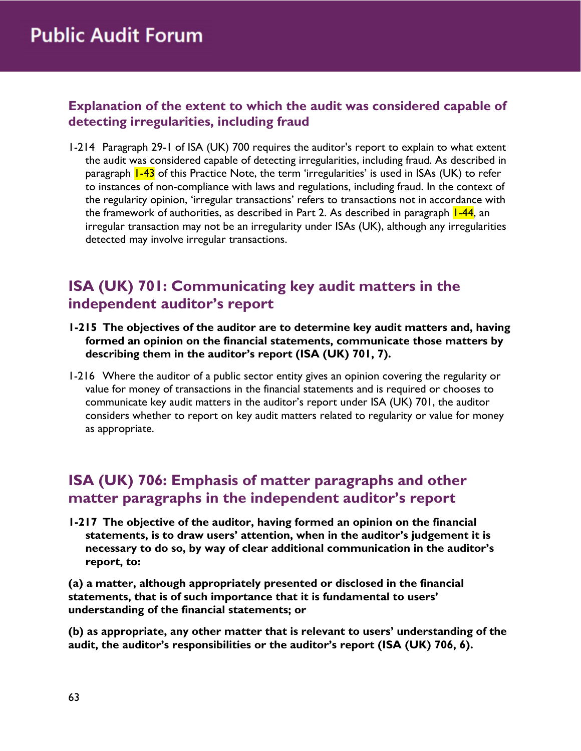### **Explanation of the extent to which the audit was considered capable of detecting irregularities, including fraud**

1-214 Paragraph 29-1 of ISA (UK) 700 requires the auditor's report to explain to what extent the audit was considered capable of detecting irregularities, including fraud. As described in paragraph 1-43 of this Practice Note, the term 'irregularities' is used in ISAs (UK) to refer to instances of non-compliance with laws and regulations, including fraud. In the context of the regularity opinion, 'irregular transactions' refers to transactions not in accordance with the framework of authorities, as described in Part 2. As described in paragraph 1-44, an irregular transaction may not be an irregularity under ISAs (UK), although any irregularities detected may involve irregular transactions.

### **ISA (UK) 701: Communicating key audit matters in the independent auditor's report**

- **1-215 The objectives of the auditor are to determine key audit matters and, having formed an opinion on the financial statements, communicate those matters by describing them in the auditor's report (ISA (UK) 701, 7).**
- 1-216 Where the auditor of a public sector entity gives an opinion covering the regularity or value for money of transactions in the financial statements and is required or chooses to communicate key audit matters in the auditor's report under ISA (UK) 701, the auditor considers whether to report on key audit matters related to regularity or value for money as appropriate.

### **ISA (UK) 706: Emphasis of matter paragraphs and other matter paragraphs in the independent auditor's report**

**1-217 The objective of the auditor, having formed an opinion on the financial statements, is to draw users' attention, when in the auditor's judgement it is necessary to do so, by way of clear additional communication in the auditor's report, to:**

**(a) a matter, although appropriately presented or disclosed in the financial statements, that is of such importance that it is fundamental to users' understanding of the financial statements; or**

**(b) as appropriate, any other matter that is relevant to users' understanding of the audit, the auditor's responsibilities or the auditor's report (ISA (UK) 706, 6).**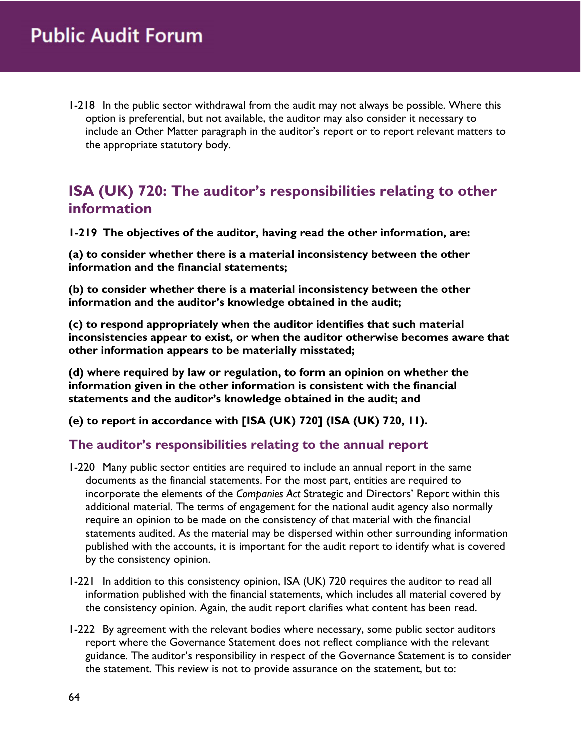1-218 In the public sector withdrawal from the audit may not always be possible. Where this option is preferential, but not available, the auditor may also consider it necessary to include an Other Matter paragraph in the auditor's report or to report relevant matters to the appropriate statutory body.

### **ISA (UK) 720: The auditor's responsibilities relating to other information**

**1-219 The objectives of the auditor, having read the other information, are:**

**(a) to consider whether there is a material inconsistency between the other information and the financial statements;**

**(b) to consider whether there is a material inconsistency between the other information and the auditor's knowledge obtained in the audit;**

**(c) to respond appropriately when the auditor identifies that such material inconsistencies appear to exist, or when the auditor otherwise becomes aware that other information appears to be materially misstated;**

**(d) where required by law or regulation, to form an opinion on whether the information given in the other information is consistent with the financial statements and the auditor's knowledge obtained in the audit; and**

**(e) to report in accordance with [ISA (UK) 720] (ISA (UK) 720, 11).**

#### **The auditor's responsibilities relating to the annual report**

- 1-220 Many public sector entities are required to include an annual report in the same documents as the financial statements. For the most part, entities are required to incorporate the elements of the *Companies Act* Strategic and Directors' Report within this additional material. The terms of engagement for the national audit agency also normally require an opinion to be made on the consistency of that material with the financial statements audited. As the material may be dispersed within other surrounding information published with the accounts, it is important for the audit report to identify what is covered by the consistency opinion.
- 1-221 In addition to this consistency opinion, ISA (UK) 720 requires the auditor to read all information published with the financial statements, which includes all material covered by the consistency opinion. Again, the audit report clarifies what content has been read.
- 1-222 By agreement with the relevant bodies where necessary, some public sector auditors report where the Governance Statement does not reflect compliance with the relevant guidance. The auditor's responsibility in respect of the Governance Statement is to consider the statement. This review is not to provide assurance on the statement, but to: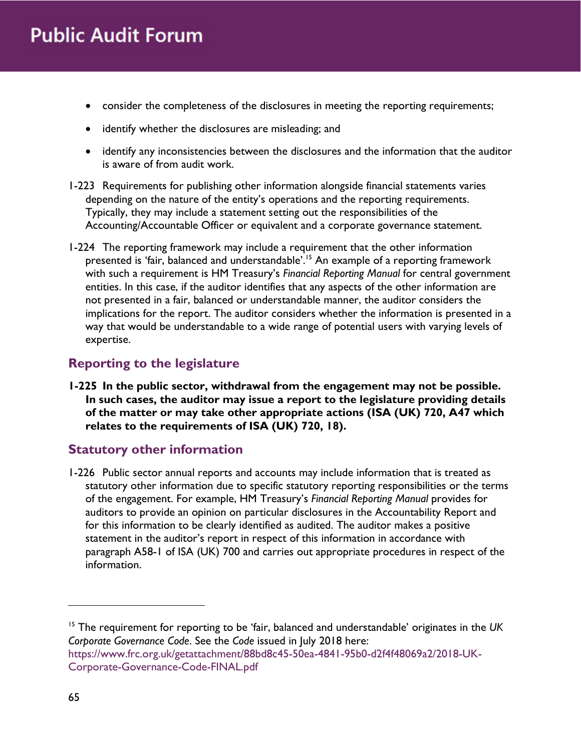- consider the completeness of the disclosures in meeting the reporting requirements;
- identify whether the disclosures are misleading; and
- identify any inconsistencies between the disclosures and the information that the auditor is aware of from audit work.
- 1-223 Requirements for publishing other information alongside financial statements varies depending on the nature of the entity's operations and the reporting requirements. Typically, they may include a statement setting out the responsibilities of the Accounting/Accountable Officer or equivalent and a corporate governance statement.
- 1-224 The reporting framework may include a requirement that the other information presented is 'fair, balanced and understandable'.<sup>15</sup> An example of a reporting framework with such a requirement is HM Treasury's *Financial Reporting Manual* for central government entities. In this case, if the auditor identifies that any aspects of the other information are not presented in a fair, balanced or understandable manner, the auditor considers the implications for the report. The auditor considers whether the information is presented in a way that would be understandable to a wide range of potential users with varying levels of expertise.

### **Reporting to the legislature**

**1-225 In the public sector, withdrawal from the engagement may not be possible. In such cases, the auditor may issue a report to the legislature providing details of the matter or may take other appropriate actions (ISA (UK) 720, A47 which relates to the requirements of ISA (UK) 720, 18).**

### **Statutory other information**

1-226 Public sector annual reports and accounts may include information that is treated as statutory other information due to specific statutory reporting responsibilities or the terms of the engagement. For example, HM Treasury's *Financial Reporting Manual* provides for auditors to provide an opinion on particular disclosures in the Accountability Report and for this information to be clearly identified as audited. The auditor makes a positive statement in the auditor's report in respect of this information in accordance with paragraph A58-1 of ISA (UK) 700 and carries out appropriate procedures in respect of the information.

<sup>15</sup> The requirement for reporting to be 'fair, balanced and understandable' originates in the *UK Corporate Governance Code*. See the *Code* issued in July 2018 here: [https://www.frc.org.uk/getattachment/88bd8c45-50ea-4841-95b0-d2f4f48069a2/2018-UK-](https://www.frc.org.uk/getattachment/88bd8c45-50ea-4841-95b0-d2f4f48069a2/2018-UK-Corporate-Governance-Code-FINAL.pdf)[Corporate-Governance-Code-FINAL.pdf](https://www.frc.org.uk/getattachment/88bd8c45-50ea-4841-95b0-d2f4f48069a2/2018-UK-Corporate-Governance-Code-FINAL.pdf)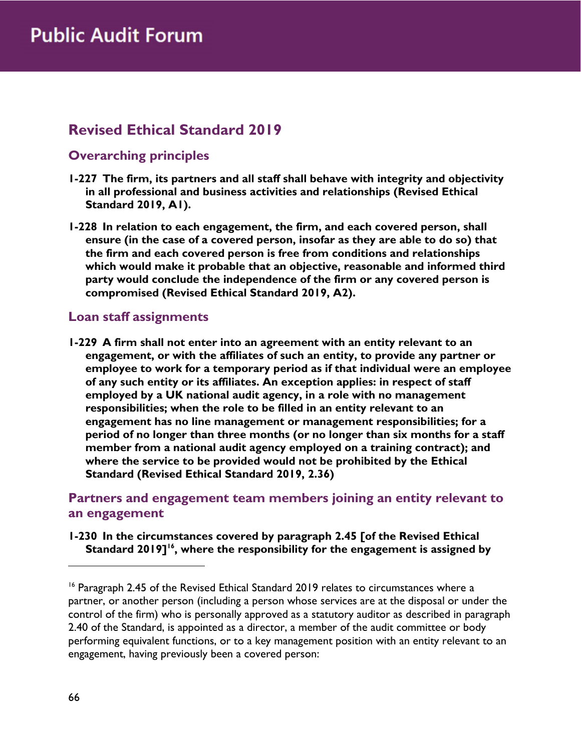## **Revised Ethical Standard 2019**

### **Overarching principles**

- **1-227 The firm, its partners and all staff shall behave with integrity and objectivity in all professional and business activities and relationships (Revised Ethical Standard 2019, A1).**
- **1-228 In relation to each engagement, the firm, and each covered person, shall ensure (in the case of a covered person, insofar as they are able to do so) that the firm and each covered person is free from conditions and relationships which would make it probable that an objective, reasonable and informed third party would conclude the independence of the firm or any covered person is compromised (Revised Ethical Standard 2019, A2).**

### **Loan staff assignments**

**1-229 A firm shall not enter into an agreement with an entity relevant to an engagement, or with the affiliates of such an entity, to provide any partner or employee to work for a temporary period as if that individual were an employee of any such entity or its affiliates. An exception applies: in respect of staff employed by a UK national audit agency, in a role with no management responsibilities; when the role to be filled in an entity relevant to an engagement has no line management or management responsibilities; for a period of no longer than three months (or no longer than six months for a staff member from a national audit agency employed on a training contract); and where the service to be provided would not be prohibited by the Ethical Standard (Revised Ethical Standard 2019, 2.36)**

### **Partners and engagement team members joining an entity relevant to an engagement**

**1-230 In the circumstances covered by paragraph 2.45 [of the Revised Ethical Standard 2019]<sup>16</sup>, where the responsibility for the engagement is assigned by** 

<sup>&</sup>lt;sup>16</sup> Paragraph 2.45 of the Revised Ethical Standard 2019 relates to circumstances where a partner, or another person (including a person whose services are at the disposal or under the control of the firm) who is personally approved as a statutory auditor as described in paragraph 2.40 of the Standard, is appointed as a director, a member of the audit committee or body performing equivalent functions, or to a key management position with an entity relevant to an engagement, having previously been a covered person: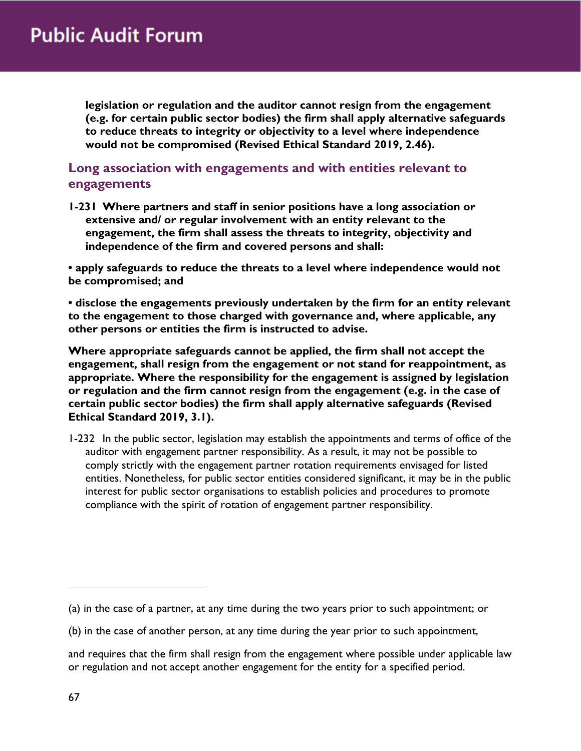**legislation or regulation and the auditor cannot resign from the engagement (e.g. for certain public sector bodies) the firm shall apply alternative safeguards to reduce threats to integrity or objectivity to a level where independence would not be compromised (Revised Ethical Standard 2019, 2.46).**

### **Long association with engagements and with entities relevant to engagements**

**1-231 Where partners and staff in senior positions have a long association or extensive and/ or regular involvement with an entity relevant to the engagement, the firm shall assess the threats to integrity, objectivity and independence of the firm and covered persons and shall:**

**• apply safeguards to reduce the threats to a level where independence would not be compromised; and**

**• disclose the engagements previously undertaken by the firm for an entity relevant to the engagement to those charged with governance and, where applicable, any other persons or entities the firm is instructed to advise.**

**Where appropriate safeguards cannot be applied, the firm shall not accept the engagement, shall resign from the engagement or not stand for reappointment, as appropriate. Where the responsibility for the engagement is assigned by legislation or regulation and the firm cannot resign from the engagement (e.g. in the case of certain public sector bodies) the firm shall apply alternative safeguards (Revised Ethical Standard 2019, 3.1).**

1-232 In the public sector, legislation may establish the appointments and terms of office of the auditor with engagement partner responsibility. As a result, it may not be possible to comply strictly with the engagement partner rotation requirements envisaged for listed entities. Nonetheless, for public sector entities considered significant, it may be in the public interest for public sector organisations to establish policies and procedures to promote compliance with the spirit of rotation of engagement partner responsibility.

<sup>(</sup>a) in the case of a partner, at any time during the two years prior to such appointment; or

<sup>(</sup>b) in the case of another person, at any time during the year prior to such appointment,

and requires that the firm shall resign from the engagement where possible under applicable law or regulation and not accept another engagement for the entity for a specified period.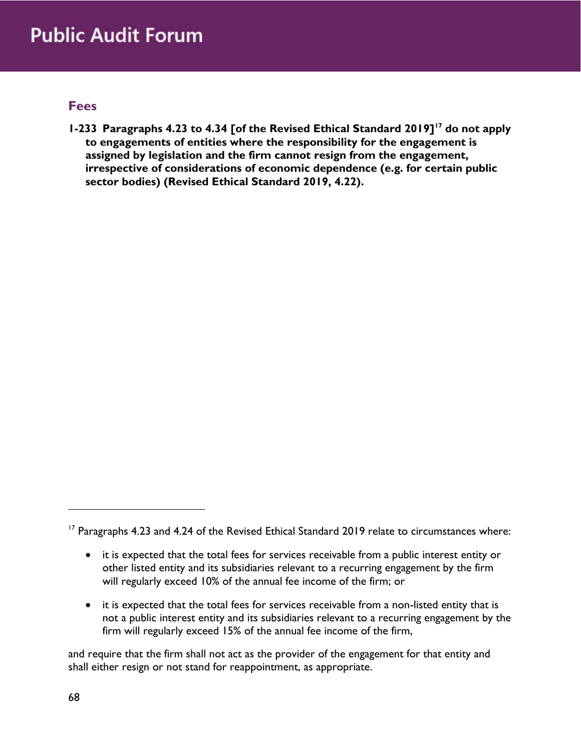# **Public Audit Forum**

#### **Fees**

**1-233 Paragraphs 4.23 to 4.34 [of the Revised Ethical Standard 2019]<sup>17</sup> do not apply to engagements of entities where the responsibility for the engagement is assigned by legislation and the firm cannot resign from the engagement, irrespective of considerations of economic dependence (e.g. for certain public sector bodies) (Revised Ethical Standard 2019, 4.22).**

• it is expected that the total fees for services receivable from a non-listed entity that is not a public interest entity and its subsidiaries relevant to a recurring engagement by the firm will regularly exceed 15% of the annual fee income of the firm,

and require that the firm shall not act as the provider of the engagement for that entity and shall either resign or not stand for reappointment, as appropriate.

<sup>&</sup>lt;sup>17</sup> Paragraphs 4.23 and 4.24 of the Revised Ethical Standard 2019 relate to circumstances where:

<sup>•</sup> it is expected that the total fees for services receivable from a public interest entity or other listed entity and its subsidiaries relevant to a recurring engagement by the firm will regularly exceed 10% of the annual fee income of the firm; or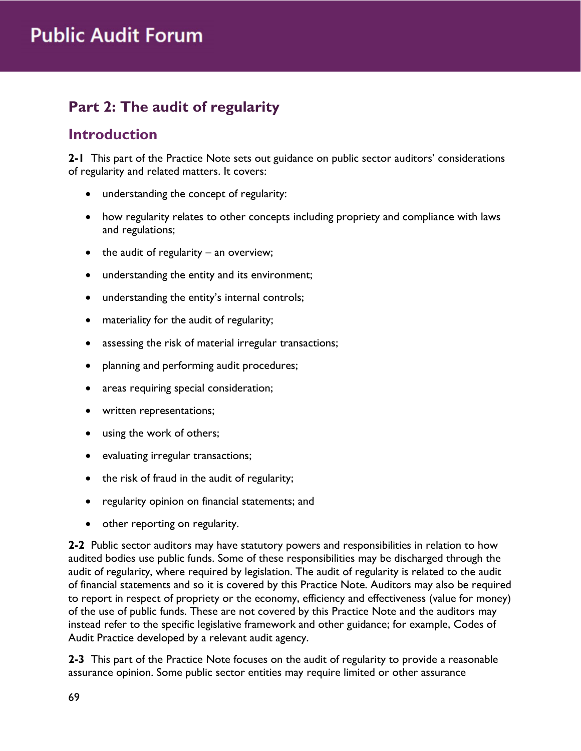# **Part 2: The audit of regularity**

### **Introduction**

**2-1** This part of the Practice Note sets out guidance on public sector auditors' considerations of regularity and related matters. It covers:

- understanding the concept of regularity:
- how regularity relates to other concepts including propriety and compliance with laws and regulations;
- $\bullet$  the audit of regularity an overview;
- understanding the entity and its environment;
- understanding the entity's internal controls;
- materiality for the audit of regularity;
- assessing the risk of material irregular transactions;
- planning and performing audit procedures;
- areas requiring special consideration;
- written representations;
- using the work of others;
- evaluating irregular transactions;
- the risk of fraud in the audit of regularity;
- regularity opinion on financial statements; and
- other reporting on regularity.

**2-2** Public sector auditors may have statutory powers and responsibilities in relation to how audited bodies use public funds. Some of these responsibilities may be discharged through the audit of regularity, where required by legislation. The audit of regularity is related to the audit of financial statements and so it is covered by this Practice Note. Auditors may also be required to report in respect of propriety or the economy, efficiency and effectiveness (value for money) of the use of public funds. These are not covered by this Practice Note and the auditors may instead refer to the specific legislative framework and other guidance; for example, Codes of Audit Practice developed by a relevant audit agency.

**2-3** This part of the Practice Note focuses on the audit of regularity to provide a reasonable assurance opinion. Some public sector entities may require limited or other assurance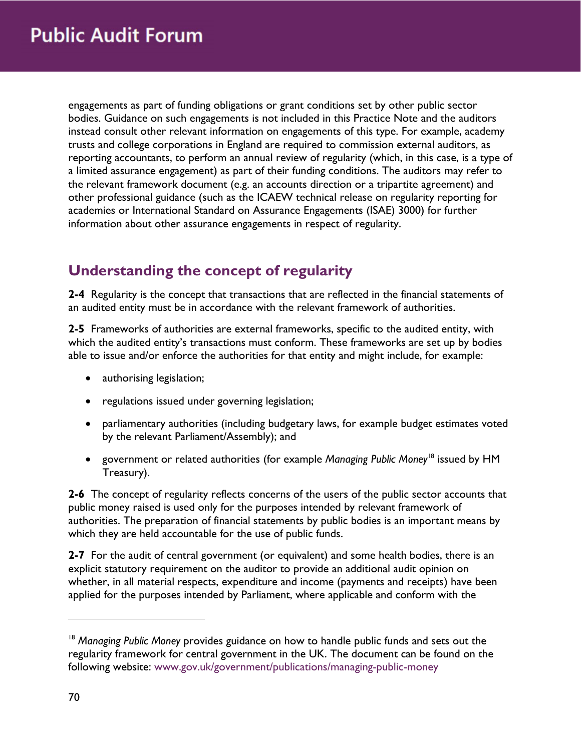engagements as part of funding obligations or grant conditions set by other public sector bodies. Guidance on such engagements is not included in this Practice Note and the auditors instead consult other relevant information on engagements of this type. For example, academy trusts and college corporations in England are required to commission external auditors, as reporting accountants, to perform an annual review of regularity (which, in this case, is a type of a limited assurance engagement) as part of their funding conditions. The auditors may refer to the relevant framework document (e.g. an accounts direction or a tripartite agreement) and other professional guidance (such as the ICAEW technical release on regularity reporting for academies or International Standard on Assurance Engagements (ISAE) 3000) for further information about other assurance engagements in respect of regularity.

# **Understanding the concept of regularity**

**2-4** Regularity is the concept that transactions that are reflected in the financial statements of an audited entity must be in accordance with the relevant framework of authorities.

**2-5** Frameworks of authorities are external frameworks, specific to the audited entity, with which the audited entity's transactions must conform. These frameworks are set up by bodies able to issue and/or enforce the authorities for that entity and might include, for example:

- authorising legislation;
- regulations issued under governing legislation;
- parliamentary authorities (including budgetary laws, for example budget estimates voted by the relevant Parliament/Assembly); and
- government or related authorities (for example *Managing Public Money*<sup>18</sup> issued by HM Treasury).

**2-6** The concept of regularity reflects concerns of the users of the public sector accounts that public money raised is used only for the purposes intended by relevant framework of authorities. The preparation of financial statements by public bodies is an important means by which they are held accountable for the use of public funds.

**2-7** For the audit of central government (or equivalent) and some health bodies, there is an explicit statutory requirement on the auditor to provide an additional audit opinion on whether, in all material respects, expenditure and income (payments and receipts) have been applied for the purposes intended by Parliament, where applicable and conform with the

<sup>&</sup>lt;sup>18</sup> Managing Public Money provides guidance on how to handle public funds and sets out the regularity framework for central government in the UK. The document can be found on the following website: [www.gov.uk/government/publications/managing-public-money](http://www.gov.uk/government/publications/managing-public-money)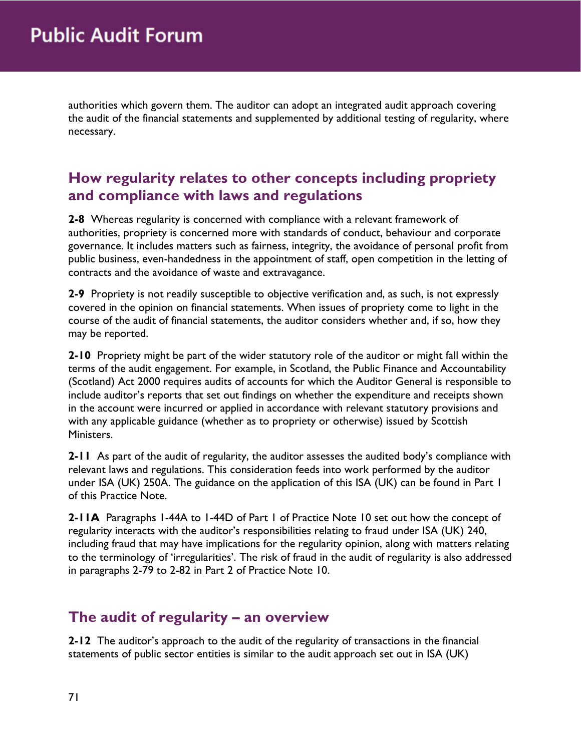authorities which govern them. The auditor can adopt an integrated audit approach covering the audit of the financial statements and supplemented by additional testing of regularity, where necessary.

### **How regularity relates to other concepts including propriety and compliance with laws and regulations**

**2-8** Whereas regularity is concerned with compliance with a relevant framework of authorities, propriety is concerned more with standards of conduct, behaviour and corporate governance. It includes matters such as fairness, integrity, the avoidance of personal profit from public business, even-handedness in the appointment of staff, open competition in the letting of contracts and the avoidance of waste and extravagance.

**2-9** Propriety is not readily susceptible to objective verification and, as such, is not expressly covered in the opinion on financial statements. When issues of propriety come to light in the course of the audit of financial statements, the auditor considers whether and, if so, how they may be reported.

**2-10** Propriety might be part of the wider statutory role of the auditor or might fall within the terms of the audit engagement. For example, in Scotland, the Public Finance and Accountability (Scotland) Act 2000 requires audits of accounts for which the Auditor General is responsible to include auditor's reports that set out findings on whether the expenditure and receipts shown in the account were incurred or applied in accordance with relevant statutory provisions and with any applicable guidance (whether as to propriety or otherwise) issued by Scottish Ministers.

**2-11** As part of the audit of regularity, the auditor assesses the audited body's compliance with relevant laws and regulations. This consideration feeds into work performed by the auditor under ISA (UK) 250A. The guidance on the application of this ISA (UK) can be found in Part 1 of this Practice Note.

**2-11A** Paragraphs 1-44A to 1-44D of Part 1 of Practice Note 10 set out how the concept of regularity interacts with the auditor's responsibilities relating to fraud under ISA (UK) 240, including fraud that may have implications for the regularity opinion, along with matters relating to the terminology of 'irregularities'. The risk of fraud in the audit of regularity is also addressed in paragraphs 2-79 to 2-82 in Part 2 of Practice Note 10.

### **The audit of regularity – an overview**

**2-12** The auditor's approach to the audit of the regularity of transactions in the financial statements of public sector entities is similar to the audit approach set out in ISA (UK)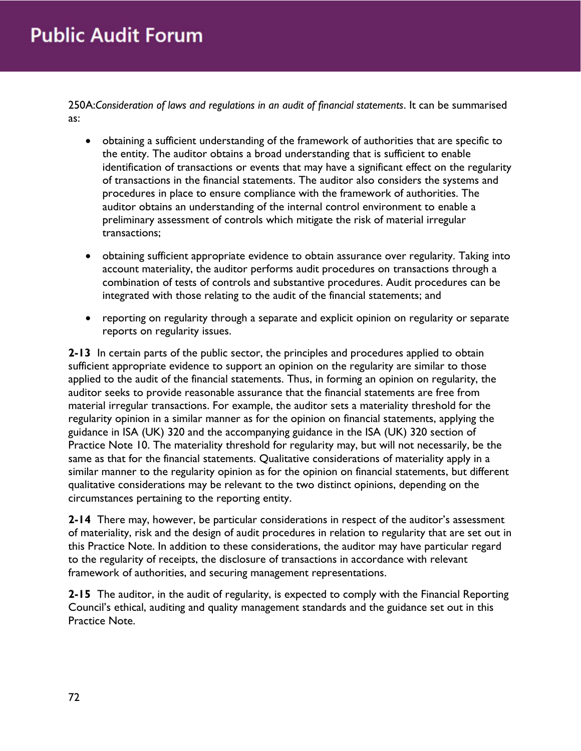250A:*Consideration of laws and regulations in an audit of financial statements*. It can be summarised as:

- obtaining a sufficient understanding of the framework of authorities that are specific to the entity. The auditor obtains a broad understanding that is sufficient to enable identification of transactions or events that may have a significant effect on the regularity of transactions in the financial statements. The auditor also considers the systems and procedures in place to ensure compliance with the framework of authorities. The auditor obtains an understanding of the internal control environment to enable a preliminary assessment of controls which mitigate the risk of material irregular transactions;
- obtaining sufficient appropriate evidence to obtain assurance over regularity. Taking into account materiality, the auditor performs audit procedures on transactions through a combination of tests of controls and substantive procedures. Audit procedures can be integrated with those relating to the audit of the financial statements; and
- reporting on regularity through a separate and explicit opinion on regularity or separate reports on regularity issues.

**2-13** In certain parts of the public sector, the principles and procedures applied to obtain sufficient appropriate evidence to support an opinion on the regularity are similar to those applied to the audit of the financial statements. Thus, in forming an opinion on regularity, the auditor seeks to provide reasonable assurance that the financial statements are free from material irregular transactions. For example, the auditor sets a materiality threshold for the regularity opinion in a similar manner as for the opinion on financial statements, applying the guidance in ISA (UK) 320 and the accompanying guidance in the ISA (UK) 320 section of Practice Note 10. The materiality threshold for regularity may, but will not necessarily, be the same as that for the financial statements. Qualitative considerations of materiality apply in a similar manner to the regularity opinion as for the opinion on financial statements, but different qualitative considerations may be relevant to the two distinct opinions, depending on the circumstances pertaining to the reporting entity.

**2-14** There may, however, be particular considerations in respect of the auditor's assessment of materiality, risk and the design of audit procedures in relation to regularity that are set out in this Practice Note. In addition to these considerations, the auditor may have particular regard to the regularity of receipts, the disclosure of transactions in accordance with relevant framework of authorities, and securing management representations.

**2-15** The auditor, in the audit of regularity, is expected to comply with the Financial Reporting Council's ethical, auditing and quality management standards and the guidance set out in this Practice Note.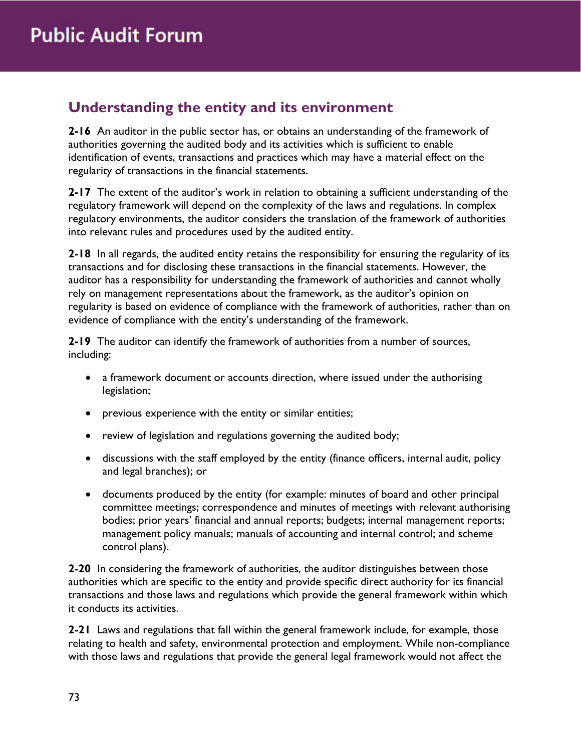## **Understanding the entity and its environment**

**2-16** An auditor in the public sector has, or obtains an understanding of the framework of authorities governing the audited body and its activities which is sufficient to enable identification of events, transactions and practices which may have a material effect on the regularity of transactions in the financial statements.

**2-17** The extent of the auditor's work in relation to obtaining a sufficient understanding of the regulatory framework will depend on the complexity of the laws and regulations. In complex regulatory environments, the auditor considers the translation of the framework of authorities into relevant rules and procedures used by the audited entity.

**2-18** In all regards, the audited entity retains the responsibility for ensuring the regularity of its transactions and for disclosing these transactions in the financial statements. However, the auditor has a responsibility for understanding the framework of authorities and cannot wholly rely on management representations about the framework, as the auditor's opinion on regularity is based on evidence of compliance with the framework of authorities, rather than on evidence of compliance with the entity's understanding of the framework.

**2-19** The auditor can identify the framework of authorities from a number of sources, including:

- a framework document or accounts direction, where issued under the authorising legislation;
- previous experience with the entity or similar entities;
- review of legislation and regulations governing the audited body;
- discussions with the staff employed by the entity (finance officers, internal audit, policy and legal branches); or
- documents produced by the entity (for example: minutes of board and other principal committee meetings; correspondence and minutes of meetings with relevant authorising bodies; prior years' financial and annual reports; budgets; internal management reports; management policy manuals; manuals of accounting and internal control; and scheme control plans).

**2-20** In considering the framework of authorities, the auditor distinguishes between those authorities which are specific to the entity and provide specific direct authority for its financial transactions and those laws and regulations which provide the general framework within which it conducts its activities.

**2-21** Laws and regulations that fall within the general framework include, for example, those relating to health and safety, environmental protection and employment. While non-compliance with those laws and regulations that provide the general legal framework would not affect the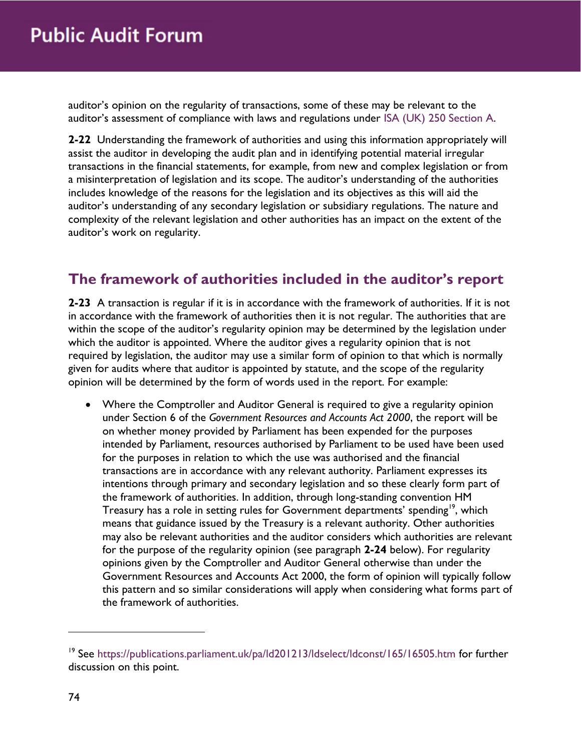auditor's opinion on the regularity of transactions, some of these may be relevant to the auditor's assessment of compliance with laws and regulations under [ISA \(UK\) 250 Section A.](https://library.croneri.co.uk/isauk250ar1)

**2-22** Understanding the framework of authorities and using this information appropriately will assist the auditor in developing the audit plan and in identifying potential material irregular transactions in the financial statements, for example, from new and complex legislation or from a misinterpretation of legislation and its scope. The auditor's understanding of the authorities includes knowledge of the reasons for the legislation and its objectives as this will aid the auditor's understanding of any secondary legislation or subsidiary regulations. The nature and complexity of the relevant legislation and other authorities has an impact on the extent of the auditor's work on regularity.

## **The framework of authorities included in the auditor's report**

**2-23** A transaction is regular if it is in accordance with the framework of authorities. If it is not in accordance with the framework of authorities then it is not regular. The authorities that are within the scope of the auditor's regularity opinion may be determined by the legislation under which the auditor is appointed. Where the auditor gives a regularity opinion that is not required by legislation, the auditor may use a similar form of opinion to that which is normally given for audits where that auditor is appointed by statute, and the scope of the regularity opinion will be determined by the form of words used in the report. For example:

• Where the Comptroller and Auditor General is required to give a regularity opinion under Section 6 of the *Government Resources and Accounts Act 2000*, the report will be on whether money provided by Parliament has been expended for the purposes intended by Parliament, resources authorised by Parliament to be used have been used for the purposes in relation to which the use was authorised and the financial transactions are in accordance with any relevant authority. Parliament expresses its intentions through primary and secondary legislation and so these clearly form part of the framework of authorities. In addition, through long-standing convention HM Treasury has a role in setting rules for Government departments' spending<sup>19</sup>, which means that guidance issued by the Treasury is a relevant authority. Other authorities may also be relevant authorities and the auditor considers which authorities are relevant for the purpose of the regularity opinion (see paragraph **2-24** below). For regularity opinions given by the Comptroller and Auditor General otherwise than under the Government Resources and Accounts Act 2000, the form of opinion will typically follow this pattern and so similar considerations will apply when considering what forms part of the framework of authorities.

<sup>19</sup> See<https://publications.parliament.uk/pa/ld201213/ldselect/ldconst/165/16505.htm> for further discussion on this point.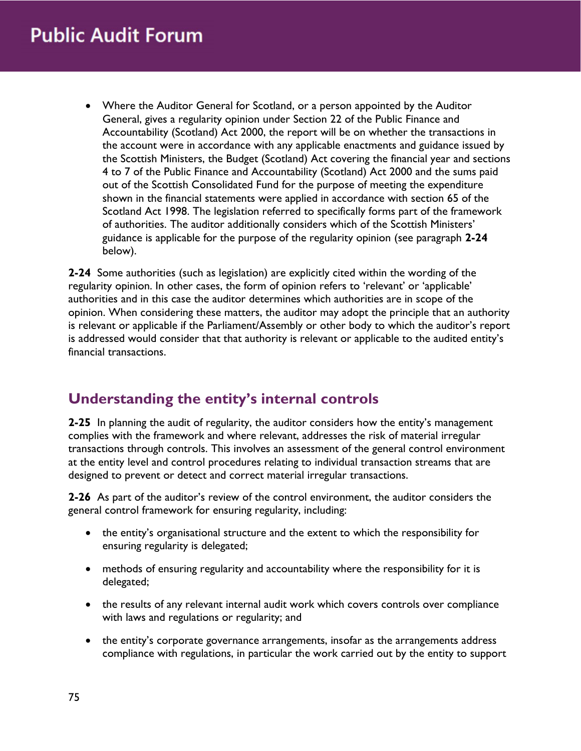# **Public Audit Forum**

• Where the Auditor General for Scotland, or a person appointed by the Auditor General, gives a regularity opinion under Section 22 of the Public Finance and Accountability (Scotland) Act 2000, the report will be on whether the transactions in the account were in accordance with any applicable enactments and guidance issued by the Scottish Ministers, the Budget (Scotland) Act covering the financial year and sections 4 to 7 of the Public Finance and Accountability (Scotland) Act 2000 and the sums paid out of the Scottish Consolidated Fund for the purpose of meeting the expenditure shown in the financial statements were applied in accordance with section 65 of the Scotland Act 1998. The legislation referred to specifically forms part of the framework of authorities. The auditor additionally considers which of the Scottish Ministers' guidance is applicable for the purpose of the regularity opinion (see paragraph **2-24** below).

**2-24** Some authorities (such as legislation) are explicitly cited within the wording of the regularity opinion. In other cases, the form of opinion refers to 'relevant' or 'applicable' authorities and in this case the auditor determines which authorities are in scope of the opinion. When considering these matters, the auditor may adopt the principle that an authority is relevant or applicable if the Parliament/Assembly or other body to which the auditor's report is addressed would consider that that authority is relevant or applicable to the audited entity's financial transactions.

## **Understanding the entity's internal controls**

**2-25** In planning the audit of regularity, the auditor considers how the entity's management complies with the framework and where relevant, addresses the risk of material irregular transactions through controls. This involves an assessment of the general control environment at the entity level and control procedures relating to individual transaction streams that are designed to prevent or detect and correct material irregular transactions.

**2-26** As part of the auditor's review of the control environment, the auditor considers the general control framework for ensuring regularity, including:

- the entity's organisational structure and the extent to which the responsibility for ensuring regularity is delegated;
- methods of ensuring regularity and accountability where the responsibility for it is delegated;
- the results of any relevant internal audit work which covers controls over compliance with laws and regulations or regularity; and
- the entity's corporate governance arrangements, insofar as the arrangements address compliance with regulations, in particular the work carried out by the entity to support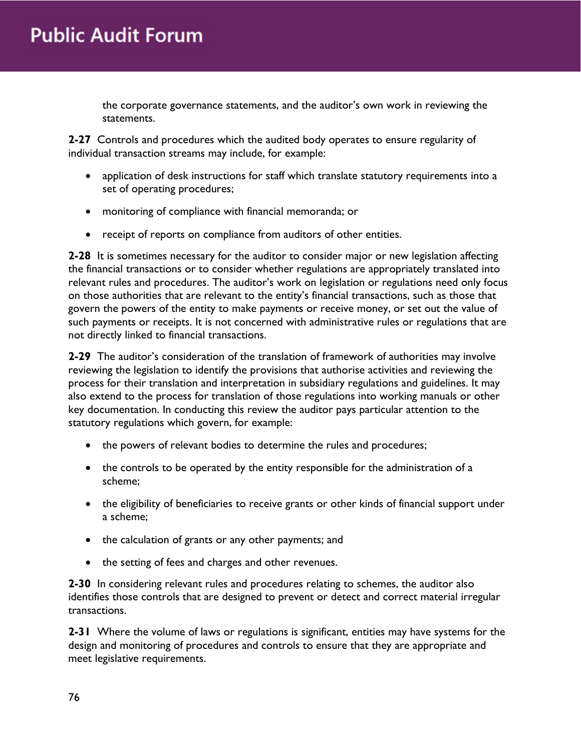# **Public Audit Forum**

the corporate governance statements, and the auditor's own work in reviewing the statements.

**2-27** Controls and procedures which the audited body operates to ensure regularity of individual transaction streams may include, for example:

- application of desk instructions for staff which translate statutory requirements into a set of operating procedures;
- monitoring of compliance with financial memoranda; or
- receipt of reports on compliance from auditors of other entities.

**2-28** It is sometimes necessary for the auditor to consider major or new legislation affecting the financial transactions or to consider whether regulations are appropriately translated into relevant rules and procedures. The auditor's work on legislation or regulations need only focus on those authorities that are relevant to the entity's financial transactions, such as those that govern the powers of the entity to make payments or receive money, or set out the value of such payments or receipts. It is not concerned with administrative rules or regulations that are not directly linked to financial transactions.

**2-29** The auditor's consideration of the translation of framework of authorities may involve reviewing the legislation to identify the provisions that authorise activities and reviewing the process for their translation and interpretation in subsidiary regulations and guidelines. It may also extend to the process for translation of those regulations into working manuals or other key documentation. In conducting this review the auditor pays particular attention to the statutory regulations which govern, for example:

- the powers of relevant bodies to determine the rules and procedures;
- the controls to be operated by the entity responsible for the administration of a scheme;
- the eligibility of beneficiaries to receive grants or other kinds of financial support under a scheme;
- the calculation of grants or any other payments; and
- the setting of fees and charges and other revenues.

**2-30** In considering relevant rules and procedures relating to schemes, the auditor also identifies those controls that are designed to prevent or detect and correct material irregular transactions.

**2-31** Where the volume of laws or regulations is significant, entities may have systems for the design and monitoring of procedures and controls to ensure that they are appropriate and meet legislative requirements.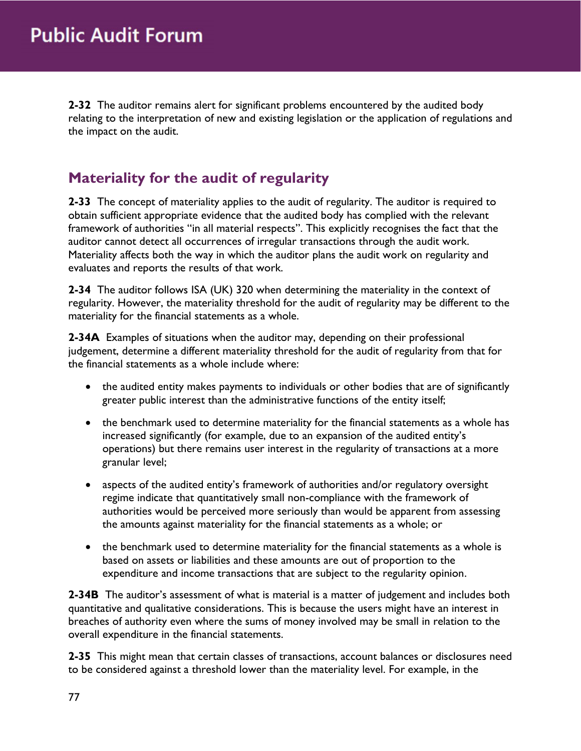**2-32** The auditor remains alert for significant problems encountered by the audited body relating to the interpretation of new and existing legislation or the application of regulations and the impact on the audit.

## **Materiality for the audit of regularity**

**2-33** The concept of materiality applies to the audit of regularity. The auditor is required to obtain sufficient appropriate evidence that the audited body has complied with the relevant framework of authorities "in all material respects". This explicitly recognises the fact that the auditor cannot detect all occurrences of irregular transactions through the audit work. Materiality affects both the way in which the auditor plans the audit work on regularity and evaluates and reports the results of that work.

**2-34** The auditor follows ISA (UK) 320 when determining the materiality in the context of regularity. However, the materiality threshold for the audit of regularity may be different to the materiality for the financial statements as a whole.

**2-34A** Examples of situations when the auditor may, depending on their professional judgement, determine a different materiality threshold for the audit of regularity from that for the financial statements as a whole include where:

- the audited entity makes payments to individuals or other bodies that are of significantly greater public interest than the administrative functions of the entity itself;
- the benchmark used to determine materiality for the financial statements as a whole has increased significantly (for example, due to an expansion of the audited entity's operations) but there remains user interest in the regularity of transactions at a more granular level;
- aspects of the audited entity's framework of authorities and/or regulatory oversight regime indicate that quantitatively small non-compliance with the framework of authorities would be perceived more seriously than would be apparent from assessing the amounts against materiality for the financial statements as a whole; or
- the benchmark used to determine materiality for the financial statements as a whole is based on assets or liabilities and these amounts are out of proportion to the expenditure and income transactions that are subject to the regularity opinion.

**2-34B** The auditor's assessment of what is material is a matter of judgement and includes both quantitative and qualitative considerations. This is because the users might have an interest in breaches of authority even where the sums of money involved may be small in relation to the overall expenditure in the financial statements.

**2-35** This might mean that certain classes of transactions, account balances or disclosures need to be considered against a threshold lower than the materiality level. For example, in the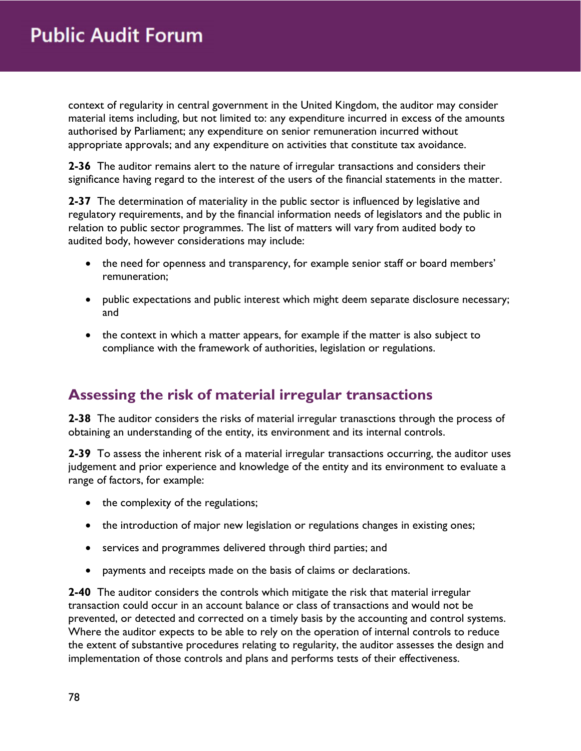context of regularity in central government in the United Kingdom, the auditor may consider material items including, but not limited to: any expenditure incurred in excess of the amounts authorised by Parliament; any expenditure on senior remuneration incurred without appropriate approvals; and any expenditure on activities that constitute tax avoidance.

**2-36** The auditor remains alert to the nature of irregular transactions and considers their significance having regard to the interest of the users of the financial statements in the matter.

**2-37** The determination of materiality in the public sector is influenced by legislative and regulatory requirements, and by the financial information needs of legislators and the public in relation to public sector programmes. The list of matters will vary from audited body to audited body, however considerations may include:

- the need for openness and transparency, for example senior staff or board members' remuneration;
- public expectations and public interest which might deem separate disclosure necessary; and
- the context in which a matter appears, for example if the matter is also subject to compliance with the framework of authorities, legislation or regulations.

## **Assessing the risk of material irregular transactions**

**2-38** The auditor considers the risks of material irregular tranasctions through the process of obtaining an understanding of the entity, its environment and its internal controls.

**2-39** To assess the inherent risk of a material irregular transactions occurring, the auditor uses judgement and prior experience and knowledge of the entity and its environment to evaluate a range of factors, for example:

- the complexity of the regulations;
- the introduction of major new legislation or regulations changes in existing ones;
- services and programmes delivered through third parties; and
- payments and receipts made on the basis of claims or declarations.

**2-40** The auditor considers the controls which mitigate the risk that material irregular transaction could occur in an account balance or class of transactions and would not be prevented, or detected and corrected on a timely basis by the accounting and control systems. Where the auditor expects to be able to rely on the operation of internal controls to reduce the extent of substantive procedures relating to regularity, the auditor assesses the design and implementation of those controls and plans and performs tests of their effectiveness.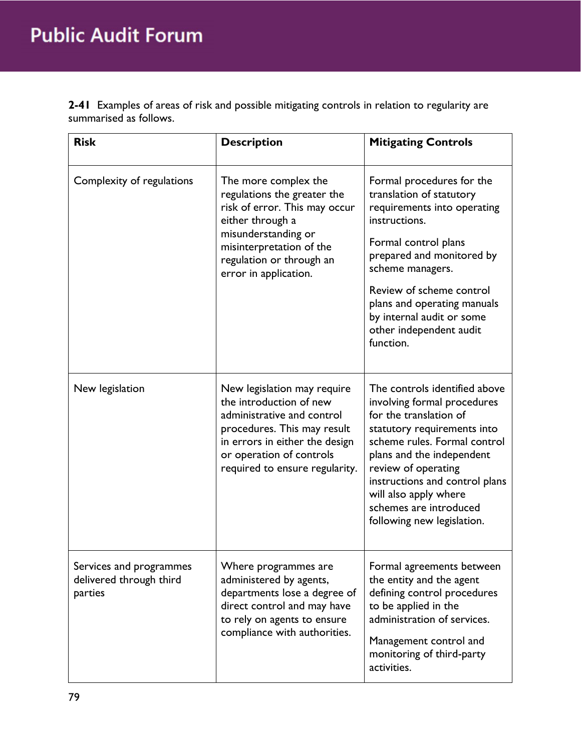**2-41** Examples of areas of risk and possible mitigating controls in relation to regularity are summarised as follows.

| <b>Risk</b>                                                   | <b>Description</b>                                                                                                                                                                                                  | <b>Mitigating Controls</b>                                                                                                                                                                                                                                                                                                   |
|---------------------------------------------------------------|---------------------------------------------------------------------------------------------------------------------------------------------------------------------------------------------------------------------|------------------------------------------------------------------------------------------------------------------------------------------------------------------------------------------------------------------------------------------------------------------------------------------------------------------------------|
| Complexity of regulations                                     | The more complex the<br>regulations the greater the<br>risk of error. This may occur<br>either through a<br>misunderstanding or<br>misinterpretation of the<br>regulation or through an<br>error in application.    | Formal procedures for the<br>translation of statutory<br>requirements into operating<br>instructions.<br>Formal control plans<br>prepared and monitored by<br>scheme managers.<br>Review of scheme control<br>plans and operating manuals<br>by internal audit or some<br>other independent audit<br>function.               |
| New legislation                                               | New legislation may require<br>the introduction of new<br>administrative and control<br>procedures. This may result<br>in errors in either the design<br>or operation of controls<br>required to ensure regularity. | The controls identified above<br>involving formal procedures<br>for the translation of<br>statutory requirements into<br>scheme rules. Formal control<br>plans and the independent<br>review of operating<br>instructions and control plans<br>will also apply where<br>schemes are introduced<br>following new legislation. |
| Services and programmes<br>delivered through third<br>parties | Where programmes are<br>administered by agents,<br>departments lose a degree of<br>direct control and may have<br>to rely on agents to ensure<br>compliance with authorities.                                       | Formal agreements between<br>the entity and the agent<br>defining control procedures<br>to be applied in the<br>administration of services.<br>Management control and<br>monitoring of third-party<br>activities.                                                                                                            |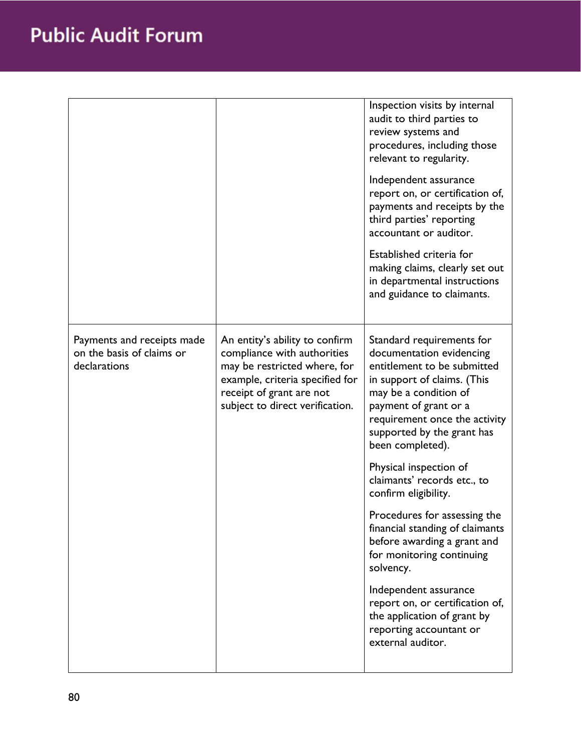|                                                                         |                                                                                                                                                                                                 | Inspection visits by internal<br>audit to third parties to<br>review systems and<br>procedures, including those<br>relevant to regularity.<br>Independent assurance<br>report on, or certification of,<br>payments and receipts by the<br>third parties' reporting<br>accountant or auditor.<br>Established criteria for<br>making claims, clearly set out<br>in departmental instructions<br>and guidance to claimants. |
|-------------------------------------------------------------------------|-------------------------------------------------------------------------------------------------------------------------------------------------------------------------------------------------|--------------------------------------------------------------------------------------------------------------------------------------------------------------------------------------------------------------------------------------------------------------------------------------------------------------------------------------------------------------------------------------------------------------------------|
|                                                                         |                                                                                                                                                                                                 |                                                                                                                                                                                                                                                                                                                                                                                                                          |
| Payments and receipts made<br>on the basis of claims or<br>declarations | An entity's ability to confirm<br>compliance with authorities<br>may be restricted where, for<br>example, criteria specified for<br>receipt of grant are not<br>subject to direct verification. | Standard requirements for<br>documentation evidencing<br>entitlement to be submitted<br>in support of claims. (This<br>may be a condition of<br>payment of grant or a<br>requirement once the activity<br>supported by the grant has<br>been completed).<br>Physical inspection of<br>claimants' records etc., to<br>confirm eligibility.                                                                                |
|                                                                         |                                                                                                                                                                                                 | Procedures for assessing the<br>financial standing of claimants<br>before awarding a grant and<br>for monitoring continuing<br>solvency.<br>Independent assurance                                                                                                                                                                                                                                                        |
|                                                                         |                                                                                                                                                                                                 | report on, or certification of,<br>the application of grant by<br>reporting accountant or<br>external auditor.                                                                                                                                                                                                                                                                                                           |
|                                                                         |                                                                                                                                                                                                 |                                                                                                                                                                                                                                                                                                                                                                                                                          |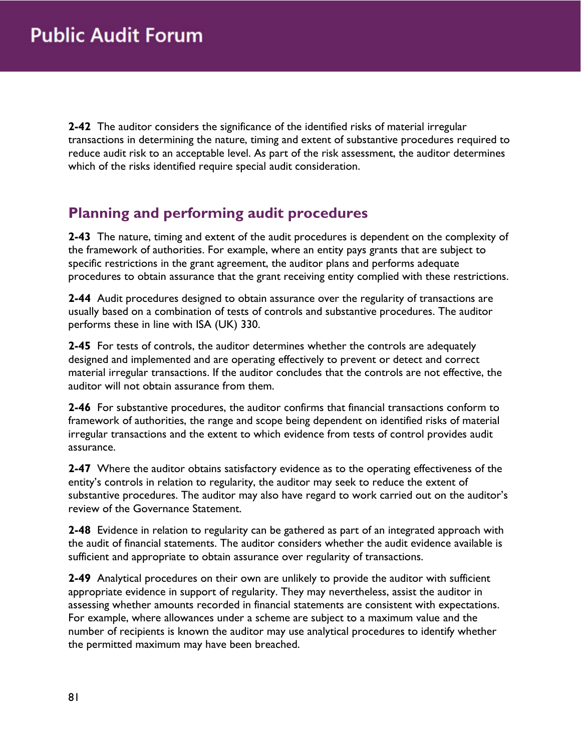**2-42** The auditor considers the significance of the identified risks of material irregular transactions in determining the nature, timing and extent of substantive procedures required to reduce audit risk to an acceptable level. As part of the risk assessment, the auditor determines which of the risks identified require special audit consideration.

# **Planning and performing audit procedures**

**2-43** The nature, timing and extent of the audit procedures is dependent on the complexity of the framework of authorities. For example, where an entity pays grants that are subject to specific restrictions in the grant agreement, the auditor plans and performs adequate procedures to obtain assurance that the grant receiving entity complied with these restrictions.

**2-44** Audit procedures designed to obtain assurance over the regularity of transactions are usually based on a combination of tests of controls and substantive procedures. The auditor performs these in line with ISA (UK) 330.

**2-45** For tests of controls, the auditor determines whether the controls are adequately designed and implemented and are operating effectively to prevent or detect and correct material irregular transactions. If the auditor concludes that the controls are not effective, the auditor will not obtain assurance from them.

**2-46** For substantive procedures, the auditor confirms that financial transactions conform to framework of authorities, the range and scope being dependent on identified risks of material irregular transactions and the extent to which evidence from tests of control provides audit assurance.

**2-47** Where the auditor obtains satisfactory evidence as to the operating effectiveness of the entity's controls in relation to regularity, the auditor may seek to reduce the extent of substantive procedures. The auditor may also have regard to work carried out on the auditor's review of the Governance Statement.

**2-48** Evidence in relation to regularity can be gathered as part of an integrated approach with the audit of financial statements. The auditor considers whether the audit evidence available is sufficient and appropriate to obtain assurance over regularity of transactions.

**2-49** Analytical procedures on their own are unlikely to provide the auditor with sufficient appropriate evidence in support of regularity. They may nevertheless, assist the auditor in assessing whether amounts recorded in financial statements are consistent with expectations. For example, where allowances under a scheme are subject to a maximum value and the number of recipients is known the auditor may use analytical procedures to identify whether the permitted maximum may have been breached.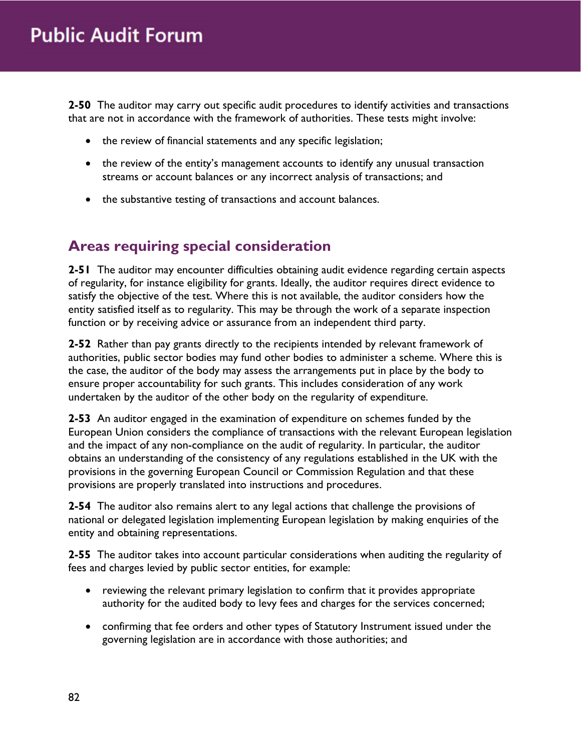**2-50** The auditor may carry out specific audit procedures to identify activities and transactions that are not in accordance with the framework of authorities. These tests might involve:

- the review of financial statements and any specific legislation;
- the review of the entity's management accounts to identify any unusual transaction streams or account balances or any incorrect analysis of transactions; and
- the substantive testing of transactions and account balances.

#### **Areas requiring special consideration**

**2-51** The auditor may encounter difficulties obtaining audit evidence regarding certain aspects of regularity, for instance eligibility for grants. Ideally, the auditor requires direct evidence to satisfy the objective of the test. Where this is not available, the auditor considers how the entity satisfied itself as to regularity. This may be through the work of a separate inspection function or by receiving advice or assurance from an independent third party.

**2-52** Rather than pay grants directly to the recipients intended by relevant framework of authorities, public sector bodies may fund other bodies to administer a scheme. Where this is the case, the auditor of the body may assess the arrangements put in place by the body to ensure proper accountability for such grants. This includes consideration of any work undertaken by the auditor of the other body on the regularity of expenditure.

**2-53** An auditor engaged in the examination of expenditure on schemes funded by the European Union considers the compliance of transactions with the relevant European legislation and the impact of any non-compliance on the audit of regularity. In particular, the auditor obtains an understanding of the consistency of any regulations established in the UK with the provisions in the governing European Council or Commission Regulation and that these provisions are properly translated into instructions and procedures.

**2-54** The auditor also remains alert to any legal actions that challenge the provisions of national or delegated legislation implementing European legislation by making enquiries of the entity and obtaining representations.

**2-55** The auditor takes into account particular considerations when auditing the regularity of fees and charges levied by public sector entities, for example:

- reviewing the relevant primary legislation to confirm that it provides appropriate authority for the audited body to levy fees and charges for the services concerned;
- confirming that fee orders and other types of Statutory Instrument issued under the governing legislation are in accordance with those authorities; and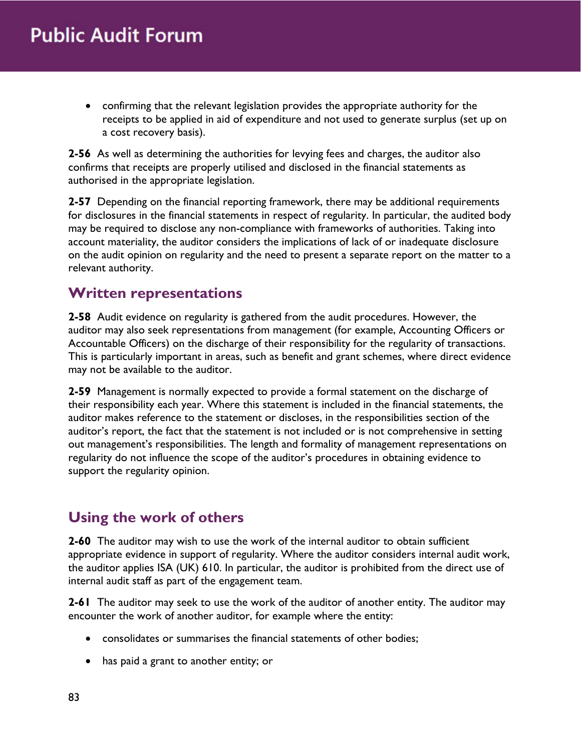• confirming that the relevant legislation provides the appropriate authority for the receipts to be applied in aid of expenditure and not used to generate surplus (set up on a cost recovery basis).

**2-56** As well as determining the authorities for levying fees and charges, the auditor also confirms that receipts are properly utilised and disclosed in the financial statements as authorised in the appropriate legislation.

**2-57** Depending on the financial reporting framework, there may be additional requirements for disclosures in the financial statements in respect of regularity. In particular, the audited body may be required to disclose any non-compliance with frameworks of authorities. Taking into account materiality, the auditor considers the implications of lack of or inadequate disclosure on the audit opinion on regularity and the need to present a separate report on the matter to a relevant authority.

#### **Written representations**

**2-58** Audit evidence on regularity is gathered from the audit procedures. However, the auditor may also seek representations from management (for example, Accounting Officers or Accountable Officers) on the discharge of their responsibility for the regularity of transactions. This is particularly important in areas, such as benefit and grant schemes, where direct evidence may not be available to the auditor.

**2-59** Management is normally expected to provide a formal statement on the discharge of their responsibility each year. Where this statement is included in the financial statements, the auditor makes reference to the statement or discloses, in the responsibilities section of the auditor's report, the fact that the statement is not included or is not comprehensive in setting out management's responsibilities. The length and formality of management representations on regularity do not influence the scope of the auditor's procedures in obtaining evidence to support the regularity opinion.

## **Using the work of others**

**2-60** The auditor may wish to use the work of the internal auditor to obtain sufficient appropriate evidence in support of regularity. Where the auditor considers internal audit work, the auditor applies ISA (UK) 610. In particular, the auditor is prohibited from the direct use of internal audit staff as part of the engagement team.

**2-61** The auditor may seek to use the work of the auditor of another entity. The auditor may encounter the work of another auditor, for example where the entity:

- consolidates or summarises the financial statements of other bodies;
- has paid a grant to another entity; or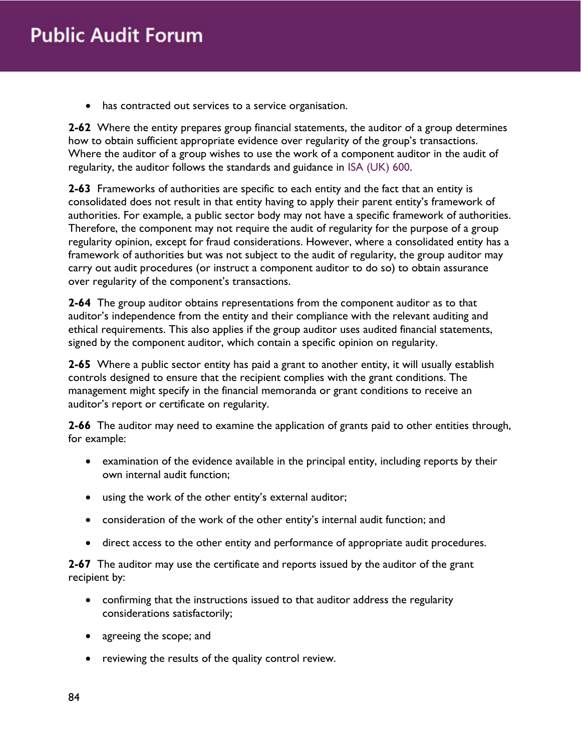• has contracted out services to a service organisation.

**2-62** Where the entity prepares group financial statements, the auditor of a group determines how to obtain sufficient appropriate evidence over regularity of the group's transactions. Where the auditor of a group wishes to use the work of a component auditor in the audit of regularity, the auditor follows the standards and guidance in [ISA \(UK\) 600.](https://library.croneri.co.uk/isauk600r2)

**2-63** Frameworks of authorities are specific to each entity and the fact that an entity is consolidated does not result in that entity having to apply their parent entity's framework of authorities. For example, a public sector body may not have a specific framework of authorities. Therefore, the component may not require the audit of regularity for the purpose of a group regularity opinion, except for fraud considerations. However, where a consolidated entity has a framework of authorities but was not subject to the audit of regularity, the group auditor may carry out audit procedures (or instruct a component auditor to do so) to obtain assurance over regularity of the component's transactions.

**2-64** The group auditor obtains representations from the component auditor as to that auditor's independence from the entity and their compliance with the relevant auditing and ethical requirements. This also applies if the group auditor uses audited financial statements, signed by the component auditor, which contain a specific opinion on regularity.

**2-65** Where a public sector entity has paid a grant to another entity, it will usually establish controls designed to ensure that the recipient complies with the grant conditions. The management might specify in the financial memoranda or grant conditions to receive an auditor's report or certificate on regularity.

**2-66** The auditor may need to examine the application of grants paid to other entities through, for example:

- examination of the evidence available in the principal entity, including reports by their own internal audit function;
- using the work of the other entity's external auditor;
- consideration of the work of the other entity's internal audit function; and
- direct access to the other entity and performance of appropriate audit procedures.

**2-67** The auditor may use the certificate and reports issued by the auditor of the grant recipient by:

- confirming that the instructions issued to that auditor address the regularity considerations satisfactorily;
- agreeing the scope; and
- reviewing the results of the quality control review.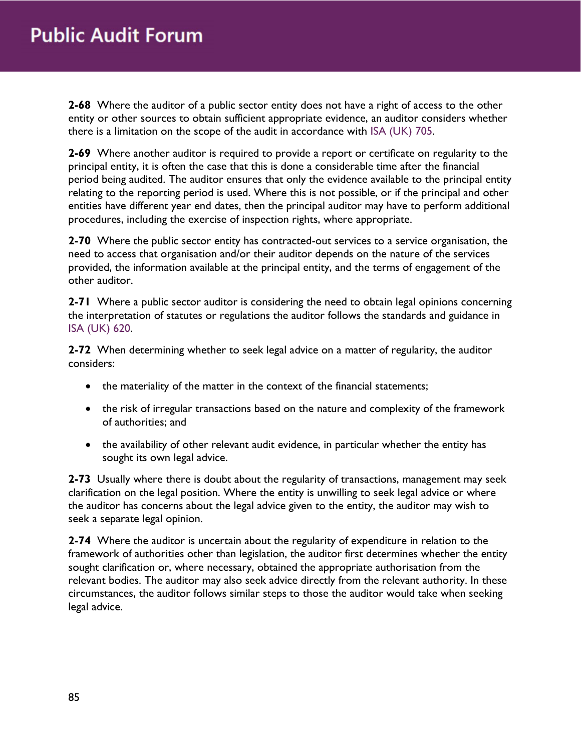**2-68** Where the auditor of a public sector entity does not have a right of access to the other entity or other sources to obtain sufficient appropriate evidence, an auditor considers whether there is a limitation on the scope of the audit in accordance with [ISA \(UK\) 705.](https://library.croneri.co.uk/isauk705r2)

**2-69** Where another auditor is required to provide a report or certificate on regularity to the principal entity, it is often the case that this is done a considerable time after the financial period being audited. The auditor ensures that only the evidence available to the principal entity relating to the reporting period is used. Where this is not possible, or if the principal and other entities have different year end dates, then the principal auditor may have to perform additional procedures, including the exercise of inspection rights, where appropriate.

**2-70** Where the public sector entity has contracted-out services to a service organisation, the need to access that organisation and/or their auditor depends on the nature of the services provided, the information available at the principal entity, and the terms of engagement of the other auditor.

**2-71** Where a public sector auditor is considering the need to obtain legal opinions concerning the interpretation of statutes or regulations the auditor follows the standards and guidance in [ISA \(UK\) 620.](https://library.croneri.co.uk/isauk620r1)

**2-72** When determining whether to seek legal advice on a matter of regularity, the auditor considers:

- the materiality of the matter in the context of the financial statements;
- the risk of irregular transactions based on the nature and complexity of the framework of authorities; and
- the availability of other relevant audit evidence, in particular whether the entity has sought its own legal advice.

**2-73** Usually where there is doubt about the regularity of transactions, management may seek clarification on the legal position. Where the entity is unwilling to seek legal advice or where the auditor has concerns about the legal advice given to the entity, the auditor may wish to seek a separate legal opinion.

**2-74** Where the auditor is uncertain about the regularity of expenditure in relation to the framework of authorities other than legislation, the auditor first determines whether the entity sought clarification or, where necessary, obtained the appropriate authorisation from the relevant bodies. The auditor may also seek advice directly from the relevant authority. In these circumstances, the auditor follows similar steps to those the auditor would take when seeking legal advice.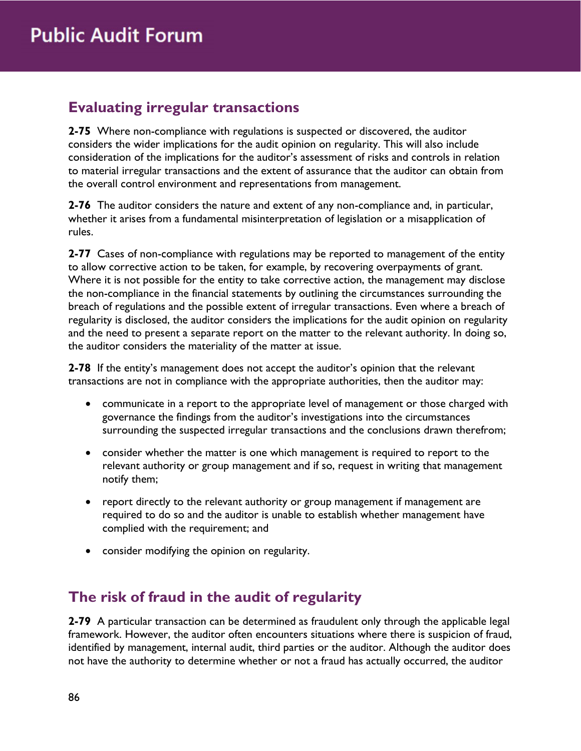## **Evaluating irregular transactions**

**2-75** Where non-compliance with regulations is suspected or discovered, the auditor considers the wider implications for the audit opinion on regularity. This will also include consideration of the implications for the auditor's assessment of risks and controls in relation to material irregular transactions and the extent of assurance that the auditor can obtain from the overall control environment and representations from management.

**2-76** The auditor considers the nature and extent of any non-compliance and, in particular, whether it arises from a fundamental misinterpretation of legislation or a misapplication of rules.

**2-77** Cases of non-compliance with regulations may be reported to management of the entity to allow corrective action to be taken, for example, by recovering overpayments of grant. Where it is not possible for the entity to take corrective action, the management may disclose the non-compliance in the financial statements by outlining the circumstances surrounding the breach of regulations and the possible extent of irregular transactions. Even where a breach of regularity is disclosed, the auditor considers the implications for the audit opinion on regularity and the need to present a separate report on the matter to the relevant authority. In doing so, the auditor considers the materiality of the matter at issue.

**2-78** If the entity's management does not accept the auditor's opinion that the relevant transactions are not in compliance with the appropriate authorities, then the auditor may:

- communicate in a report to the appropriate level of management or those charged with governance the findings from the auditor's investigations into the circumstances surrounding the suspected irregular transactions and the conclusions drawn therefrom;
- consider whether the matter is one which management is required to report to the relevant authority or group management and if so, request in writing that management notify them;
- report directly to the relevant authority or group management if management are required to do so and the auditor is unable to establish whether management have complied with the requirement; and
- consider modifying the opinion on regularity.

# **The risk of fraud in the audit of regularity**

**2-79** A particular transaction can be determined as fraudulent only through the applicable legal framework. However, the auditor often encounters situations where there is suspicion of fraud, identified by management, internal audit, third parties or the auditor. Although the auditor does not have the authority to determine whether or not a fraud has actually occurred, the auditor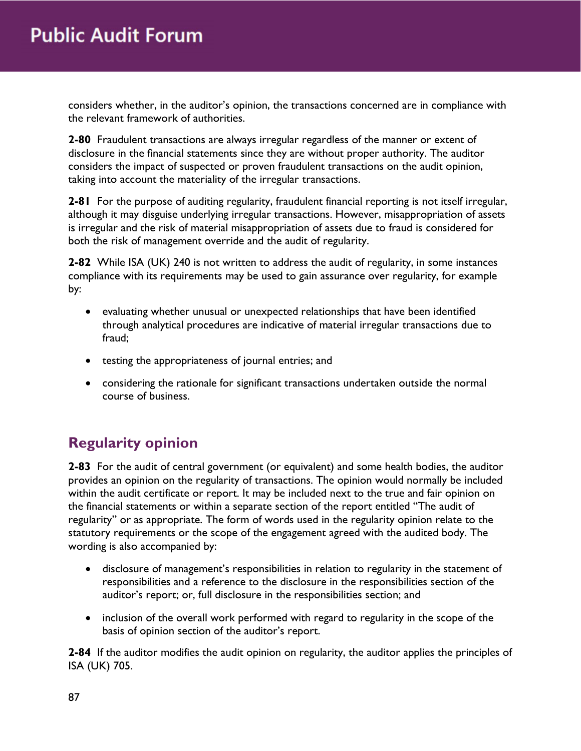considers whether, in the auditor's opinion, the transactions concerned are in compliance with the relevant framework of authorities.

**2-80** Fraudulent transactions are always irregular regardless of the manner or extent of disclosure in the financial statements since they are without proper authority. The auditor considers the impact of suspected or proven fraudulent transactions on the audit opinion, taking into account the materiality of the irregular transactions.

**2-81** For the purpose of auditing regularity, fraudulent financial reporting is not itself irregular, although it may disguise underlying irregular transactions. However, misappropriation of assets is irregular and the risk of material misappropriation of assets due to fraud is considered for both the risk of management override and the audit of regularity.

**2-82** While ISA (UK) 240 is not written to address the audit of regularity, in some instances compliance with its requirements may be used to gain assurance over regularity, for example by:

- evaluating whether unusual or unexpected relationships that have been identified through analytical procedures are indicative of material irregular transactions due to fraud;
- testing the appropriateness of journal entries; and
- considering the rationale for significant transactions undertaken outside the normal course of business.

# **Regularity opinion**

**2-83** For the audit of central government (or equivalent) and some health bodies, the auditor provides an opinion on the regularity of transactions. The opinion would normally be included within the audit certificate or report. It may be included next to the true and fair opinion on the financial statements or within a separate section of the report entitled "The audit of regularity" or as appropriate. The form of words used in the regularity opinion relate to the statutory requirements or the scope of the engagement agreed with the audited body. The wording is also accompanied by:

- disclosure of management's responsibilities in relation to regularity in the statement of responsibilities and a reference to the disclosure in the responsibilities section of the auditor's report; or, full disclosure in the responsibilities section; and
- inclusion of the overall work performed with regard to regularity in the scope of the basis of opinion section of the auditor's report.

**2-84** If the auditor modifies the audit opinion on regularity, the auditor applies the principles of ISA (UK) 705.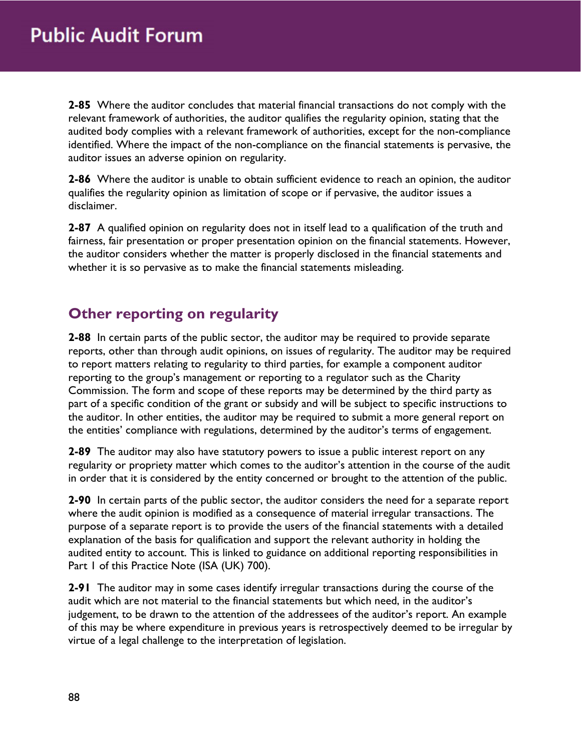**2-85** Where the auditor concludes that material financial transactions do not comply with the relevant framework of authorities, the auditor qualifies the regularity opinion, stating that the audited body complies with a relevant framework of authorities, except for the non-compliance identified. Where the impact of the non-compliance on the financial statements is pervasive, the auditor issues an adverse opinion on regularity.

**2-86** Where the auditor is unable to obtain sufficient evidence to reach an opinion, the auditor qualifies the regularity opinion as limitation of scope or if pervasive, the auditor issues a disclaimer.

**2-87** A qualified opinion on regularity does not in itself lead to a qualification of the truth and fairness, fair presentation or proper presentation opinion on the financial statements. However, the auditor considers whether the matter is properly disclosed in the financial statements and whether it is so pervasive as to make the financial statements misleading.

## **Other reporting on regularity**

**2-88** In certain parts of the public sector, the auditor may be required to provide separate reports, other than through audit opinions, on issues of regularity. The auditor may be required to report matters relating to regularity to third parties, for example a component auditor reporting to the group's management or reporting to a regulator such as the Charity Commission. The form and scope of these reports may be determined by the third party as part of a specific condition of the grant or subsidy and will be subject to specific instructions to the auditor. In other entities, the auditor may be required to submit a more general report on the entities' compliance with regulations, determined by the auditor's terms of engagement.

**2-89** The auditor may also have statutory powers to issue a public interest report on any regularity or propriety matter which comes to the auditor's attention in the course of the audit in order that it is considered by the entity concerned or brought to the attention of the public.

**2-90** In certain parts of the public sector, the auditor considers the need for a separate report where the audit opinion is modified as a consequence of material irregular transactions. The purpose of a separate report is to provide the users of the financial statements with a detailed explanation of the basis for qualification and support the relevant authority in holding the audited entity to account. This is linked to guidance on additional reporting responsibilities in Part 1 of this Practice Note (ISA (UK) 700).

**2-91** The auditor may in some cases identify irregular transactions during the course of the audit which are not material to the financial statements but which need, in the auditor's judgement, to be drawn to the attention of the addressees of the auditor's report. An example of this may be where expenditure in previous years is retrospectively deemed to be irregular by virtue of a legal challenge to the interpretation of legislation.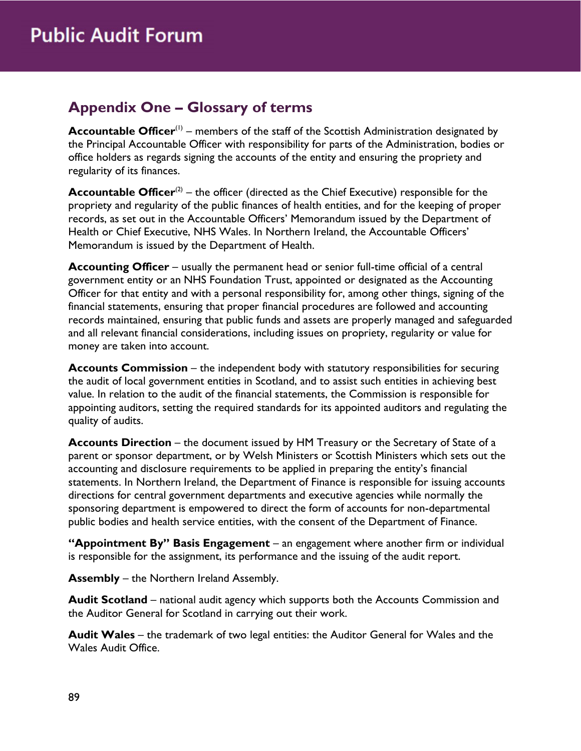# **Appendix One – Glossary of terms**

**Accountable Officer**(1) – members of the staff of the Scottish Administration designated by the Principal Accountable Officer with responsibility for parts of the Administration, bodies or office holders as regards signing the accounts of the entity and ensuring the propriety and regularity of its finances.

**Accountable Officer**<sup>(2)</sup> – the officer (directed as the Chief Executive) responsible for the propriety and regularity of the public finances of health entities, and for the keeping of proper records, as set out in the Accountable Officers' Memorandum issued by the Department of Health or Chief Executive, NHS Wales. In Northern Ireland, the Accountable Officers' Memorandum is issued by the Department of Health.

**Accounting Officer** – usually the permanent head or senior full-time official of a central government entity or an NHS Foundation Trust, appointed or designated as the Accounting Officer for that entity and with a personal responsibility for, among other things, signing of the financial statements, ensuring that proper financial procedures are followed and accounting records maintained, ensuring that public funds and assets are properly managed and safeguarded and all relevant financial considerations, including issues on propriety, regularity or value for money are taken into account.

**Accounts Commission** – the independent body with statutory responsibilities for securing the audit of local government entities in Scotland, and to assist such entities in achieving best value. In relation to the audit of the financial statements, the Commission is responsible for appointing auditors, setting the required standards for its appointed auditors and regulating the quality of audits.

**Accounts Direction** – the document issued by HM Treasury or the Secretary of State of a parent or sponsor department, or by Welsh Ministers or Scottish Ministers which sets out the accounting and disclosure requirements to be applied in preparing the entity's financial statements. In Northern Ireland, the Department of Finance is responsible for issuing accounts directions for central government departments and executive agencies while normally the sponsoring department is empowered to direct the form of accounts for non-departmental public bodies and health service entities, with the consent of the Department of Finance.

**"Appointment By" Basis Engagement** – an engagement where another firm or individual is responsible for the assignment, its performance and the issuing of the audit report.

**Assembly** – the Northern Ireland Assembly.

**Audit Scotland** – national audit agency which supports both the Accounts Commission and the Auditor General for Scotland in carrying out their work.

**Audit Wales** – the trademark of two legal entities: the Auditor General for Wales and the Wales Audit Office.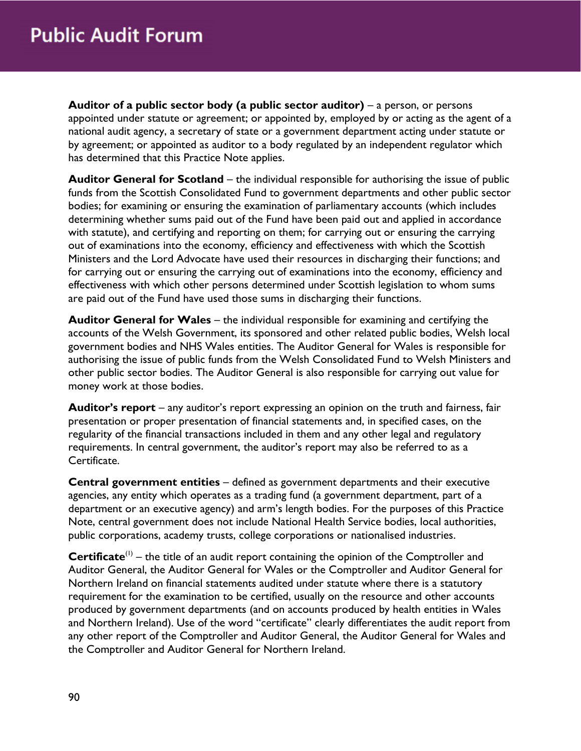**Auditor of a public sector body (a public sector auditor)** – a person, or persons appointed under statute or agreement; or appointed by, employed by or acting as the agent of a national audit agency, a secretary of state or a government department acting under statute or by agreement; or appointed as auditor to a body regulated by an independent regulator which has determined that this Practice Note applies.

**Auditor General for Scotland** – the individual responsible for authorising the issue of public funds from the Scottish Consolidated Fund to government departments and other public sector bodies; for examining or ensuring the examination of parliamentary accounts (which includes determining whether sums paid out of the Fund have been paid out and applied in accordance with statute), and certifying and reporting on them; for carrying out or ensuring the carrying out of examinations into the economy, efficiency and effectiveness with which the Scottish Ministers and the Lord Advocate have used their resources in discharging their functions; and for carrying out or ensuring the carrying out of examinations into the economy, efficiency and effectiveness with which other persons determined under Scottish legislation to whom sums are paid out of the Fund have used those sums in discharging their functions.

**Auditor General for Wales** – the individual responsible for examining and certifying the accounts of the Welsh Government, its sponsored and other related public bodies, Welsh local government bodies and NHS Wales entities. The Auditor General for Wales is responsible for authorising the issue of public funds from the Welsh Consolidated Fund to Welsh Ministers and other public sector bodies. The Auditor General is also responsible for carrying out value for money work at those bodies.

**Auditor's report** – any auditor's report expressing an opinion on the truth and fairness, fair presentation or proper presentation of financial statements and, in specified cases, on the regularity of the financial transactions included in them and any other legal and regulatory requirements. In central government, the auditor's report may also be referred to as a Certificate.

**Central government entities** – defined as government departments and their executive agencies, any entity which operates as a trading fund (a government department, part of a department or an executive agency) and arm's length bodies. For the purposes of this Practice Note, central government does not include National Health Service bodies, local authorities, public corporations, academy trusts, college corporations or nationalised industries.

**Certificate**<sup>(1)</sup> – the title of an audit report containing the opinion of the Comptroller and Auditor General, the Auditor General for Wales or the Comptroller and Auditor General for Northern Ireland on financial statements audited under statute where there is a statutory requirement for the examination to be certified, usually on the resource and other accounts produced by government departments (and on accounts produced by health entities in Wales and Northern Ireland). Use of the word "certificate" clearly differentiates the audit report from any other report of the Comptroller and Auditor General, the Auditor General for Wales and the Comptroller and Auditor General for Northern Ireland.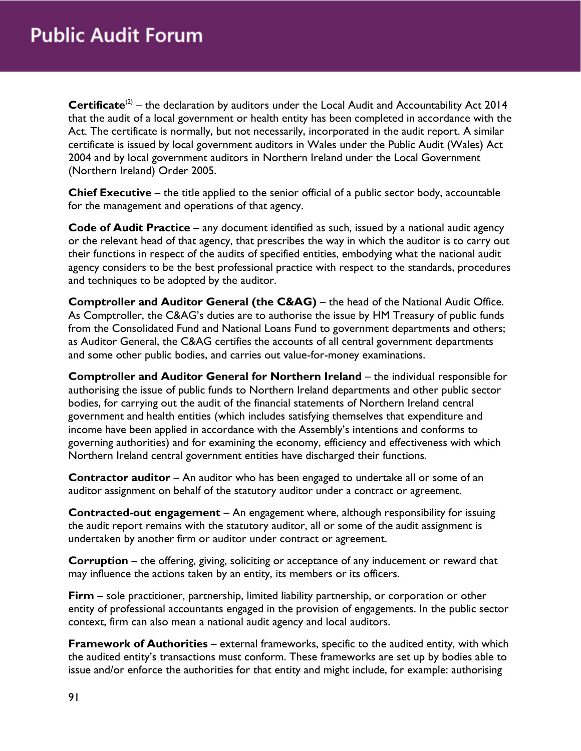**Certificate**<sup>(2)</sup> – the declaration by auditors under the Local Audit and Accountability Act 2014 that the audit of a local government or health entity has been completed in accordance with the Act. The certificate is normally, but not necessarily, incorporated in the audit report. A similar certificate is issued by local government auditors in Wales under the Public Audit (Wales) Act 2004 and by local government auditors in Northern Ireland under the Local Government (Northern Ireland) Order 2005.

**Chief Executive** – the title applied to the senior official of a public sector body, accountable for the management and operations of that agency.

**Code of Audit Practice** – any document identified as such, issued by a national audit agency or the relevant head of that agency, that prescribes the way in which the auditor is to carry out their functions in respect of the audits of specified entities, embodying what the national audit agency considers to be the best professional practice with respect to the standards, procedures and techniques to be adopted by the auditor.

**Comptroller and Auditor General (the C&AG)** – the head of the National Audit Office. As Comptroller, the C&AG's duties are to authorise the issue by HM Treasury of public funds from the Consolidated Fund and National Loans Fund to government departments and others; as Auditor General, the C&AG certifies the accounts of all central government departments and some other public bodies, and carries out value-for-money examinations.

**Comptroller and Auditor General for Northern Ireland** – the individual responsible for authorising the issue of public funds to Northern Ireland departments and other public sector bodies, for carrying out the audit of the financial statements of Northern Ireland central government and health entities (which includes satisfying themselves that expenditure and income have been applied in accordance with the Assembly's intentions and conforms to governing authorities) and for examining the economy, efficiency and effectiveness with which Northern Ireland central government entities have discharged their functions.

**Contractor auditor** – An auditor who has been engaged to undertake all or some of an auditor assignment on behalf of the statutory auditor under a contract or agreement.

**Contracted-out engagement** – An engagement where, although responsibility for issuing the audit report remains with the statutory auditor, all or some of the audit assignment is undertaken by another firm or auditor under contract or agreement.

**Corruption** – the offering, giving, soliciting or acceptance of any inducement or reward that may influence the actions taken by an entity, its members or its officers.

**Firm** – sole practitioner, partnership, limited liability partnership, or corporation or other entity of professional accountants engaged in the provision of engagements. In the public sector context, firm can also mean a national audit agency and local auditors.

**Framework of Authorities** – external frameworks, specific to the audited entity, with which the audited entity's transactions must conform. These frameworks are set up by bodies able to issue and/or enforce the authorities for that entity and might include, for example: authorising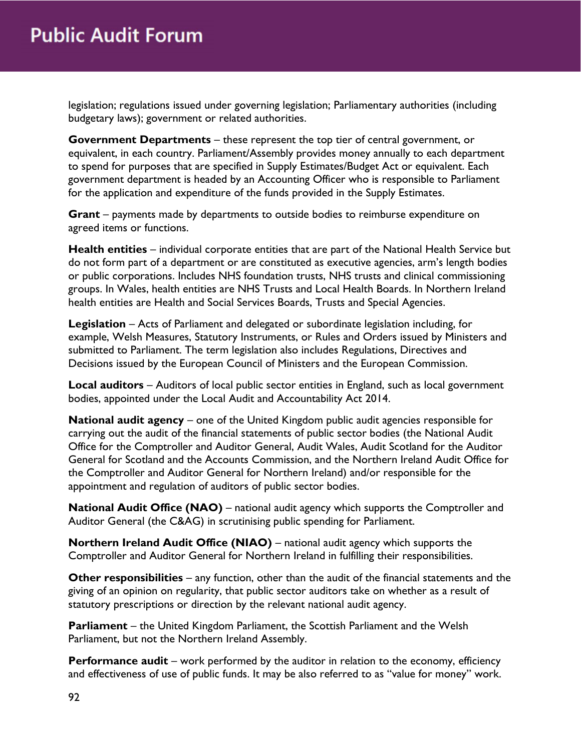legislation; regulations issued under governing legislation; Parliamentary authorities (including budgetary laws); government or related authorities.

**Government Departments** – these represent the top tier of central government, or equivalent, in each country. Parliament/Assembly provides money annually to each department to spend for purposes that are specified in Supply Estimates/Budget Act or equivalent. Each government department is headed by an Accounting Officer who is responsible to Parliament for the application and expenditure of the funds provided in the Supply Estimates.

**Grant** – payments made by departments to outside bodies to reimburse expenditure on agreed items or functions.

**Health entities** – individual corporate entities that are part of the National Health Service but do not form part of a department or are constituted as executive agencies, arm's length bodies or public corporations. Includes NHS foundation trusts, NHS trusts and clinical commissioning groups. In Wales, health entities are NHS Trusts and Local Health Boards. In Northern Ireland health entities are Health and Social Services Boards, Trusts and Special Agencies.

**Legislation** – Acts of Parliament and delegated or subordinate legislation including, for example, Welsh Measures, Statutory Instruments, or Rules and Orders issued by Ministers and submitted to Parliament. The term legislation also includes Regulations, Directives and Decisions issued by the European Council of Ministers and the European Commission.

**Local auditors** – Auditors of local public sector entities in England, such as local government bodies, appointed under the Local Audit and Accountability Act 2014.

**National audit agency** – one of the United Kingdom public audit agencies responsible for carrying out the audit of the financial statements of public sector bodies (the National Audit Office for the Comptroller and Auditor General, Audit Wales, Audit Scotland for the Auditor General for Scotland and the Accounts Commission, and the Northern Ireland Audit Office for the Comptroller and Auditor General for Northern Ireland) and/or responsible for the appointment and regulation of auditors of public sector bodies.

**National Audit Office (NAO)** – national audit agency which supports the Comptroller and Auditor General (the C&AG) in scrutinising public spending for Parliament.

**Northern Ireland Audit Office (NIAO)** – national audit agency which supports the Comptroller and Auditor General for Northern Ireland in fulfilling their responsibilities.

**Other responsibilities** – any function, other than the audit of the financial statements and the giving of an opinion on regularity, that public sector auditors take on whether as a result of statutory prescriptions or direction by the relevant national audit agency.

**Parliament** – the United Kingdom Parliament, the Scottish Parliament and the Welsh Parliament, but not the Northern Ireland Assembly.

**Performance audit** – work performed by the auditor in relation to the economy, efficiency and effectiveness of use of public funds. It may be also referred to as "value for money" work.